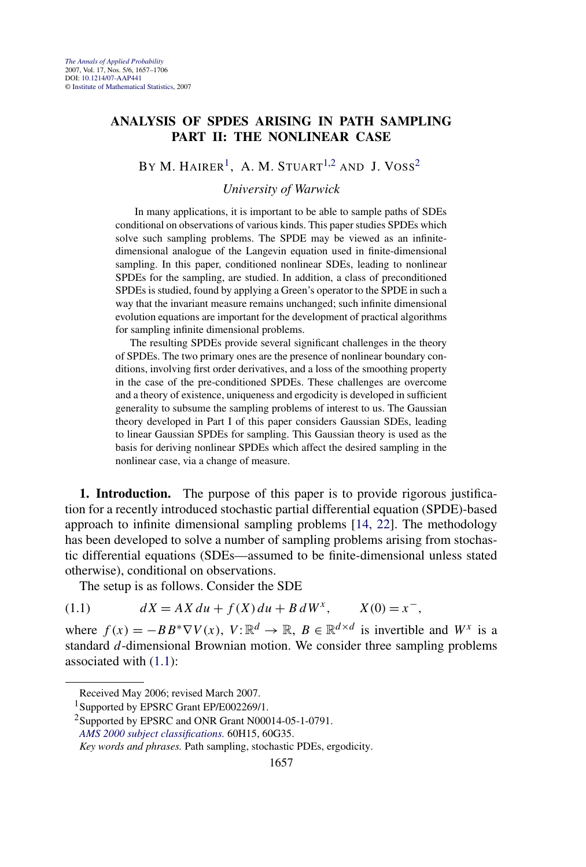## <span id="page-0-0"></span>**ANALYSIS OF SPDES ARISING IN PATH SAMPLING PART II: THE NONLINEAR CASE**

BY M. HAIRER<sup>1</sup>, A. M. STUART<sup>1,2</sup> AND J. VOSS<sup>2</sup>

*University of Warwick*

In many applications, it is important to be able to sample paths of SDEs conditional on observations of various kinds. This paper studies SPDEs which solve such sampling problems. The SPDE may be viewed as an infinitedimensional analogue of the Langevin equation used in finite-dimensional sampling. In this paper, conditioned nonlinear SDEs, leading to nonlinear SPDEs for the sampling, are studied. In addition, a class of preconditioned SPDEs is studied, found by applying a Green's operator to the SPDE in such a way that the invariant measure remains unchanged; such infinite dimensional evolution equations are important for the development of practical algorithms for sampling infinite dimensional problems.

The resulting SPDEs provide several significant challenges in the theory of SPDEs. The two primary ones are the presence of nonlinear boundary conditions, involving first order derivatives, and a loss of the smoothing property in the case of the pre-conditioned SPDEs. These challenges are overcome and a theory of existence, uniqueness and ergodicity is developed in sufficient generality to subsume the sampling problems of interest to us. The Gaussian theory developed in Part I of this paper considers Gaussian SDEs, leading to linear Gaussian SPDEs for sampling. This Gaussian theory is used as the basis for deriving nonlinear SPDEs which affect the desired sampling in the nonlinear case, via a change of measure.

**1. Introduction.** The purpose of this paper is to provide rigorous justification for a recently introduced stochastic partial differential equation (SPDE)-based approach to infinite dimensional sampling problems [\[14, 22\]](#page-48-0). The methodology has been developed to solve a number of sampling problems arising from stochastic differential equations (SDEs—assumed to be finite-dimensional unless stated otherwise), conditional on observations.

The setup is as follows. Consider the SDE

(1.1)  $dX = AX \, du + f(X) \, du + B \, dW^x, \qquad X(0) = x^-$ 

where  $f(x) = -BB^* \nabla V(x)$ ,  $V: \mathbb{R}^d \to \mathbb{R}$ ,  $B \in \mathbb{R}^{d \times d}$  is invertible and  $W^x$  is a standard *d*-dimensional Brownian motion. We consider three sampling problems associated with (1.1):

Received May 2006; revised March 2007.

<sup>&</sup>lt;sup>1</sup>Supported by EPSRC Grant EP/E002269/1.

<sup>&</sup>lt;sup>2</sup>Supported by EPSRC and ONR Grant N00014-05-1-0791.

*[AMS 2000 subject classifications.](http://www.ams.org/msc/)* 60H15, 60G35.

*Key words and phrases.* Path sampling, stochastic PDEs, ergodicity.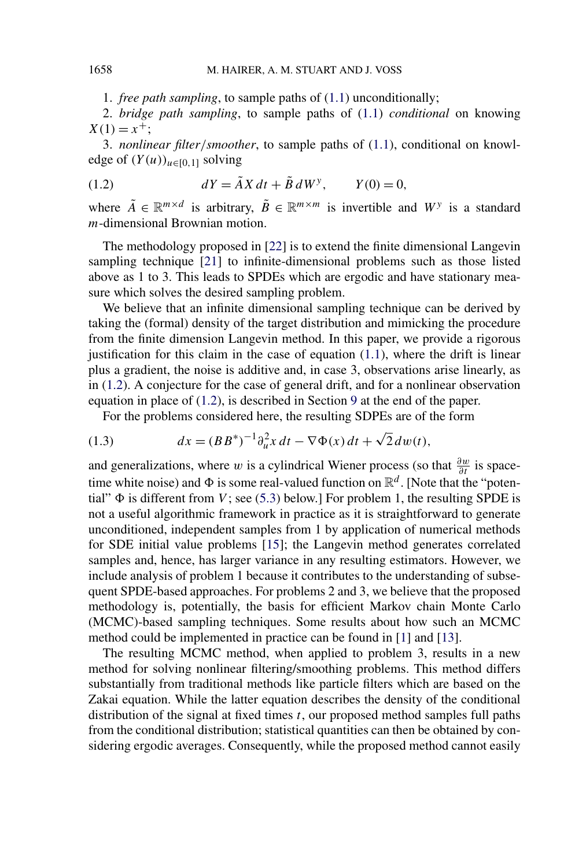1. *free path sampling*, to sample paths of [\(1.1\)](#page-0-0) unconditionally;

<span id="page-1-0"></span>2. *bridge path sampling*, to sample paths of [\(1.1\)](#page-0-0) *conditional* on knowing  $X(1) = x^{+}$ ;

3. *nonlinear filter/smoother*, to sample paths of [\(1.1\)](#page-0-0), conditional on knowledge of  $(Y(u))_{u \in [0,1]}$  solving

(1.2) 
$$
dY = \tilde{A}X dt + \tilde{B} dW^{y}, \qquad Y(0) = 0,
$$

where  $\tilde{A} \in \mathbb{R}^{m \times d}$  is arbitrary,  $\tilde{B} \in \mathbb{R}^{m \times m}$  is invertible and  $W^y$  is a standard *m*-dimensional Brownian motion.

The methodology proposed in [\[22\]](#page-49-0) is to extend the finite dimensional Langevin sampling technique [\[21\]](#page-49-0) to infinite-dimensional problems such as those listed above as 1 to 3. This leads to SPDEs which are ergodic and have stationary measure which solves the desired sampling problem.

We believe that an infinite dimensional sampling technique can be derived by taking the (formal) density of the target distribution and mimicking the procedure from the finite dimension Langevin method. In this paper, we provide a rigorous justification for this claim in the case of equation  $(1.1)$ , where the drift is linear plus a gradient, the noise is additive and, in case 3, observations arise linearly, as in (1.2). A conjecture for the case of general drift, and for a nonlinear observation equation in place of (1.2), is described in Section [9](#page-45-0) at the end of the paper.

For the problems considered here, the resulting SDPEs are of the form

(1.3) 
$$
dx = (BB^*)^{-1} \partial_u^2 x dt - \nabla \Phi(x) dt + \sqrt{2} dw(t),
$$

and generalizations, where *w* is a cylindrical Wiener process (so that  $\frac{\partial w}{\partial t}$  is spacetime white noise) and  $\Phi$  is some real-valued function on  $\mathbb{R}^d$ . [Note that the "potential"  $\Phi$  is different from *V*; see [\(5.3\)](#page-32-0) below.] For problem 1, the resulting SPDE is not a useful algorithmic framework in practice as it is straightforward to generate unconditioned, independent samples from 1 by application of numerical methods for SDE initial value problems [\[15\]](#page-48-0); the Langevin method generates correlated samples and, hence, has larger variance in any resulting estimators. However, we include analysis of problem 1 because it contributes to the understanding of subsequent SPDE-based approaches. For problems 2 and 3, we believe that the proposed methodology is, potentially, the basis for efficient Markov chain Monte Carlo (MCMC)-based sampling techniques. Some results about how such an MCMC method could be implemented in practice can be found in [\[1\]](#page-48-0) and [\[13\]](#page-48-0).

The resulting MCMC method, when applied to problem 3, results in a new method for solving nonlinear filtering/smoothing problems. This method differs substantially from traditional methods like particle filters which are based on the Zakai equation. While the latter equation describes the density of the conditional distribution of the signal at fixed times *t*, our proposed method samples full paths from the conditional distribution; statistical quantities can then be obtained by considering ergodic averages. Consequently, while the proposed method cannot easily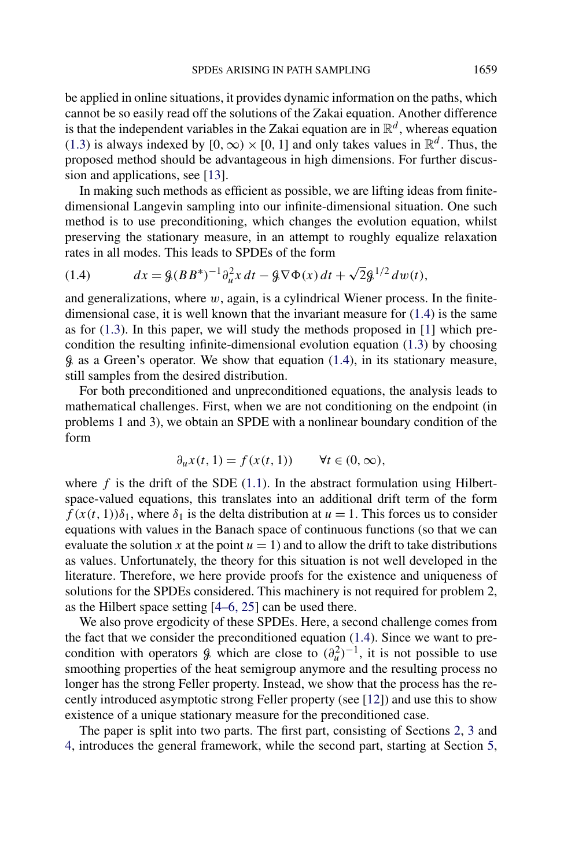<span id="page-2-0"></span>be applied in online situations, it provides dynamic information on the paths, which cannot be so easily read off the solutions of the Zakai equation. Another difference is that the independent variables in the Zakai equation are in  $\mathbb{R}^d$ , whereas equation [\(1.3\)](#page-1-0) is always indexed by  $[0, \infty) \times [0, 1]$  and only takes values in  $\mathbb{R}^d$ . Thus, the proposed method should be advantageous in high dimensions. For further discussion and applications, see [\[13\]](#page-48-0).

In making such methods as efficient as possible, we are lifting ideas from finitedimensional Langevin sampling into our infinite-dimensional situation. One such method is to use preconditioning, which changes the evolution equation, whilst preserving the stationary measure, in an attempt to roughly equalize relaxation rates in all modes. This leads to SPDEs of the form

(1.4) 
$$
dx = \mathcal{G}(BB^*)^{-1}\partial_u^2 x dt - \mathcal{G}\nabla\Phi(x) dt + \sqrt{2}\mathcal{G}^{1/2} dw(t),
$$

and generalizations, where *w*, again, is a cylindrical Wiener process. In the finitedimensional case, it is well known that the invariant measure for (1.4) is the same as for  $(1.3)$ . In this paper, we will study the methods proposed in  $[1]$  which precondition the resulting infinite-dimensional evolution equation [\(1.3\)](#page-1-0) by choosing  $\beta$  as a Green's operator. We show that equation (1.4), in its stationary measure, still samples from the desired distribution.

For both preconditioned and unpreconditioned equations, the analysis leads to mathematical challenges. First, when we are not conditioning on the endpoint (in problems 1 and 3), we obtain an SPDE with a nonlinear boundary condition of the form

$$
\partial_u x(t,1) = f(x(t,1)) \qquad \forall t \in (0,\infty),
$$

where  $f$  is the drift of the SDE  $(1.1)$ . In the abstract formulation using Hilbertspace-valued equations, this translates into an additional drift term of the form  $f(x(t, 1))\delta_1$ , where  $\delta_1$  is the delta distribution at  $u = 1$ . This forces us to consider equations with values in the Banach space of continuous functions (so that we can evaluate the solution *x* at the point  $u = 1$ ) and to allow the drift to take distributions as values. Unfortunately, the theory for this situation is not well developed in the literature. Therefore, we here provide proofs for the existence and uniqueness of solutions for the SPDEs considered. This machinery is not required for problem 2, as the Hilbert space setting [\[4–6, 25\]](#page-48-0) can be used there.

We also prove ergodicity of these SPDEs. Here, a second challenge comes from the fact that we consider the preconditioned equation  $(1.4)$ . Since we want to precondition with operators  $\hat{\beta}$  which are close to  $(\partial_u^2)^{-1}$ , it is not possible to use smoothing properties of the heat semigroup anymore and the resulting process no longer has the strong Feller property. Instead, we show that the process has the recently introduced asymptotic strong Feller property (see [\[12\]](#page-48-0)) and use this to show existence of a unique stationary measure for the preconditioned case.

The paper is split into two parts. The first part, consisting of Sections [2,](#page-3-0) [3](#page-13-0) and [4,](#page-21-0) introduces the general framework, while the second part, starting at Section [5,](#page-30-0)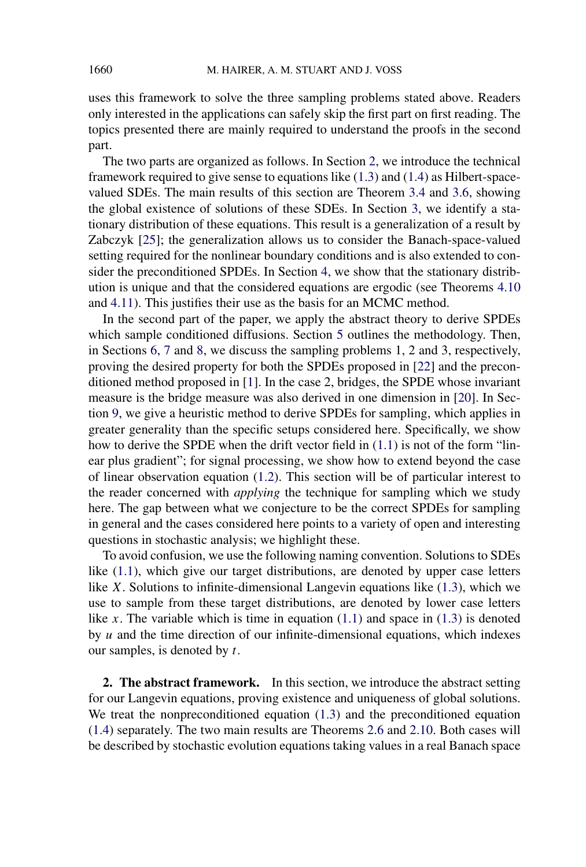<span id="page-3-0"></span>uses this framework to solve the three sampling problems stated above. Readers only interested in the applications can safely skip the first part on first reading. The topics presented there are mainly required to understand the proofs in the second part.

The two parts are organized as follows. In Section 2, we introduce the technical framework required to give sense to equations like [\(1.3\)](#page-1-0) and [\(1.4\)](#page-2-0) as Hilbert-spacevalued SDEs. The main results of this section are Theorem [3.4](#page-18-0) and [3.6,](#page-20-0) showing the global existence of solutions of these SDEs. In Section [3,](#page-13-0) we identify a stationary distribution of these equations. This result is a generalization of a result by Zabczyk [\[25\]](#page-49-0); the generalization allows us to consider the Banach-space-valued setting required for the nonlinear boundary conditions and is also extended to consider the preconditioned SPDEs. In Section [4,](#page-21-0) we show that the stationary distribution is unique and that the considered equations are ergodic (see Theorems [4.10](#page-28-0) and [4.11\)](#page-29-0). This justifies their use as the basis for an MCMC method.

In the second part of the paper, we apply the abstract theory to derive SPDEs which sample conditioned diffusions. Section [5](#page-30-0) outlines the methodology. Then, in Sections [6,](#page-35-0) [7](#page-40-0) and [8,](#page-42-0) we discuss the sampling problems 1, 2 and 3, respectively, proving the desired property for both the SPDEs proposed in [\[22\]](#page-49-0) and the preconditioned method proposed in [\[1\]](#page-48-0). In the case 2, bridges, the SPDE whose invariant measure is the bridge measure was also derived in one dimension in [\[20\]](#page-49-0). In Section [9,](#page-45-0) we give a heuristic method to derive SPDEs for sampling, which applies in greater generality than the specific setups considered here. Specifically, we show how to derive the SPDE when the drift vector field in [\(1.1\)](#page-0-0) is not of the form "linear plus gradient"; for signal processing, we show how to extend beyond the case of linear observation equation [\(1.2\)](#page-1-0). This section will be of particular interest to the reader concerned with *applying* the technique for sampling which we study here. The gap between what we conjecture to be the correct SPDEs for sampling in general and the cases considered here points to a variety of open and interesting questions in stochastic analysis; we highlight these.

To avoid confusion, we use the following naming convention. Solutions to SDEs like [\(1.1\)](#page-0-0), which give our target distributions, are denoted by upper case letters like *X*. Solutions to infinite-dimensional Langevin equations like [\(1.3\)](#page-1-0), which we use to sample from these target distributions, are denoted by lower case letters like *x*. The variable which is time in equation  $(1.1)$  and space in  $(1.3)$  is denoted by *u* and the time direction of our infinite-dimensional equations, which indexes our samples, is denoted by *t*.

**2. The abstract framework.** In this section, we introduce the abstract setting for our Langevin equations, proving existence and uniqueness of global solutions. We treat the nonpreconditioned equation [\(1.3\)](#page-1-0) and the preconditioned equation [\(1.4\)](#page-2-0) separately. The two main results are Theorems [2.6](#page-8-0) and [2.10.](#page-12-0) Both cases will be described by stochastic evolution equations taking values in a real Banach space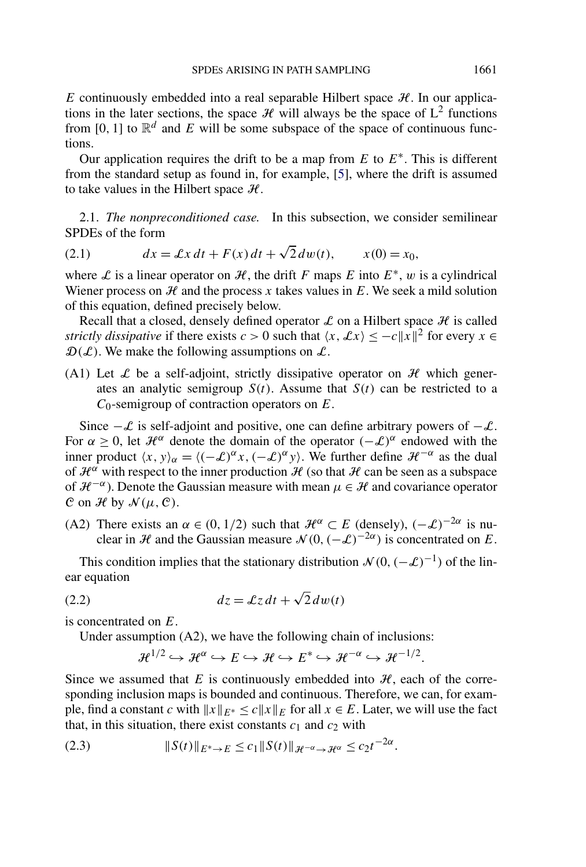<span id="page-4-0"></span>*E* continuously embedded into a real separable Hilbert space  $H$ . In our applications in the later sections, the space  $\mathcal{H}$  will always be the space of  $L^2$  functions from [0, 1] to  $\mathbb{R}^d$  and *E* will be some subspace of the space of continuous functions.

Our application requires the drift to be a map from *E* to *E*∗. This is different from the standard setup as found in, for example, [\[5\]](#page-48-0), where the drift is assumed to take values in the Hilbert space  $H$ .

2.1. *The nonpreconditioned case.* In this subsection, we consider semilinear SPDEs of the form

(2.1) 
$$
dx = \mathcal{L}x dt + F(x) dt + \sqrt{2} dw(t), \qquad x(0) = x_0,
$$

where L is a linear operator on H, the drift F maps E into  $E^*$ , w is a cylindrical Wiener process on  $H$  and the process  $x$  takes values in  $E$ . We seek a mild solution of this equation, defined precisely below.

Recall that a closed, densely defined operator  $\mathcal L$  on a Hilbert space  $\mathcal H$  is called *strictly dissipative* if there exists *c* > 0 such that  $\langle x, \mathcal{L}x \rangle \le -c||x||^2$  for every  $x \in$  $\mathcal{D}(\mathcal{L})$ . We make the following assumptions on  $\mathcal{L}$ .

(A1) Let  $\mathcal L$  be a self-adjoint, strictly dissipative operator on  $\mathcal H$  which generates an analytic semigroup  $S(t)$ . Assume that  $S(t)$  can be restricted to a *C*0-semigroup of contraction operators on *E*.

Since  $-\mathcal{L}$  is self-adjoint and positive, one can define arbitrary powers of  $-\mathcal{L}$ . For  $\alpha \geq 0$ , let  $\mathcal{H}^{\alpha}$  denote the domain of the operator  $(-\mathcal{L})^{\alpha}$  endowed with the inner product  $\langle x, y \rangle_{\alpha} = \langle (-\mathcal{L})^{\alpha} x, (-\mathcal{L})^{\alpha} y \rangle$ . We further define  $\mathcal{H}^{-\alpha}$  as the dual of  $\mathcal{H}^{\alpha}$  with respect to the inner production  $\mathcal{H}$  (so that  $\mathcal{H}$  can be seen as a subspace of  $\mathcal{H}^{-\alpha}$ ). Denote the Gaussian measure with mean  $\mu \in \mathcal{H}$  and covariance operator C on H by  $\mathcal{N}(\mu, \mathcal{C})$ .

(A2) There exists an  $\alpha \in (0, 1/2)$  such that  $\mathcal{H}^{\alpha} \subset E$  (densely),  $(-\mathcal{L})^{-2\alpha}$  is nuclear in H and the Gaussian measure  $\mathcal{N}(0, (-\mathcal{L})^{-2\alpha})$  is concentrated on E.

This condition implies that the stationary distribution  $\mathcal{N}(0, (-\mathcal{L})^{-1})$  of the linear equation

(2.2) 
$$
dz = \mathcal{L}z dt + \sqrt{2} dw(t)
$$

is concentrated on *E*.

Under assumption (A2), we have the following chain of inclusions:

$$
\mathcal{H}^{1/2} \hookrightarrow \mathcal{H}^{\alpha} \hookrightarrow E \hookrightarrow \mathcal{H} \hookrightarrow E^* \hookrightarrow \mathcal{H}^{-\alpha} \hookrightarrow \mathcal{H}^{-1/2}.
$$

Since we assumed that  $E$  is continuously embedded into  $H$ , each of the corresponding inclusion maps is bounded and continuous. Therefore, we can, for example, find a constant *c* with  $||x||_{E^*} \le c||x||_E$  for all  $x \in E$ . Later, we will use the fact that, in this situation, there exist constants  $c_1$  and  $c_2$  with

(2.3) 
$$
||S(t)||_{E^*\to E} \le c_1 ||S(t)||_{\mathcal{H}^{-\alpha}\to \mathcal{H}^{\alpha}} \le c_2 t^{-2\alpha}.
$$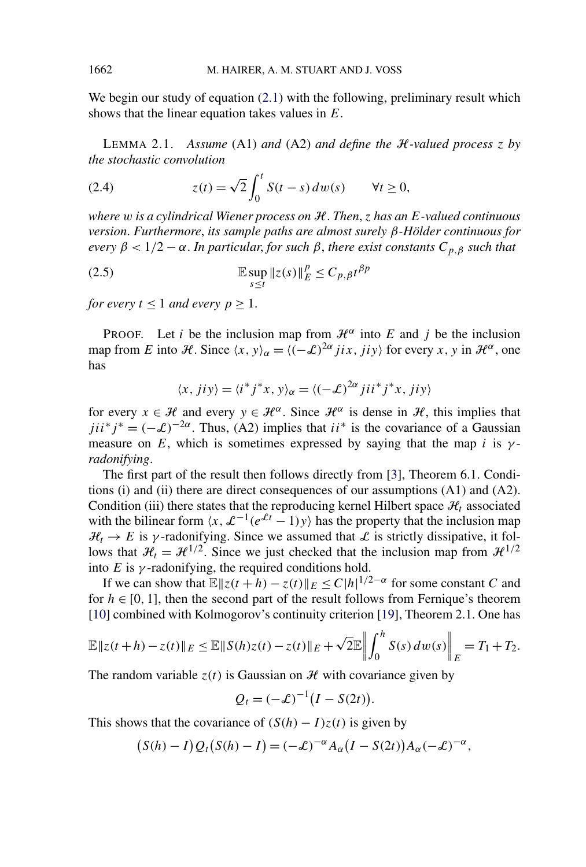<span id="page-5-0"></span>We begin our study of equation [\(2.1\)](#page-4-0) with the following, preliminary result which shows that the linear equation takes values in *E*.

LEMMA 2.1. *Assume* (A1) *and* (A2) *and define the* H*-valued process z by the stochastic convolution*

(2.4) 
$$
z(t) = \sqrt{2} \int_0^t S(t-s) dw(s) \qquad \forall t \ge 0,
$$

*where w is a cylindrical Wiener process on* H. *Then*, *z has an E-valued continuous version*. *Furthermore*, *its sample paths are almost surely β-Hölder continuous for every*  $β < 1/2 - α$ . *In particular, for such*  $β$ *, there exist constants*  $C_{p,β}$  *such that* 

(2.5) 
$$
\mathbb{E}\sup_{s\leq t}||z(s)||_E^p \leq C_{p,\beta}t^{\beta p}
$$

*for every*  $t \leq 1$  *and every*  $p \geq 1$ *.* 

PROOF. Let *i* be the inclusion map from  $\mathcal{H}^{\alpha}$  into *E* and *j* be the inclusion map from *E* into *H*. Since  $\langle x, y \rangle_{\alpha} = \langle (-\mathcal{L})^{2\alpha} jix, jiy \rangle$  for every *x*, *y* in  $\mathcal{H}^{\alpha}$ , one has

$$
\langle x, jiy \rangle = \langle i^* j^* x, y \rangle_\alpha = \langle (-\mathcal{L})^{2\alpha} jii^* j^* x, jiy \rangle
$$

for every  $x \in \mathcal{H}$  and every  $y \in \mathcal{H}^{\alpha}$ . Since  $\mathcal{H}^{\alpha}$  is dense in  $\mathcal{H}$ , this implies that  $jii^*j^* = (-\mathcal{L})^{-2\alpha}$ . Thus, (A2) implies that  $ii^*$  is the covariance of a Gaussian measure on *E*, which is sometimes expressed by saying that the map *i* is  $\gamma$ *radonifying*.

The first part of the result then follows directly from [\[3\]](#page-48-0), Theorem 6.1. Conditions (i) and (ii) there are direct consequences of our assumptions  $(A1)$  and  $(A2)$ . Condition (iii) there states that the reproducing kernel Hilbert space  $\mathcal{H}_t$  associated with the bilinear form  $\langle x, \mathcal{L}^{-1}(e^{\mathcal{L}t}-1)y \rangle$  has the property that the inclusion map  $\mathcal{H}_t \to E$  is *γ*-radonifying. Since we assumed that L is strictly dissipative, it follows that  $\mathcal{H}_t = \mathcal{H}^{1/2}$ . Since we just checked that the inclusion map from  $\mathcal{H}^{1/2}$ into  $E$  is  $\gamma$ -radonifying, the required conditions hold.

If we can show that  $\mathbb{E} ||z(t+h) - z(t)||_E \le C|h|^{1/2-\alpha}$  for some constant *C* and for  $h \in [0, 1]$ , then the second part of the result follows from Fernique's theorem [\[10\]](#page-48-0) combined with Kolmogorov's continuity criterion [\[19\]](#page-49-0), Theorem 2.1. One has

$$
\mathbb{E} \|z(t+h) - z(t)\|_{E} \le \mathbb{E} \|S(h)z(t) - z(t)\|_{E} + \sqrt{2} \mathbb{E} \left\| \int_{0}^{h} S(s) \, dw(s) \right\|_{E} = T_{1} + T_{2}.
$$

The random variable  $z(t)$  is Gaussian on  $H$  with covariance given by

$$
Q_t = (-\mathcal{L})^{-1} (I - S(2t)).
$$

This shows that the covariance of  $(S(h) - I)z(t)$  is given by

$$
(S(h) - I)Q_t(S(h) - I) = (-\mathcal{L})^{-\alpha}A_{\alpha}(I - S(2t))A_{\alpha}(-\mathcal{L})^{-\alpha},
$$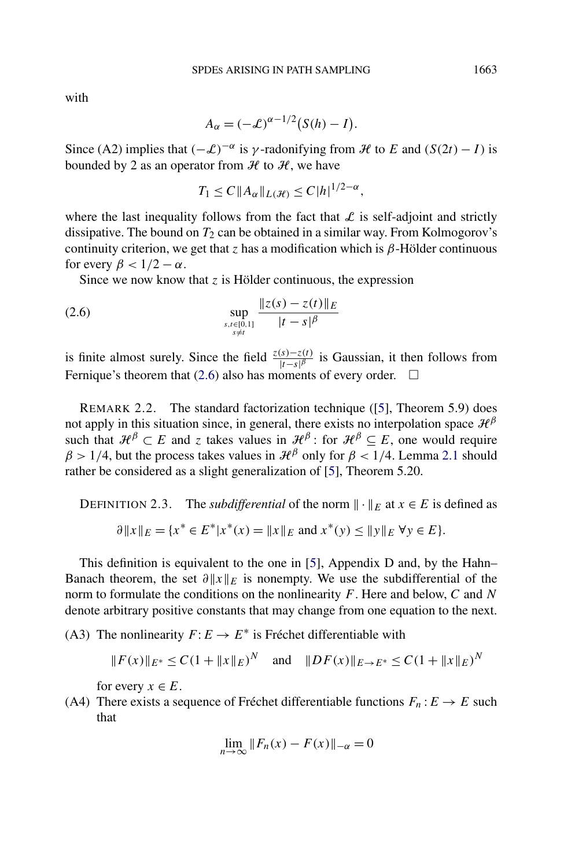$$
A_{\alpha} = (-\mathcal{L})^{\alpha - 1/2} (S(h) - I).
$$

Since (A2) implies that  $(-\mathcal{L})^{-\alpha}$  is *γ*-radonifying from H to E and  $(S(2t) - I)$  is bounded by 2 as an operator from  $H$  to  $H$ , we have

$$
T_1 \leq C \|A_{\alpha}\|_{L(\mathcal{H})} \leq C |h|^{1/2-\alpha},
$$

where the last inequality follows from the fact that  $\mathcal L$  is self-adjoint and strictly dissipative. The bound on  $T_2$  can be obtained in a similar way. From Kolmogorov's continuity criterion, we get that *z* has a modification which is *β*-Hölder continuous for every  $\beta < 1/2 - \alpha$ .

Since we now know that *z* is Hölder continuous, the expression

(2.6) 
$$
\sup_{\substack{s,t \in [0,1] \\ s \neq t}} \frac{\|z(s) - z(t)\|_E}{|t - s|^\beta}
$$

is finite almost surely. Since the field  $\frac{z(s)-z(t)}{|t-s|^\beta}$  is Gaussian, it then follows from Fernique's theorem that (2.6) also has moments of every order.  $\square$ 

REMARK 2.2. The standard factorization technique ([\[5\]](#page-48-0), Theorem 5.9) does not apply in this situation since, in general, there exists no interpolation space  $\mathcal{H}^{\beta}$ such that  $\mathcal{H}^{\beta} \subset E$  and *z* takes values in  $\mathcal{H}^{\beta}$ : for  $\mathcal{H}^{\beta} \subseteq E$ , one would require  $\beta$  > 1/4, but the process takes values in  $\mathcal{H}^{\beta}$  only for  $\beta$  < 1/4. Lemma [2.1](#page-5-0) should rather be considered as a slight generalization of [\[5\]](#page-48-0), Theorem 5.20.

DEFINITION 2.3. The *subdifferential* of the norm  $\|\cdot\|_E$  at  $x \in E$  is defined as  $\partial ||x||_E = \{x^* \in E^* | x^*(x) = ||x||_E \text{ and } x^*(y) \le ||y||_E \forall y \in E\}.$ 

This definition is equivalent to the one in [\[5\]](#page-48-0), Appendix D and, by the Hahn– Banach theorem, the set  $\partial ||x||_E$  is nonempty. We use the subdifferential of the norm to formulate the conditions on the nonlinearity *F*. Here and below, *C* and *N* denote arbitrary positive constants that may change from one equation to the next.

(A3) The nonlinearity  $F: E \to E^*$  is Fréchet differentiable with

$$
||F(x)||_{E^*} \leq C(1 + ||x||_E)^N
$$
 and  $||DF(x)||_{E \to E^*} \leq C(1 + ||x||_E)^N$ 

for every  $x \in E$ .

(A4) There exists a sequence of Fréchet differentiable functions  $F_n : E \to E$  such that

$$
\lim_{n \to \infty} ||F_n(x) - F(x)||_{-\alpha} = 0
$$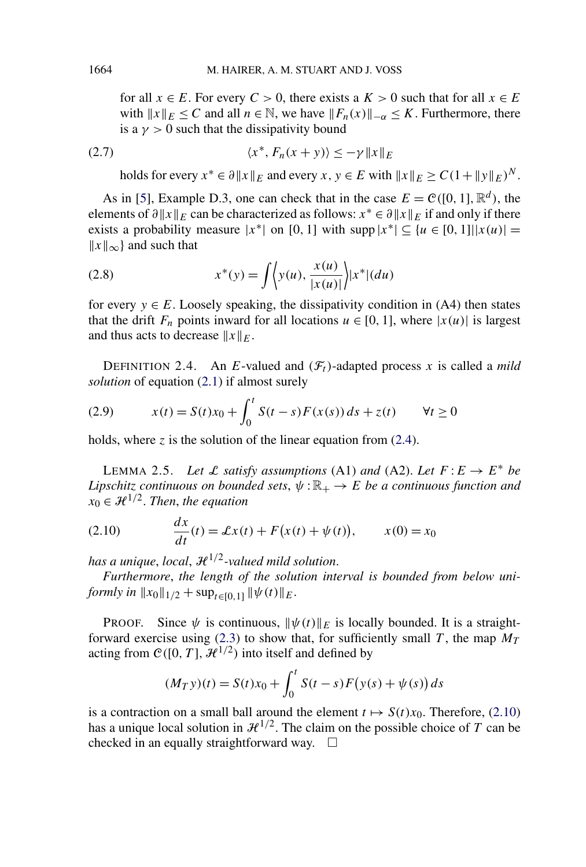<span id="page-7-0"></span>for all  $x \in E$ . For every  $C > 0$ , there exists a  $K > 0$  such that for all  $x \in E$ with  $||x||_E \leq C$  and all  $n \in \mathbb{N}$ , we have  $||F_n(x)||_{-\alpha} \leq K$ . Furthermore, there is a  $\gamma > 0$  such that the dissipativity bound

$$
(2.7) \t\t\t \langle x^*, F_n(x+y) \rangle \le -\gamma \|x\|_E
$$

holds for every  $x^* \in \partial ||x||_E$  and every  $x, y \in E$  with  $||x||_E > C(1 + ||y||_E)^N$ .

As in [\[5\]](#page-48-0), Example D.3, one can check that in the case  $E = \mathcal{C}([0, 1], \mathbb{R}^d)$ , the elements of  $\partial ||x||_E$  can be characterized as follows:  $x^* \in \partial ||x||_E$  if and only if there exists a probability measure  $|x^*|$  on [0, 1] with supp  $|x^*| \subset \{u \in [0, 1] \mid |x(u)| =$  $||x||_{∞}$ } and such that

(2.8) 
$$
x^*(y) = \int \left\langle y(u), \frac{x(u)}{|x(u)|} \right\rangle |x^*| (du)
$$

for every  $y \in E$ . Loosely speaking, the dissipativity condition in (A4) then states that the drift  $F_n$  points inward for all locations  $u \in [0, 1]$ , where  $|x(u)|$  is largest and thus acts to decrease  $||x||_F$ .

DEFINITION 2.4. An *E*-valued and  $(F_t)$ -adapted process *x* is called a *mild solution* of equation [\(2.1\)](#page-4-0) if almost surely

(2.9) 
$$
x(t) = S(t)x_0 + \int_0^t S(t-s)F(x(s)) ds + z(t) \quad \forall t \ge 0
$$

holds, where  $\zeta$  is the solution of the linear equation from [\(2.4\)](#page-5-0).

LEMMA 2.5. Let L satisfy assumptions (A1) and (A2). Let  $F: E \to E^*$  be *Lipschitz continuous on bounded sets,*  $\psi : \mathbb{R}_+ \to E$  *be a continuous function and*  $x_0 \in \mathcal{H}^{1/2}$ . *Then, the equation* 

(2.10) 
$$
\frac{dx}{dt}(t) = \mathcal{L}x(t) + F(x(t) + \psi(t)), \qquad x(0) = x_0
$$

*has a unique, local,*  $\mathcal{H}^{1/2}$ *-valued mild solution.* 

*Furthermore*, *the length of the solution interval is bounded from below uniformly in*  $||x_0||_{1/2} + \sup_{t \in [0,1]} ||\psi(t)||_E$ .

**PROOF.** Since  $\psi$  is continuous,  $\|\psi(t)\|_E$  is locally bounded. It is a straight-forward exercise using [\(2.3\)](#page-4-0) to show that, for sufficiently small *T*, the map  $M_T$ acting from  $C([0, T], \mathcal{H}^{1/2})$  into itself and defined by

$$
(M_T y)(t) = S(t)x_0 + \int_0^t S(t - s)F(y(s) + \psi(s)) ds
$$

is a contraction on a small ball around the element  $t \mapsto S(t)x_0$ . Therefore, (2.10) has a unique local solution in  $\mathcal{H}^{1/2}$ . The claim on the possible choice of *T* can be checked in an equally straightforward way.  $\square$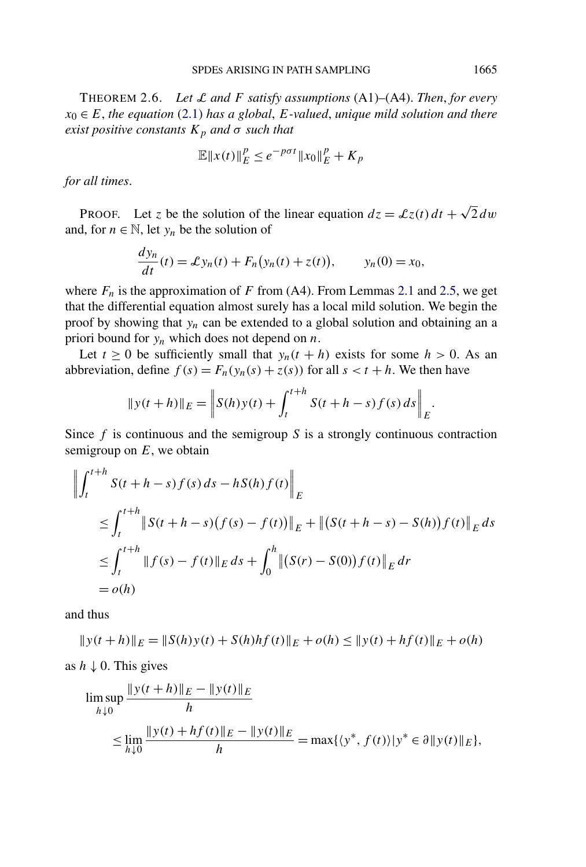<span id="page-8-0"></span>THEOREM 2.6. *Let* L *and F satisfy assumptions* (A1)–(A4). *Then*, *for every*  $x_0 \in E$ , the equation [\(2.1\)](#page-4-0) has a global, *E*-valued, unique mild solution and there *exist positive constants*  $K_p$  *and*  $\sigma$  *such that* 

$$
\mathbb{E}\|x(t)\|_E^p \le e^{-p\sigma t} \|x_0\|_E^p + K_p
$$

*for all times*.

PROOF. Let *z* be the solution of the linear equation  $dz = \mathcal{L}z(t) dt + \sqrt{2} dw$ and, for  $n \in \mathbb{N}$ , let  $y_n$  be the solution of

$$
\frac{dy_n}{dt}(t) = \mathcal{L}y_n(t) + F_n(y_n(t) + z(t)), \qquad y_n(0) = x_0,
$$

where  $F_n$  is the approximation of  $F$  from (A4). From Lemmas [2.1](#page-5-0) and [2.5,](#page-7-0) we get that the differential equation almost surely has a local mild solution. We begin the proof by showing that *yn* can be extended to a global solution and obtaining an a priori bound for *yn* which does not depend on *n*.

Let  $t \ge 0$  be sufficiently small that  $y_n(t + h)$  exists for some  $h > 0$ . As an abbreviation, define  $f(s) = F_n(y_n(s) + z(s))$  for all  $s < t + h$ . We then have

$$
||y(t+h)||_E = \left||S(h)y(t) + \int_t^{t+h} S(t+h-s)f(s) \, ds\right||_E.
$$

Since *f* is continuous and the semigroup *S* is a strongly continuous contraction semigroup on *E*, we obtain

$$
\left\| \int_{t}^{t+h} S(t+h-s) f(s) ds - h S(h) f(t) \right\|_{E}
$$
  
\n
$$
\leq \int_{t}^{t+h} \left\| S(t+h-s) (f(s) - f(t)) \right\|_{E} + \left\| (S(t+h-s) - S(h)) f(t) \right\|_{E} ds
$$
  
\n
$$
\leq \int_{t}^{t+h} \left\| f(s) - f(t) \right\|_{E} ds + \int_{0}^{h} \left\| (S(r) - S(0)) f(t) \right\|_{E} dr
$$
  
\n
$$
= o(h)
$$

and thus

$$
||y(t+h)||_E = ||S(h)y(t) + S(h)hf(t)||_E + o(h) \le ||y(t) + hf(t)||_E + o(h)
$$

as  $h \downarrow 0$ . This gives

$$
\limsup_{h \downarrow 0} \frac{\|y(t+h)\|_E - \|y(t)\|_E}{h}
$$
\n
$$
\leq \lim_{h \downarrow 0} \frac{\|y(t) + hf(t)\|_E - \|y(t)\|_E}{h} = \max\{\langle y^*, f(t) \rangle | y^* \in \partial \|y(t)\|_E\},
$$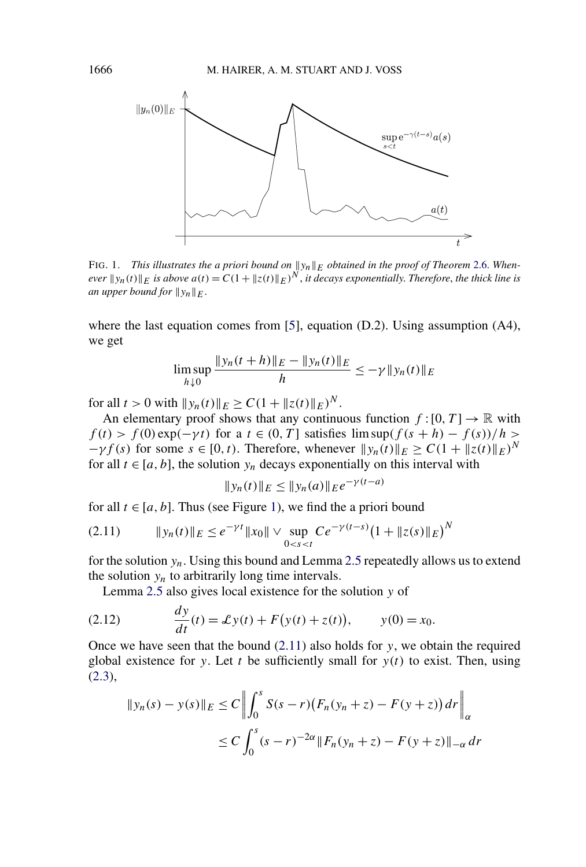<span id="page-9-0"></span>

FIG. 1. *This illustrates the a priori bound on*  $||y_n||_E$  *obtained in the proof of Theorem* [2.6.](#page-8-0) When*ever*  $\|y_n(t)\|_E$  *is above*  $a(t) = C(1 + \|z(t)\|_E)^N$ , *it decays exponentially. Therefore, the thick line is an upper bound for*  $||y_n||_E$ .

where the last equation comes from [\[5\]](#page-48-0), equation (D.2). Using assumption (A4), we get

$$
\limsup_{h \downarrow 0} \frac{\|y_n(t+h)\|_E - \|y_n(t)\|_E}{h} \le -\gamma \|y_n(t)\|_E
$$

for all  $t > 0$  with  $||y_n(t)||_F > C(1 + ||z(t)||_F)^N$ .

An elementary proof shows that any continuous function  $f:[0, T] \to \mathbb{R}$  with  $f(t) > f(0) \exp(-\gamma t)$  for a  $t \in (0, T]$  satisfies  $\limsup (f(s + h) - f(s))/h$  $-\gamma f(s)$  for some  $s \in [0, t)$ . Therefore, whenever  $||y_n(t)||_E \ge C(1 + ||z(t)||_E)^N$ for all  $t \in [a, b]$ , the solution  $y_n$  decays exponentially on this interval with

$$
||y_n(t)||_E \le ||y_n(a)||_E e^{-\gamma(t-a)}
$$

for all  $t \in [a, b]$ . Thus (see Figure 1), we find the a priori bound

$$
(2.11) \t\t\t ||y_n(t)||_E \le e^{-\gamma t} ||x_0|| \vee \sup_{0 < s < t} Ce^{-\gamma (t-s)} \big( 1 + ||z(s)||_E \big)^N
$$

for the solution *yn*. Using this bound and Lemma [2.5](#page-7-0) repeatedly allows us to extend the solution  $y_n$  to arbitrarily long time intervals.

Lemma [2.5](#page-7-0) also gives local existence for the solution *y* of

(2.12) 
$$
\frac{dy}{dt}(t) = \mathcal{L}y(t) + F(y(t) + z(t)), \qquad y(0) = x_0.
$$

Once we have seen that the bound (2.11) also holds for *y*, we obtain the required global existence for *y*. Let *t* be sufficiently small for  $y(t)$  to exist. Then, using  $(2.3),$  $(2.3),$ 

$$
\|y_n(s) - y(s)\|_E \le C \left\| \int_0^s S(s - r) (F_n(y_n + z) - F(y + z)) dr \right\|_{\alpha}
$$
  
 
$$
\le C \int_0^s (s - r)^{-2\alpha} \|F_n(y_n + z) - F(y + z)\|_{-\alpha} dr
$$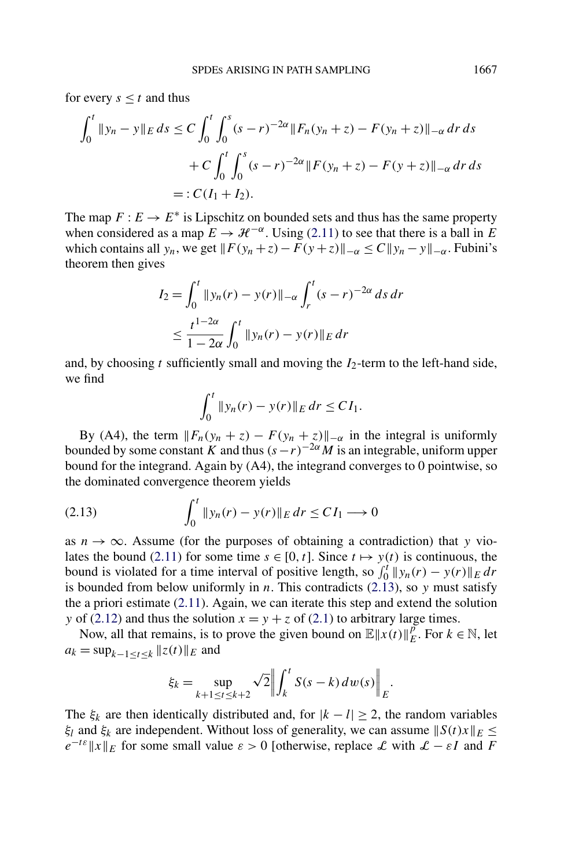for every  $s \leq t$  and thus

$$
\int_0^t \|y_n - y\|_E ds \le C \int_0^t \int_0^s (s - r)^{-2\alpha} \|F_n(y_n + z) - F(y_n + z)\|_{-\alpha} dr ds
$$
  
+ 
$$
C \int_0^t \int_0^s (s - r)^{-2\alpha} \|F(y_n + z) - F(y + z)\|_{-\alpha} dr ds
$$
  
= 
$$
: C(I_1 + I_2).
$$

The map  $F: E \to E^*$  is Lipschitz on bounded sets and thus has the same property when considered as a map  $E \to \mathcal{H}^{-\alpha}$ . Using [\(2.11\)](#page-9-0) to see that there is a ball in *E* which contains all  $y_n$ , we get  $||F(y_n + z) - F(y + z)||_{-\alpha} \le C||y_n - y||_{-\alpha}$ . Fubini's theorem then gives

$$
I_2 = \int_0^t \|y_n(r) - y(r)\|_{-\alpha} \int_r^t (s - r)^{-2\alpha} ds dr
$$
  

$$
\leq \frac{t^{1-2\alpha}}{1-2\alpha} \int_0^t \|y_n(r) - y(r)\|_E dr
$$

and, by choosing  $t$  sufficiently small and moving the  $I_2$ -term to the left-hand side, we find

$$
\int_0^t \|y_n(r) - y(r)\|_E \, dr \le C I_1.
$$

By (A4), the term  $||F_n(y_n + z) - F(y_n + z)||_{-\alpha}$  in the integral is uniformly bounded by some constant *K* and thus  $(s - r)^{-2\alpha} M$  is an integrable, uniform upper bound for the integrand. Again by (A4), the integrand converges to 0 pointwise, so the dominated convergence theorem yields

$$
(2.13) \qquad \qquad \int_0^t \|y_n(r) - y(r)\|_E \, dr \le C I_1 \longrightarrow 0
$$

as  $n \to \infty$ . Assume (for the purposes of obtaining a contradiction) that *y* vio-lates the bound [\(2.11\)](#page-9-0) for some time  $s \in [0, t]$ . Since  $t \mapsto y(t)$  is continuous, the bound is violated for a time interval of positive length, so  $\int_0^t ||y_n(r) - y(r)||_E dr$ is bounded from below uniformly in *n*. This contradicts (2.13), so *y* must satisfy the a priori estimate [\(2.11\)](#page-9-0). Again, we can iterate this step and extend the solution *y* of [\(2.12\)](#page-9-0) and thus the solution  $x = y + z$  of [\(2.1\)](#page-4-0) to arbitrary large times.

Now, all that remains, is to prove the given bound on  $\mathbb{E} ||x(t)||_E^p$ . For  $k \in \mathbb{N}$ , let  $a_k = \sup_{k=1 \le t \le k} ||z(t)||_E$  and

$$
\xi_k = \sup_{k+1 \le t \le k+2} \sqrt{2} \left\| \int_k^t S(s-k) \, dw(s) \right\|_E.
$$

The  $\xi_k$  are then identically distributed and, for  $|k - l| \geq 2$ , the random variables *ξ<sub>l</sub>* and *ξ<sub>k</sub>* are independent. Without loss of generality, we can assume  $||S(t)x||_E \le$  $e^{-t\epsilon}$ **E** *E* for some small value  $\epsilon > 0$  [otherwise, replace L with  $\mathcal{L} - \epsilon I$  and F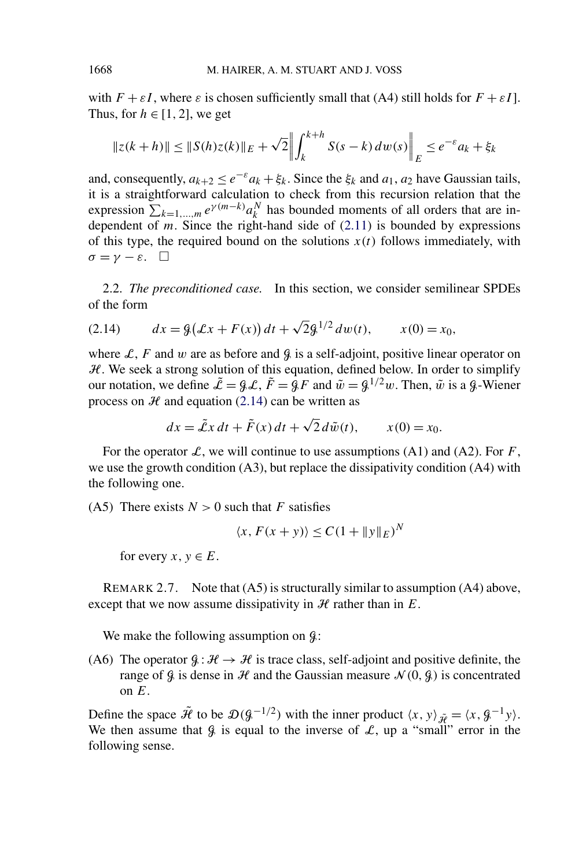with  $F + \varepsilon I$ , where  $\varepsilon$  is chosen sufficiently small that (A4) still holds for  $F + \varepsilon I$ . Thus, for  $h \in [1, 2]$ , we get

$$
||z(k+h)|| \le ||S(h)z(k)||_E + \sqrt{2} \left\| \int_k^{k+h} S(s-k) \, dw(s) \right\|_E \le e^{-\varepsilon} a_k + \xi_k
$$

and, consequently,  $a_{k+2} \le e^{-\varepsilon} a_k + \xi_k$ . Since the  $\xi_k$  and  $a_1, a_2$  have Gaussian tails, it is a straightforward calculation to check from this recursion relation that the expression  $\sum_{k=1,\dots,m} e^{\gamma(m-k)} a_k^N$  has bounded moments of all orders that are independent of  $m$ . Since the right-hand side of  $(2.11)$  is bounded by expressions of this type, the required bound on the solutions  $x(t)$  follows immediately, with  $\sigma = \gamma - \varepsilon$ .  $\Box$ 

2.2. *The preconditioned case.* In this section, we consider semilinear SPDEs of the form

(2.14) 
$$
dx = \mathcal{G}(\mathcal{L}x + F(x))dt + \sqrt{2}\mathcal{G}^{1/2}dw(t), \qquad x(0) = x_0,
$$

where L, F and w are as before and  $\mathcal{G}$  is a self-adjoint, positive linear operator on  $H$ . We seek a strong solution of this equation, defined below. In order to simplify our notation, we define  $\tilde{\mathcal{L}} = \mathcal{GL}, \tilde{F} = \mathcal{L}F$  and  $\tilde{w} = \mathcal{L}^{1/2}w$ . Then,  $\tilde{w}$  is a  $\mathcal{L}$ -Wiener process on  $H$  and equation (2.14) can be written as

$$
dx = \tilde{\mathcal{L}}x dt + \tilde{F}(x) dt + \sqrt{2} d\tilde{w}(t), \qquad x(0) = x_0.
$$

For the operator  $\mathcal{L}$ , we will continue to use assumptions (A1) and (A2). For *F*, we use the growth condition (A3), but replace the dissipativity condition (A4) with the following one.

(A5) There exists  $N > 0$  such that *F* satisfies

 $\langle x, F(x+y) \rangle \le C(1 + ||y||_E)^N$ 

for every  $x, y \in E$ .

REMARK 2.7. Note that (A5) is structurally similar to assumption (A4) above, except that we now assume dissipativity in  $H$  rather than in  $E$ .

We make the following assumption on  $\mathcal{G}$ :

(A6) The operator  $\mathcal{G}: \mathcal{H} \to \mathcal{H}$  is trace class, self-adjoint and positive definite, the range of  $\mathcal{G}$  is dense in  $\mathcal{H}$  and the Gaussian measure  $\mathcal{N}(0,\mathcal{G})$  is concentrated on *E*.

Define the space  $\tilde{\mathcal{H}}$  to be  $\mathcal{D}(\mathcal{G}^{-1/2})$  with the inner product  $\langle x, y \rangle_{\tilde{\mathcal{H}}} = \langle x, \mathcal{G}^{-1}y \rangle$ . We then assume that  $\beta$  is equal to the inverse of  $\mathcal{L}$ , up a "small" error in the following sense.

<span id="page-11-0"></span>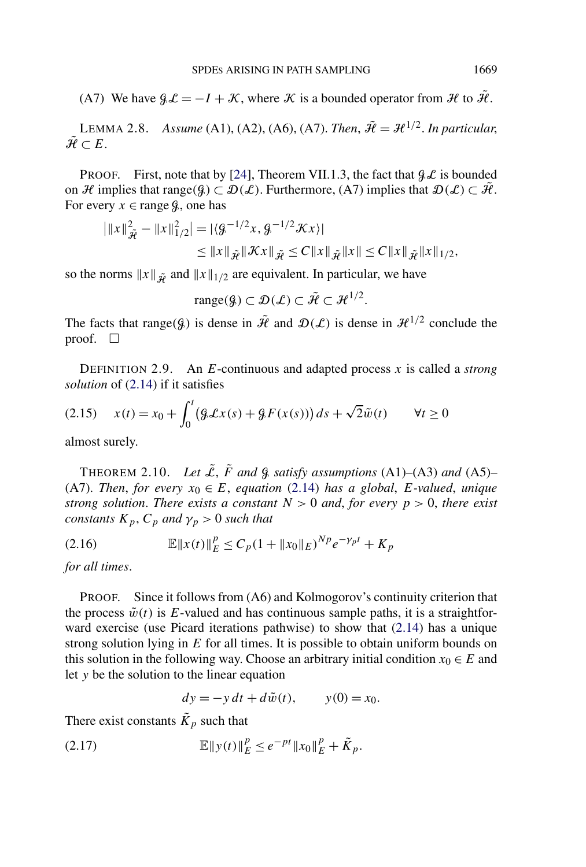<span id="page-12-0"></span>(A7) We have  $\mathcal{G}\mathcal{L} = -I + \mathcal{K}$ , where  $\mathcal K$  is a bounded operator from  $\mathcal H$  to  $\mathcal H$ .

LEMMA 2.8. *Assume* (A1), (A2), (A6), (A7). *Then*,  $\tilde{\mathcal{H}} = \mathcal{H}^{1/2}$ . *In particular*,  $\tilde{\mathcal{H}} \subset E$ .

PROOF. First, note that by [\[24\]](#page-49-0), Theorem VII.1.3, the fact that  $\mathcal{GL}$  is bounded on H implies that range $(\mathcal{G}) \subset \mathcal{D}(\mathcal{L})$ . Furthermore, (A7) implies that  $\mathcal{D}(\mathcal{L}) \subset \mathcal{H}$ . For every  $x \in \text{range } g$ , one has

$$
\|x\|_{\tilde{\mathcal{H}}}^2 - \|x\|_{1/2}^2 = |\langle \mathcal{G}^{-1/2}x, \mathcal{G}^{-1/2}Xx \rangle|
$$
  

$$
\leq \|x\|_{\tilde{\mathcal{H}}} \|\mathcal{K}x\|_{\tilde{\mathcal{H}}} \leq C \|x\|_{\tilde{\mathcal{H}}} \|x\| \leq C \|x\|_{\tilde{\mathcal{H}}} \|x\|_{1/2},
$$

so the norms  $||x||_{\tilde{\mathbf{\psi}}}$  and  $||x||_{1/2}$  are equivalent. In particular, we have

range $(g) \subset \mathcal{D}(\mathcal{L}) \subset \tilde{\mathcal{H}} \subset \mathcal{H}^{1/2}$ .

The facts that range( $\mathcal{G}$ ) is dense in  $\tilde{\mathcal{H}}$  and  $\mathcal{D}(\mathcal{L})$  is dense in  $\mathcal{H}^{1/2}$  conclude the proof.  $\square$ 

DEFINITION 2.9. An *E*-continuous and adapted process *x* is called a *strong solution* of [\(2.14\)](#page-11-0) if it satisfies

(2.15) 
$$
x(t) = x_0 + \int_0^t (9 \mathcal{L}x(s) + 9F(x(s))) ds + \sqrt{2}\tilde{w}(t) \qquad \forall t \ge 0
$$

almost surely.

THEOREM 2.10. Let  $\tilde{\mathcal{L}}$ ,  $\tilde{F}$  and  $\hat{g}$  satisfy assumptions (A1)–(A3) and (A5)– (A7). *Then, for every*  $x_0 \in E$ *, equation* [\(2.14\)](#page-11-0) *has a global, E-valued, unique strong solution. There exists a constant*  $N > 0$  *and, for every*  $p > 0$ *, there exist constants*  $K_p$ ,  $C_p$  *and*  $\gamma_p > 0$  *such that* 

(2.16) 
$$
\mathbb{E} \|x(t)\|_E^p \leq C_p (1 + \|x_0\|_E)^{Np} e^{-\gamma_p t} + K_p
$$

*for all times*.

PROOF. Since it follows from (A6) and Kolmogorov's continuity criterion that the process  $\tilde{w}(t)$  is E-valued and has continuous sample paths, it is a straightforward exercise (use Picard iterations pathwise) to show that [\(2.14\)](#page-11-0) has a unique strong solution lying in *E* for all times. It is possible to obtain uniform bounds on this solution in the following way. Choose an arbitrary initial condition  $x_0 \in E$  and let *y* be the solution to the linear equation

$$
dy = -y dt + d\tilde{w}(t), \qquad y(0) = x_0.
$$

There exist constants  $\tilde{K}_p$  such that

(2.17) 
$$
\mathbb{E} \|y(t)\|_E^p \leq e^{-pt} \|x_0\|_E^p + \tilde{K}_p.
$$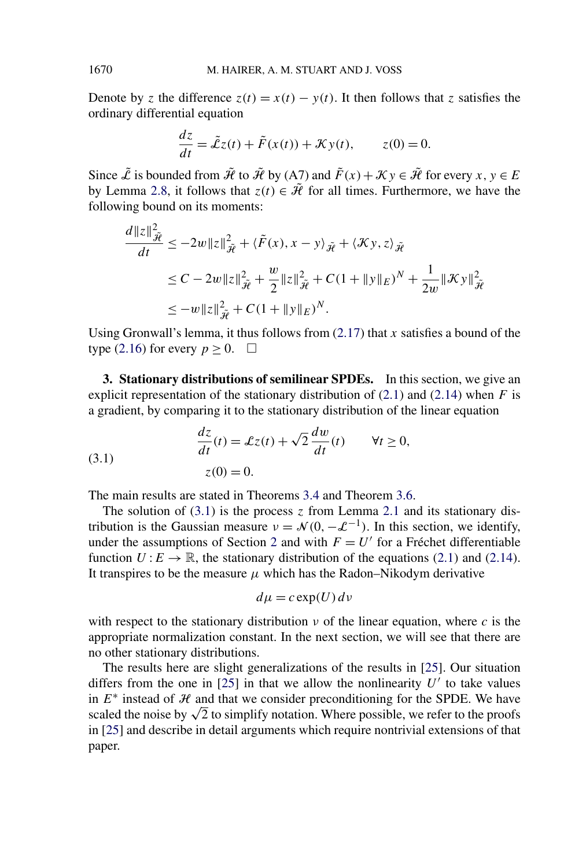Denote by *z* the difference  $z(t) = x(t) - y(t)$ . It then follows that *z* satisfies the ordinary differential equation

$$
\frac{dz}{dt} = \tilde{\mathcal{L}}z(t) + \tilde{F}(x(t)) + \mathcal{K}y(t), \qquad z(0) = 0.
$$

Since  $\tilde{\mathcal{L}}$  is bounded from  $\tilde{\mathcal{H}}$  to  $\tilde{\mathcal{H}}$  by (A7) and  $\tilde{F}(x) + \mathcal{K}y \in \tilde{\mathcal{H}}$  for every  $x, y \in E$ by Lemma [2.8,](#page-12-0) it follows that  $z(t) \in \tilde{\mathcal{H}}$  for all times. Furthermore, we have the following bound on its moments:

$$
\frac{d||z||_{\tilde{\mathcal{H}}}^{2}}{dt} \leq -2w||z||_{\tilde{\mathcal{H}}}^{2} + \langle \tilde{F}(x), x - y \rangle_{\tilde{\mathcal{H}}} + \langle \mathcal{K}y, z \rangle_{\tilde{\mathcal{H}}}
$$
  
\n
$$
\leq C - 2w||z||_{\tilde{\mathcal{H}}}^{2} + \frac{w}{2}||z||_{\tilde{\mathcal{H}}}^{2} + C(1 + ||y||_{E})^{N} + \frac{1}{2w}||\mathcal{K}y||_{\tilde{\mathcal{H}}}^{2}
$$
  
\n
$$
\leq -w||z||_{\tilde{\mathcal{H}}}^{2} + C(1 + ||y||_{E})^{N}.
$$

Using Gronwall's lemma, it thus follows from [\(2.17\)](#page-12-0) that *x* satisfies a bound of the type [\(2.16\)](#page-12-0) for every  $p \ge 0$ .  $\Box$ 

**3. Stationary distributions of semilinear SPDEs.** In this section, we give an explicit representation of the stationary distribution of  $(2.1)$  and  $(2.14)$  when *F* is a gradient, by comparing it to the stationary distribution of the linear equation

(3.1) 
$$
\frac{dz}{dt}(t) = \mathcal{L}z(t) + \sqrt{2}\frac{dw}{dt}(t) \qquad \forall t \ge 0,
$$

$$
z(0) = 0.
$$

The main results are stated in Theorems [3.4](#page-18-0) and Theorem [3.6.](#page-20-0)

The solution of  $(3.1)$  is the process *z* from Lemma [2.1](#page-5-0) and its stationary distribution is the Gaussian measure  $v = \mathcal{N}(0, -\mathcal{L}^{-1})$ . In this section, we identify, under the assumptions of Section [2](#page-3-0) and with  $F = U'$  for a Fréchet differentiable function  $U: E \to \mathbb{R}$ , the stationary distribution of the equations [\(2.1\)](#page-4-0) and [\(2.14\)](#page-11-0). It transpires to be the measure  $\mu$  which has the Radon–Nikodym derivative

$$
d\mu = c \exp(U) \, dv
$$

with respect to the stationary distribution  $\nu$  of the linear equation, where  $c$  is the appropriate normalization constant. In the next section, we will see that there are no other stationary distributions.

The results here are slight generalizations of the results in [\[25\]](#page-49-0). Our situation differs from the one in [\[25\]](#page-49-0) in that we allow the nonlinearity  $U'$  to take values in  $E^*$  instead of  $H$  and that we consider preconditioning for the SPDE. We have scaled the noise by  $\sqrt{2}$  to simplify notation. Where possible, we refer to the proofs in [\[25\]](#page-49-0) and describe in detail arguments which require nontrivial extensions of that paper.

<span id="page-13-0"></span>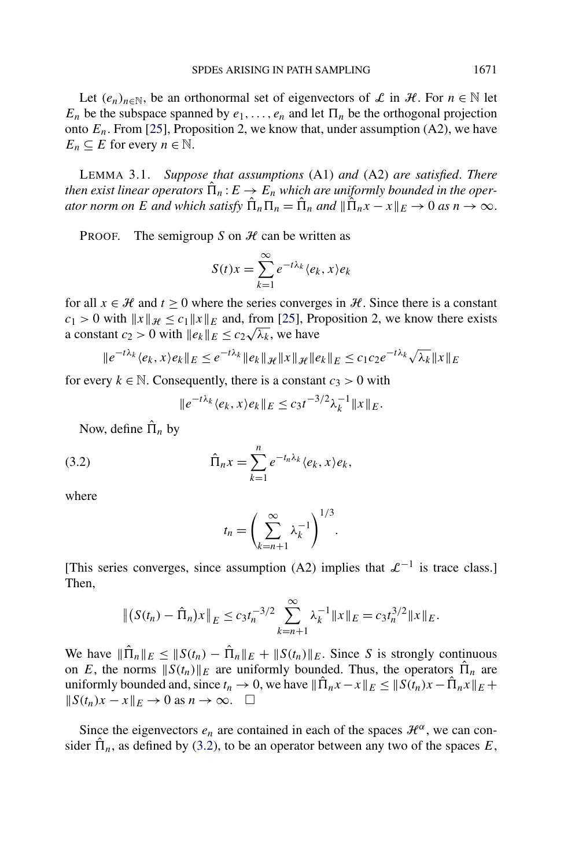<span id="page-14-0"></span>Let  $(e_n)_{n \in \mathbb{N}}$ , be an orthonormal set of eigenvectors of L in H. For  $n \in \mathbb{N}$  let  $E_n$  be the subspace spanned by  $e_1, \ldots, e_n$  and let  $\Pi_n$  be the orthogonal projection onto  $E_n$ . From [\[25\]](#page-49-0), Proposition 2, we know that, under assumption  $(A2)$ , we have  $E_n \subseteq E$  for every  $n \in \mathbb{N}$ .

LEMMA 3.1. *Suppose that assumptions* (A1) *and* (A2) *are satisfied*. *There then exist linear operators*  $\hat{\Pi}_n : E \to E_n$  *which are uniformly bounded in the operator norm on E and which satisfy*  $\hat{\Pi}_n \Pi_n = \hat{\Pi}_n$  *and*  $\|\hat{\Pi}_n x - x\|_E \to 0$  *as*  $n \to \infty$ .

PROOF. The semigroup *S* on  $H$  can be written as

$$
S(t)x = \sum_{k=1}^{\infty} e^{-t\lambda_k} \langle e_k, x \rangle e_k
$$

for all  $x \in \mathcal{H}$  and  $t \geq 0$  where the series converges in  $\mathcal{H}$ . Since there is a constant  $c_1 > 0$  with  $||x||_{\mathcal{H}} \le c_1 ||x||_E$  and, from [\[25\]](#page-49-0), Proposition 2, we know there exists  $c_1 > 0$  with  $||x||_{\mathcal{H}} \le c_1 ||x||_E$  and, from [25], Proposent  $c_2 > 0$  with  $||e_k||_E \le c_2 \sqrt{\lambda_k}$ , we have

$$
||e^{-t\lambda_k} \langle e_k, x \rangle e_k||_E \le e^{-t\lambda_k} ||e_k||_{\mathcal{H}} ||x||_{\mathcal{H}} ||e_k||_E \le c_1 c_2 e^{-t\lambda_k} \sqrt{\lambda_k} ||x||_E
$$

for every  $k \in \mathbb{N}$ . Consequently, there is a constant  $c_3 > 0$  with

$$
||e^{-t\lambda_k} \langle e_k, x \rangle e_k||_E \le c_3 t^{-3/2} \lambda_k^{-1} ||x||_E.
$$

Now, define  $\hat{\Pi}_n$  by

(3.2) 
$$
\hat{\Pi}_n x = \sum_{k=1}^n e^{-t_n \lambda_k} \langle e_k, x \rangle e_k,
$$

where

$$
t_n = \left(\sum_{k=n+1}^{\infty} \lambda_k^{-1}\right)^{1/3}.
$$

[This series converges, since assumption (A2) implies that  $\mathcal{L}^{-1}$  is trace class.] Then,

$$
\|(S(t_n)-\hat{\Pi}_n)x\|_E \le c_3 t_n^{-3/2} \sum_{k=n+1}^{\infty} \lambda_k^{-1} \|x\|_E = c_3 t_n^{3/2} \|x\|_E.
$$

We have  $\|\hat{\Pi}_n\|_E \leq \|S(t_n) - \hat{\Pi}_n\|_E + \|S(t_n)\|_E$ . Since *S* is strongly continuous on *E*, the norms  $||S(t_n)||_E$  are uniformly bounded. Thus, the operators  $\hat{\Pi}_n$  are uniformly bounded and, since  $t_n \to 0$ , we have  $\|\hat{\Pi}_n x - x\|_E \leq \|S(t_n)x - \hat{\Pi}_n x\|_E +$  $\|S(t_n)x - x\|_E \to 0$  as  $n \to \infty$ . □

Since the eigenvectors  $e_n$  are contained in each of the spaces  $\mathcal{H}^{\alpha}$ , we can consider  $\hat{\Pi}_n$ , as defined by (3.2), to be an operator between any two of the spaces E,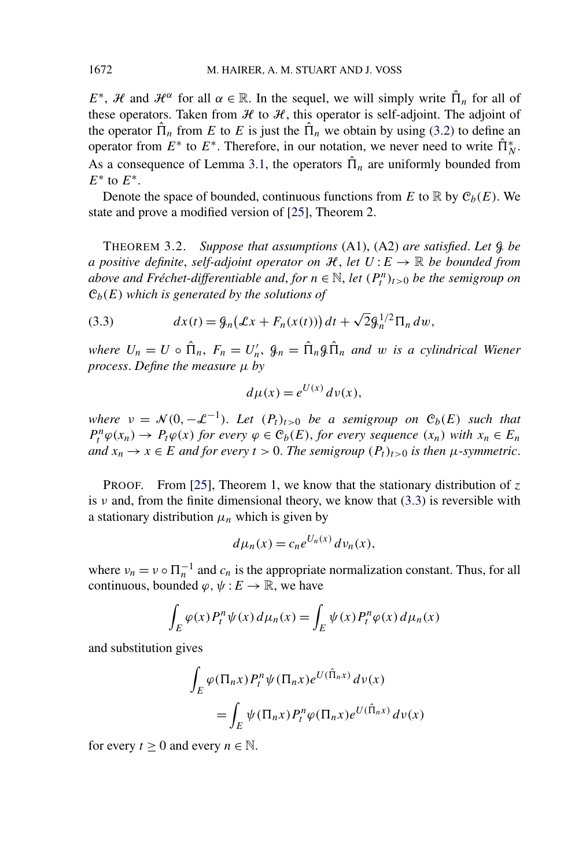*E*<sup>\*</sup>, *H* and  $\mathcal{H}^{\alpha}$  for all  $\alpha \in \mathbb{R}$ . In the sequel, we will simply write  $\hat{\Pi}_n$  for all of these operators. Taken from  $H$  to  $H$ , this operator is self-adjoint. The adjoint of the operator  $\hat{\Pi}_n$  from *E* to *E* is just the  $\hat{\Pi}_n$  we obtain by using [\(3.2\)](#page-14-0) to define an operator from  $E^*$  to  $E^*$ . Therefore, in our notation, we never need to write  $\hat{\Pi}_N^*$ . As a consequence of Lemma [3.1,](#page-14-0) the operators  $\hat{\Pi}_n$  are uniformly bounded from *E*<sup>∗</sup> to *E*∗.

Denote the space of bounded, continuous functions from  $E$  to  $\mathbb R$  by  $\mathcal C_b(E)$ . We state and prove a modified version of [\[25\]](#page-49-0), Theorem 2.

THEOREM 3.2. *Suppose that assumptions* (A1), (A2) *are satisfied*. *Let* G *be a positive definite, self-adjoint operator on*  $H$ *, let*  $U: E \to \mathbb{R}$  *be bounded from above and Fréchet-differentiable and, for*  $n \in \mathbb{N}$ , *let*  $(P_t^n)_{t>0}$  *be the semigroup on* C*b(E) which is generated by the solutions of*

(3.3) 
$$
dx(t) = \mathcal{G}_n(\mathcal{L}x + F_n(x(t))) dt + \sqrt{2} \mathcal{G}_n^{1/2} \Pi_n dw,
$$

*where*  $U_n = U \circ \hat{\Pi}_n$ ,  $F_n = U'_n$ ,  $\hat{\mathcal{G}}_n = \hat{\Pi}_n \hat{\mathcal{G}} \hat{\Pi}_n$  and w is a cylindrical Wiener *process*. *Define the measure µ by*

$$
d\mu(x) = e^{U(x)} d\nu(x),
$$

*where*  $v = \mathcal{N}(0, -\mathcal{L}^{-1})$ . Let  $(P_t)_{t>0}$  be a semigroup on  $\mathcal{C}_b(E)$  such that  $P_t^n \varphi(x_n) \to P_t \varphi(x)$  *for every*  $\varphi \in C_b(E)$ *, for every sequence*  $(x_n)$  *with*  $x_n \in E_n$ *and*  $x_n$  →  $x$  ∈ *E and for every*  $t$  > 0. *The semigroup*  $(P_t)_{t>0}$  *is then*  $\mu$ -symmetric.

PROOF. From [\[25\]](#page-49-0), Theorem 1, we know that the stationary distribution of *z* is  $\nu$  and, from the finite dimensional theory, we know that (3.3) is reversible with a stationary distribution  $\mu_n$  which is given by

$$
d\mu_n(x) = c_n e^{U_n(x)} d\nu_n(x),
$$

where  $v_n = v \circ \Pi_n^{-1}$  and  $c_n$  is the appropriate normalization constant. Thus, for all continuous, bounded  $\varphi, \psi: E \to \mathbb{R}$ , we have

$$
\int_{E} \varphi(x) P_t^n \psi(x) d\mu_n(x) = \int_{E} \psi(x) P_t^n \varphi(x) d\mu_n(x)
$$

and substitution gives

$$
\int_{E} \varphi(\Pi_n x) P_t^n \psi(\Pi_n x) e^{U(\hat{\Pi}_n x)} d\nu(x)
$$
  
= 
$$
\int_{E} \psi(\Pi_n x) P_t^n \varphi(\Pi_n x) e^{U(\hat{\Pi}_n x)} d\nu(x)
$$

for every  $t \geq 0$  and every  $n \in \mathbb{N}$ .

<span id="page-15-0"></span>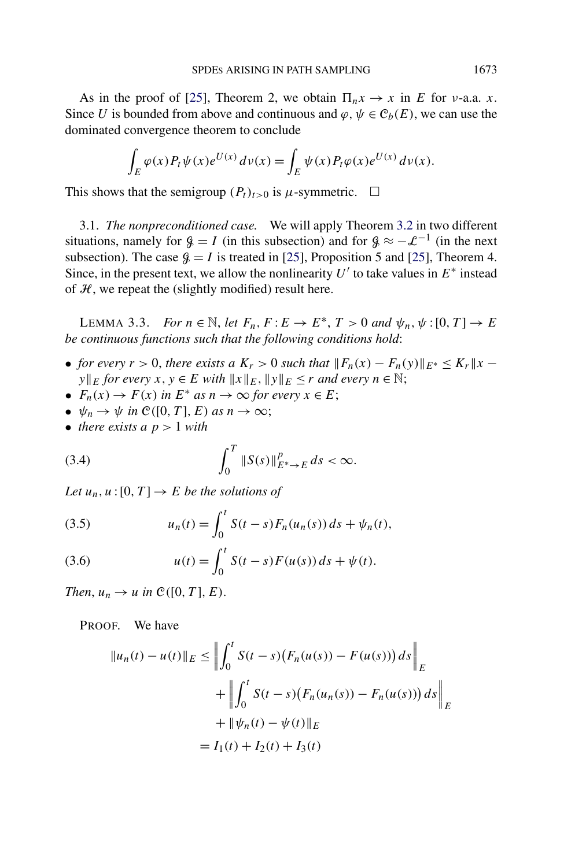<span id="page-16-0"></span>As in the proof of [\[25\]](#page-49-0), Theorem 2, we obtain  $\Pi_n x \to x$  in *E* for *v*-a.a. *x*. Since *U* is bounded from above and continuous and  $\varphi, \psi \in C_b(E)$ , we can use the dominated convergence theorem to conclude

$$
\int_E \varphi(x) P_t \psi(x) e^{U(x)} \, d\nu(x) = \int_E \psi(x) P_t \varphi(x) e^{U(x)} \, d\nu(x).
$$

This shows that the semigroup  $(P_t)_{t>0}$  is  $\mu$ -symmetric.  $\Box$ 

3.1. *The nonpreconditioned case.* We will apply Theorem [3.2](#page-15-0) in two different situations, namely for  $\mathcal{G} = I$  (in this subsection) and for  $\mathcal{G} \approx -\mathcal{L}^{-1}$  (in the next subsection). The case  $\beta = I$  is treated in [\[25\]](#page-49-0), Proposition 5 and [25], Theorem 4. Since, in the present text, we allow the nonlinearity  $U'$  to take values in  $E^*$  instead of  $H$ , we repeat the (slightly modified) result here.

LEMMA 3.3. *For*  $n \in \mathbb{N}$ , let  $F_n$ ,  $F: E \to E^*$ ,  $T > 0$  and  $\psi_n$ ,  $\psi: [0, T] \to E$ *be continuous functions such that the following conditions hold*:

- *for every*  $r > 0$ , there exists a  $K_r > 0$  such that  $||F_n(x) F_n(y)||_{E^*} \le K_r ||x y||$ *y* $||E$  *for every x*, *y*  $\in E$  *with*  $||x||_E$ ,  $||y||_E \le r$  *and every*  $n \in \mathbb{N}$ ;
- $F_n(x) \to F(x)$  in  $E^*$  *as*  $n \to \infty$  *for every*  $x \in E$ ;
- $\psi_n \to \psi$  *in*  $\mathcal{C}([0, T], E)$  *as*  $n \to \infty$ ;
- *there exists a*  $p > 1$  *with*

(3.4) 
$$
\int_0^T \|S(s)\|_{E^*\to E}^p ds < \infty.
$$

*Let*  $u_n, u:[0, T] \to E$  *be the solutions of* 

(3.5) 
$$
u_n(t) = \int_0^t S(t-s) F_n(u_n(s)) ds + \psi_n(t),
$$

(3.6) 
$$
u(t) = \int_0^t S(t-s) F(u(s)) ds + \psi(t).
$$

*Then,*  $u_n \rightarrow u$  *in*  $\mathcal{C}([0, T], E)$ .

PROOF. We have

$$
||u_n(t) - u(t)||_E \le \left\| \int_0^t S(t - s) (F_n(u(s)) - F(u(s))) ds \right\|_E
$$
  
+ 
$$
\left\| \int_0^t S(t - s) (F_n(u_n(s)) - F_n(u(s))) ds \right\|_E
$$
  
+ 
$$
||\psi_n(t) - \psi(t)||_E
$$
  
=  $I_1(t) + I_2(t) + I_3(t)$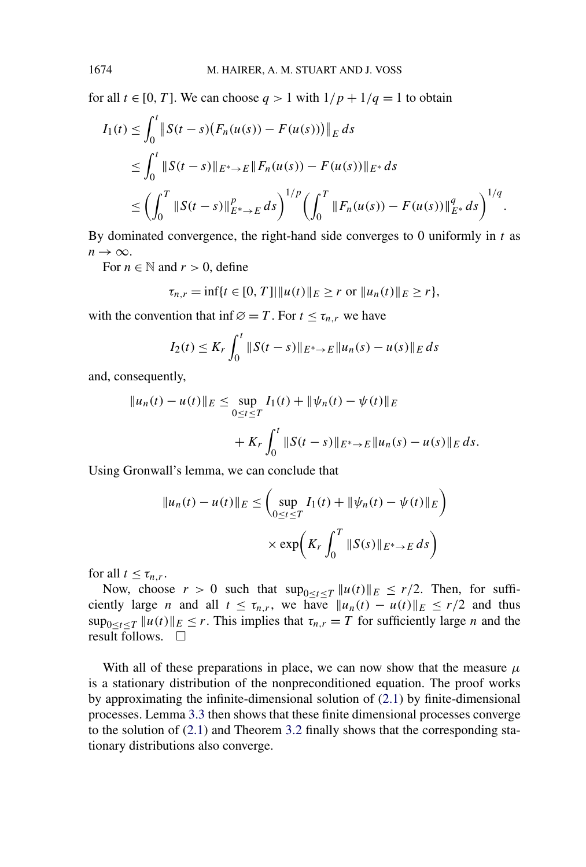for all  $t \in [0, T]$ . We can choose  $q > 1$  with  $1/p + 1/q = 1$  to obtain

$$
I_1(t) \le \int_0^t \|S(t-s)\big(F_n(u(s)) - F(u(s))\big)\|_E ds
$$
  
\n
$$
\le \int_0^t \|S(t-s)\|_{E^*\to E} \|F_n(u(s)) - F(u(s))\|_{E^*} ds
$$
  
\n
$$
\le \left(\int_0^T \|S(t-s)\|_{E^*\to E}^p ds\right)^{1/p} \left(\int_0^T \|F_n(u(s)) - F(u(s))\|_{E^*}^q ds\right)^{1/q}.
$$

By dominated convergence, the right-hand side converges to 0 uniformly in *t* as  $n \rightarrow \infty$ .

For  $n \in \mathbb{N}$  and  $r > 0$ , define

$$
\tau_{n,r} = \inf\{t \in [0,T] | ||u(t)||_E \ge r \text{ or } ||u_n(t)||_E \ge r\},\
$$

with the convention that inf $\emptyset = T$ . For  $t \leq \tau_{n,r}$  we have

$$
I_2(t) \le K_r \int_0^t \|S(t-s)\|_{E^*\to E} \|u_n(s) - u(s)\|_E ds
$$

and, consequently,

$$
||u_n(t) - u(t)||_E \le \sup_{0 \le t \le T} I_1(t) + ||\psi_n(t) - \psi(t)||_E
$$
  
+  $K_r \int_0^t ||S(t - s)||_{E^* \to E} ||u_n(s) - u(s)||_E ds.$ 

Using Gronwall's lemma, we can conclude that

$$
||u_n(t) - u(t)||_E \leq \left(\sup_{0 \leq t \leq T} I_1(t) + ||\psi_n(t) - \psi(t)||_E\right)
$$

$$
\times \exp\left(K_r \int_0^T ||S(s)||_{E^* \to E} ds\right)
$$

for all  $t \leq \tau_{n,r}$ .

Now, choose  $r > 0$  such that  $\sup_{0 \le t \le T} ||u(t)||_E \le r/2$ . Then, for sufficiently large *n* and all  $t \leq \tau_{n,r}$ , we have  $||u_n(t) - u(t)||_E \leq r/2$  and thus  $\sup_{0 \le t \le T} ||u(t)||_E \le r$ . This implies that  $\tau_{n,r} = T$  for sufficiently large *n* and the result follows.  $\Box$ 

With all of these preparations in place, we can now show that the measure  $\mu$ is a stationary distribution of the nonpreconditioned equation. The proof works by approximating the infinite-dimensional solution of [\(2.1\)](#page-4-0) by finite-dimensional processes. Lemma [3.3](#page-16-0) then shows that these finite dimensional processes converge to the solution of [\(2.1\)](#page-4-0) and Theorem [3.2](#page-15-0) finally shows that the corresponding stationary distributions also converge.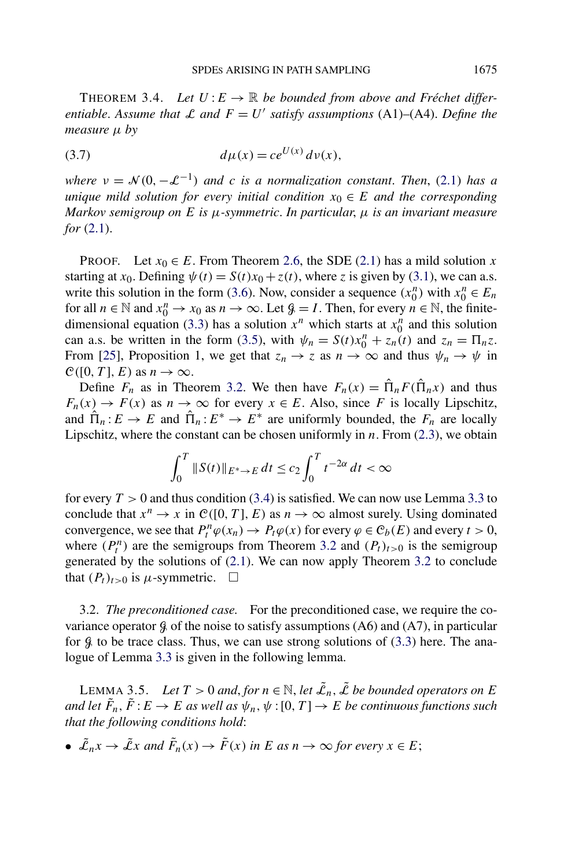<span id="page-18-0"></span>THEOREM 3.4. Let  $U: E \to \mathbb{R}$  be bounded from above and Fréchet differ*entiable.* Assume that L and  $F = U'$  satisfy assumptions (A1)–(A4). Define the *measure µ by*

(3.7) 
$$
d\mu(x) = ce^{U(x)} d\nu(x),
$$

*where*  $v = \mathcal{N}(0, -\mathcal{L}^{-1})$  *and c is a normalization constant. Then,* [\(2.1\)](#page-4-0) *has a unique mild solution for every initial condition*  $x_0 \in E$  *and the corresponding Markov semigroup on E is µ-symmetric*. *In particular*, *µ is an invariant measure for* [\(2.1\)](#page-4-0).

PROOF. Let  $x_0 \in E$ . From Theorem [2.6,](#page-8-0) the SDE [\(2.1\)](#page-4-0) has a mild solution *x* starting at *x*<sub>0</sub>. Defining  $\psi(t) = S(t)x_0 + z(t)$ , where *z* is given by [\(3.1\)](#page-13-0), we can a.s. write this solution in the form [\(3.6\)](#page-16-0). Now, consider a sequence  $(x_0^n)$  with  $x_0^n \in E_n$ for all  $n \in \mathbb{N}$  and  $x_0^n \to x_0$  as  $n \to \infty$ . Let  $\mathcal{G} = I$ . Then, for every  $n \in \mathbb{N}$ , the finite-dimensional equation [\(3.3\)](#page-15-0) has a solution  $x^n$  which starts at  $x_0^n$  and this solution can a.s. be written in the form [\(3.5\)](#page-16-0), with  $\psi_n = S(t)x_0^n + z_n(t)$  and  $z_n = \prod_{n \ge 0} z_n$ . From [\[25\]](#page-49-0), Proposition 1, we get that  $z_n \to z$  as  $n \to \infty$  and thus  $\psi_n \to \psi$  in  $\mathcal{C}([0, T], E)$  as  $n \to \infty$ .

Define  $F_n$  as in Theorem [3.2.](#page-15-0) We then have  $F_n(x) = \hat{\Pi}_n F(\hat{\Pi}_n x)$  and thus  $F_n(x) \to F(x)$  as  $n \to \infty$  for every  $x \in E$ . Also, since *F* is locally Lipschitz, and  $\hat{\Pi}_n : E \to E$  and  $\hat{\Pi}_n : E^* \to E^*$  are uniformly bounded, the  $F_n$  are locally Lipschitz, where the constant can be chosen uniformly in *n*. From [\(2.3\)](#page-4-0), we obtain

$$
\int_0^T \|S(t)\|_{E^*\to E} dt \le c_2 \int_0^T t^{-2\alpha} dt < \infty
$$

for every  $T > 0$  and thus condition [\(3.4\)](#page-16-0) is satisfied. We can now use Lemma [3.3](#page-16-0) to conclude that  $x^n \to x$  in  $\mathcal{C}([0, T], E)$  as  $n \to \infty$  almost surely. Using dominated convergence, we see that  $P_t^n \varphi(x_n) \to P_t \varphi(x)$  for every  $\varphi \in \mathcal{C}_b(E)$  and every  $t > 0$ , where  $(P_t^n)$  are the semigroups from Theorem [3.2](#page-15-0) and  $(P_t)_{t>0}$  is the semigroup generated by the solutions of  $(2.1)$ . We can now apply Theorem [3.2](#page-15-0) to conclude that  $(P_t)_{t>0}$  is  $\mu$ -symmetric.  $\Box$ 

3.2. *The preconditioned case.* For the preconditioned case, we require the covariance operator  $\mathcal G$  of the noise to satisfy assumptions (A6) and (A7), in particular for  $\hat{\mathcal{G}}$  to be trace class. Thus, we can use strong solutions of [\(3.3\)](#page-15-0) here. The analogue of Lemma [3.3](#page-16-0) is given in the following lemma.

LEMMA 3.5. *Let*  $T > 0$  *and, for*  $n \in \mathbb{N}$ *, let*  $\tilde{\mathcal{L}}_n$ *,*  $\tilde{\mathcal{L}}$  *be bounded operators on E and let*  $\tilde{F}_n$ ,  $\tilde{F}: E \to E$  *as well as*  $\psi_n$ ,  $\psi$  : [0, T]  $\to E$  *be continuous functions such that the following conditions hold*:

• 
$$
\tilde{\mathcal{L}}_n x \to \tilde{\mathcal{L}} x
$$
 and  $\tilde{F}_n(x) \to \tilde{F}(x)$  in E as  $n \to \infty$  for every  $x \in E$ ;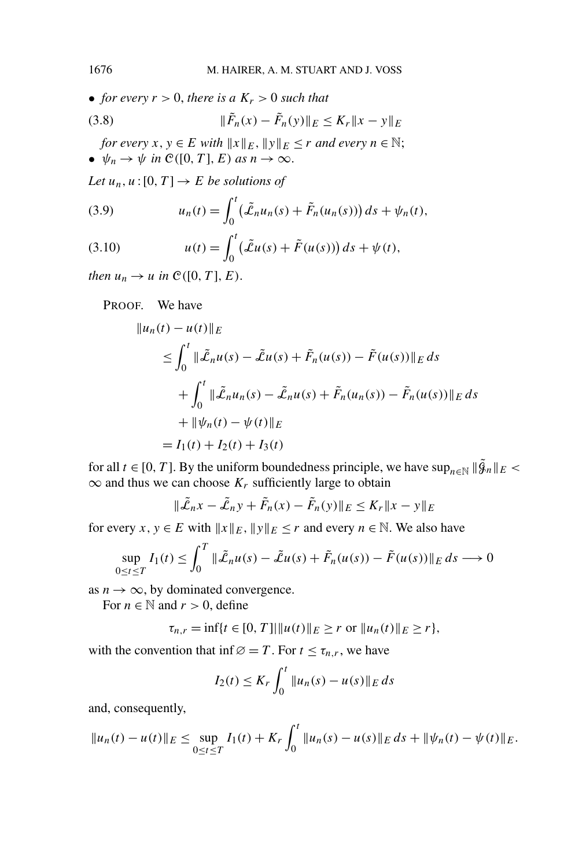<span id="page-19-0"></span>• *for every*  $r > 0$ *, there is a*  $K_r > 0$  *such that* 

(3.8) 
$$
\|\tilde{F}_n(x) - \tilde{F}_n(y)\|_E \le K_r \|x - y\|_E
$$

*for every*  $x, y \in E$  *with*  $||x||_E$ ,  $||y||_E \le r$  *and every*  $n \in \mathbb{N}$ ; •  $\psi_n \to \psi$  *in*  $\mathcal{C}([0, T], E)$  *as*  $n \to \infty$ .

*Let*  $u_n, u:[0, T] \to E$  *be solutions of* 

(3.9) 
$$
u_n(t) = \int_0^t \left(\tilde{\mathcal{L}}_n u_n(s) + \tilde{F}_n(u_n(s))\right) ds + \psi_n(t),
$$

(3.10) 
$$
u(t) = \int_0^t (\tilde{L}u(s) + \tilde{F}(u(s))) ds + \psi(t),
$$

*then*  $u_n \to u$  *in*  $\mathcal{C}([0, T], E)$ .

PROOF. We have

$$
||u_n(t) - u(t)||_E
$$
  
\n
$$
\leq \int_0^t ||\tilde{L}_n u(s) - \tilde{L}_n u(s)| + \tilde{F}_n (u(s)) - \tilde{F}(u(s))||_E ds
$$
  
\n
$$
+ \int_0^t ||\tilde{L}_n u_n(s) - \tilde{L}_n u(s)| + \tilde{F}_n (u_n(s)) - \tilde{F}_n (u(s))||_E ds
$$
  
\n
$$
+ ||\psi_n(t) - \psi(t)||_E
$$
  
\n
$$
= I_1(t) + I_2(t) + I_3(t)
$$

for all  $t \in [0, T]$ . By the uniform boundedness principle, we have  $\sup_{n \in \mathbb{N}} ||\tilde{g}_n||_E$  $\infty$  and thus we can choose  $K_r$  sufficiently large to obtain

$$
\|\tilde{\mathcal{L}}_n x - \tilde{\mathcal{L}}_n y + \tilde{F}_n(x) - \tilde{F}_n(y)\|_E \le K_r \|x - y\|_E
$$

for every *x*,  $y \in E$  with  $||x||_E$ ,  $||y||_E \le r$  and every  $n \in \mathbb{N}$ . We also have

$$
\sup_{0 \le t \le T} I_1(t) \le \int_0^T \|\tilde{\mathcal{L}}_n u(s) - \tilde{\mathcal{L}} u(s) + \tilde{F}_n(u(s)) - \tilde{F}(u(s))\|_E ds \longrightarrow 0
$$

as  $n \to \infty$ , by dominated convergence.

For  $n \in \mathbb{N}$  and  $r > 0$ , define

$$
\tau_{n,r} = \inf\{t \in [0,T] | \|u(t)\|_E \ge r \text{ or } \|u_n(t)\|_E \ge r\},\
$$

with the convention that inf $\emptyset = T$ . For  $t \leq \tau_{n,r}$ , we have

$$
I_2(t) \le K_r \int_0^t \|u_n(s) - u(s)\|_E ds
$$

and, consequently,

$$
||u_n(t) - u(t)||_E \le \sup_{0 \le t \le T} I_1(t) + K_r \int_0^t ||u_n(s) - u(s)||_E ds + ||\psi_n(t) - \psi(t)||_E.
$$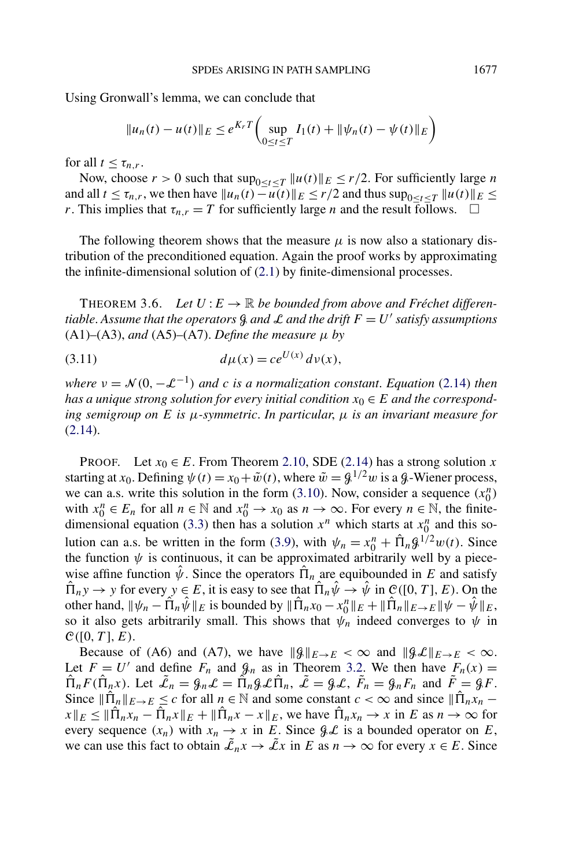<span id="page-20-0"></span>Using Gronwall's lemma, we can conclude that

$$
||u_n(t) - u(t)||_E \le e^{K_r T} \left( \sup_{0 \le t \le T} I_1(t) + ||\psi_n(t) - \psi(t)||_E \right)
$$

for all  $t \leq \tau_{n,r}$ .

Now, choose  $r > 0$  such that  $\sup_{0 \le t \le T} ||u(t)||_E \le r/2$ . For sufficiently large *n* and all  $t \leq \tau_{n,r}$ , we then have  $||u_n(t) - u(t)||_E \leq r/2$  and thus  $\sup_{0 \leq t \leq T} ||u(t)||_E \leq$ *r*. This implies that  $\tau_{n,r} = T$  for sufficiently large *n* and the result follows.  $\Box$ 

The following theorem shows that the measure  $\mu$  is now also a stationary distribution of the preconditioned equation. Again the proof works by approximating the infinite-dimensional solution of [\(2.1\)](#page-4-0) by finite-dimensional processes.

THEOREM 3.6. Let  $U: E \to \mathbb{R}$  be bounded from above and Fréchet differen*tiable. Assume that the operators*  $\mathcal{G}$  *and*  $\mathcal{L}$  *and the drift*  $F = U'$  *satisfy assumptions*  $(A1)$ – $(A3)$ , *and*  $(A5)$ – $(A7)$ . *Define the measure*  $\mu$  *by* 

(3.11) 
$$
d\mu(x) = ce^{U(x)} d\nu(x),
$$

*where*  $v = \mathcal{N}(0, -\mathcal{L}^{-1})$  *and c is a normalization constant. Equation* [\(2.14\)](#page-11-0) *then has a unique strong solution for every initial condition*  $x_0 \in E$  *and the corresponding semigroup on E is µ-symmetric*. *In particular*, *µ is an invariant measure for* [\(2.14\)](#page-11-0).

PROOF. Let  $x_0 \in E$ . From Theorem [2.10,](#page-12-0) SDE [\(2.14\)](#page-11-0) has a strong solution *x* starting at *x*<sub>0</sub>. Defining  $\psi(t) = x_0 + \tilde{w}(t)$ , where  $\tilde{w} = \frac{g}{\pi} \mu^2 w$  is a  $\phi$ -Wiener process, we can a.s. write this solution in the form [\(3.10\)](#page-19-0). Now, consider a sequence  $(x_0^n)$ with  $x_0^n \in E_n$  for all  $n \in \mathbb{N}$  and  $x_0^n \to x_0$  as  $n \to \infty$ . For every  $n \in \mathbb{N}$ , the finite-dimensional equation [\(3.3\)](#page-15-0) then has a solution  $x^n$  which starts at  $x_0^n$  and this so-lution can a.s. be written in the form [\(3.9\)](#page-19-0), with  $\psi_n = x_0^n + \hat{\Pi}_n \mathcal{G}^{1/2} w(t)$ . Since the function  $\psi$  is continuous, it can be approximated arbitrarily well by a piecewise affine function  $\hat{\psi}$ . Since the operators  $\hat{\Pi}_n$  are equibounded in *E* and satisfy  $\hat{\Pi}_n y \to y$  for every  $y \in E$ , it is easy to see that  $\hat{\Pi}_n \hat{\psi} \to \hat{\psi}$  in  $\mathcal{C}([0, T], E)$ . On the other hand,  $\|\psi_n - \hat{\Pi}_n \hat{\psi}\|_E$  is bounded by  $\|\hat{\Pi}_n x_0 - x_0^n\|_E + \|\hat{\Pi}_n\|_{E\to E} \|\psi - \hat{\psi}\|_E$ , so it also gets arbitrarily small. This shows that  $\psi_n$  indeed converges to  $\psi$  in  $C([0, T], E)$ .

Because of (A6) and (A7), we have  $\|\mathcal{G}\|_{E\to E} < \infty$  and  $\|\mathcal{G}\mathcal{L}\|_{E\to E} < \infty$ . Let  $F = U'$  and define  $F_n$  and  $\mathcal{G}_n$  as in Theorem [3.2.](#page-15-0) We then have  $F_n(x) =$  $\hat{\Pi}_n F(\hat{\Pi}_n x)$ . Let  $\tilde{\mathcal{L}}_n = \mathcal{G}_n \mathcal{L} = \tilde{\Pi}_n \mathcal{G} \mathcal{L} \hat{\Pi}_n$ ,  $\tilde{\mathcal{L}} = \mathcal{G} \mathcal{L}$ ,  $\tilde{F}_n = \mathcal{G}_n F_n$  and  $\tilde{F} = \mathcal{G} F$ . Since  $\|\hat{\Pi}_n\|_{E\to E} \leq c$  for all  $n \in \mathbb{N}$  and some constant  $c < \infty$  and since  $\|\hat{\Pi}_n x_n$  $x \|_{E} \leq \|\Pi_n x_n - \Pi_n x\|_{E} + \|\Pi_n x - x\|_{E}$ , we have  $\Pi_n x_n \to x$  in *E* as  $n \to \infty$  for every sequence  $(x_n)$  with  $x_n \to x$  in *E*. Since  $\mathcal{GL}$  is a bounded operator on *E*, we can use this fact to obtain  $\tilde{\mathcal{L}}_n x \to \tilde{\mathcal{L}} x$  in *E* as  $n \to \infty$  for every  $x \in E$ . Since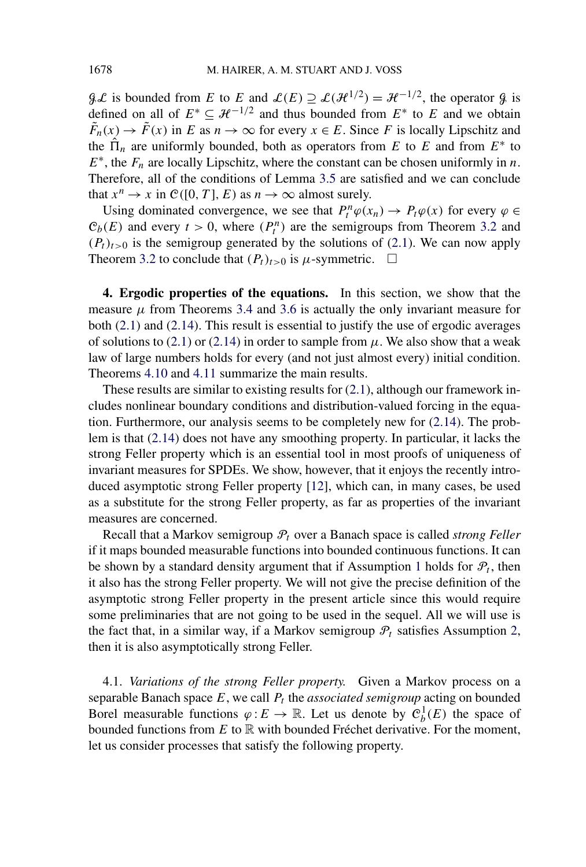$\mathcal{GL}$  is bounded from *E* to *E* and  $\mathcal{L}(E) \supseteq \mathcal{L}(\mathcal{H}^{1/2}) = \mathcal{H}^{-1/2}$ , the operator  $\mathcal{G}$  is defined on all of  $E^* \subset \mathcal{H}^{-1/2}$  and thus bounded from  $E^*$  to *E* and we obtain  $\tilde{F}_n(x) \to \tilde{F}(x)$  in *E* as  $n \to \infty$  for every  $x \in E$ . Since *F* is locally Lipschitz and the  $\hat{\Pi}_n$  are uniformly bounded, both as operators from *E* to *E* and from  $E^*$  to  $E^*$ , the  $F_n$  are locally Lipschitz, where the constant can be chosen uniformly in *n*. Therefore, all of the conditions of Lemma [3.5](#page-18-0) are satisfied and we can conclude that  $x^n \to x$  in  $\mathcal{C}([0, T], E)$  as  $n \to \infty$  almost surely.

Using dominated convergence, we see that  $P_t^n \varphi(x_n) \to P_t \varphi(x)$  for every  $\varphi \in$  $C_b(E)$  and every  $t > 0$ , where  $(P_t^n)$  are the semigroups from Theorem [3.2](#page-15-0) and  $(P_t)_{t>0}$  is the semigroup generated by the solutions of [\(2.1\)](#page-4-0). We can now apply Theorem [3.2](#page-15-0) to conclude that  $(P_t)_{t>0}$  is  $\mu$ -symmetric.  $\Box$ 

**4. Ergodic properties of the equations.** In this section, we show that the measure  $\mu$  from Theorems [3.4](#page-18-0) and [3.6](#page-20-0) is actually the only invariant measure for both [\(2.1\)](#page-4-0) and [\(2.14\)](#page-11-0). This result is essential to justify the use of ergodic averages of solutions to [\(2.1\)](#page-4-0) or [\(2.14\)](#page-11-0) in order to sample from  $\mu$ . We also show that a weak law of large numbers holds for every (and not just almost every) initial condition. Theorems [4.10](#page-28-0) and [4.11](#page-29-0) summarize the main results.

These results are similar to existing results for [\(2.1\)](#page-4-0), although our framework includes nonlinear boundary conditions and distribution-valued forcing in the equation. Furthermore, our analysis seems to be completely new for [\(2.14\)](#page-11-0). The problem is that [\(2.14\)](#page-11-0) does not have any smoothing property. In particular, it lacks the strong Feller property which is an essential tool in most proofs of uniqueness of invariant measures for SPDEs. We show, however, that it enjoys the recently introduced asymptotic strong Feller property [\[12\]](#page-48-0), which can, in many cases, be used as a substitute for the strong Feller property, as far as properties of the invariant measures are concerned.

Recall that a Markov semigroup P*<sup>t</sup>* over a Banach space is called *strong Feller* if it maps bounded measurable functions into bounded continuous functions. It can be shown by a standard density argument that if Assumption [1](#page-22-0) holds for  $P_t$ , then it also has the strong Feller property. We will not give the precise definition of the asymptotic strong Feller property in the present article since this would require some preliminaries that are not going to be used in the sequel. All we will use is the fact that, in a similar way, if a Markov semigroup  $\mathcal{P}_t$  satisfies Assumption [2,](#page-23-0) then it is also asymptotically strong Feller.

4.1. *Variations of the strong Feller property.* Given a Markov process on a separable Banach space  $E$ , we call  $P_t$  the *associated semigroup* acting on bounded Borel measurable functions  $\varphi: E \to \mathbb{R}$ . Let us denote by  $\mathcal{C}_b^1(E)$  the space of bounded functions from *E* to R with bounded Fréchet derivative. For the moment, let us consider processes that satisfy the following property.

<span id="page-21-0"></span>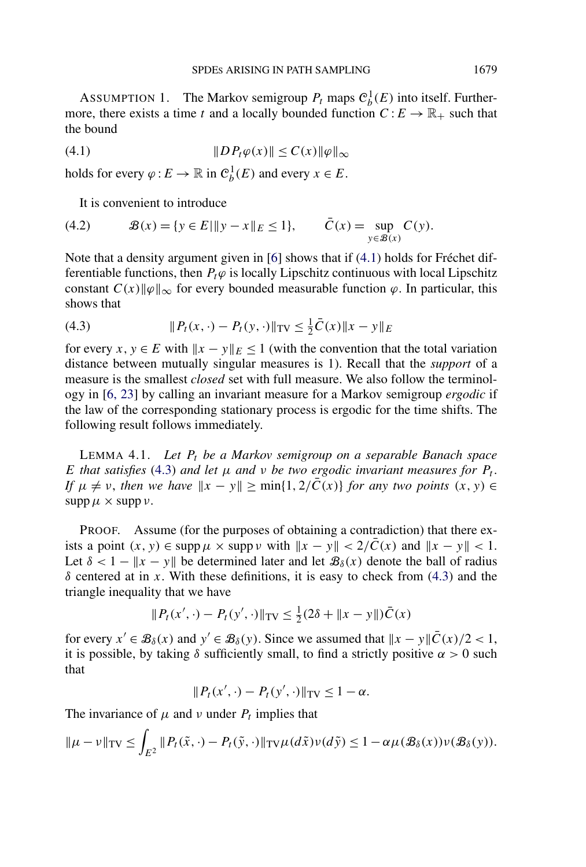<span id="page-22-0"></span>ASSUMPTION 1. The Markov semigroup  $P_t$  maps  $\mathcal{C}_b^1(E)$  into itself. Furthermore, there exists a time *t* and a locally bounded function  $C : E \to \mathbb{R}_+$  such that the bound

$$
(4.1) \t\t\t\t \|D P_t \varphi(x)\| \le C(x) \|\varphi\|_{\infty}
$$

holds for every  $\varphi : E \to \mathbb{R}$  in  $\mathcal{C}_b^1(E)$  and every  $x \in E$ .

It is convenient to introduce

(4.2) 
$$
\mathcal{B}(x) = \{y \in E | \|y - x\|_E \le 1\}, \qquad \bar{C}(x) = \sup_{y \in \mathcal{B}(x)} C(y).
$$

Note that a density argument given in [\[6\]](#page-48-0) shows that if (4.1) holds for Fréchet differentiable functions, then  $P_t\varphi$  is locally Lipschitz continuous with local Lipschitz constant  $C(x)\|\varphi\|_{\infty}$  for every bounded measurable function  $\varphi$ . In particular, this shows that

(4.3) 
$$
\|P_t(x, \cdot) - P_t(y, \cdot)\|_{TV} \leq \frac{1}{2}\bar{C}(x)\|x - y\|_E
$$

for every *x*,  $y \in E$  with  $||x - y||_E \le 1$  (with the convention that the total variation distance between mutually singular measures is 1). Recall that the *support* of a measure is the smallest *closed* set with full measure. We also follow the terminology in [\[6, 23\]](#page-48-0) by calling an invariant measure for a Markov semigroup *ergodic* if the law of the corresponding stationary process is ergodic for the time shifts. The following result follows immediately.

LEMMA 4.1. *Let Pt be a Markov semigroup on a separable Banach space E that satisfies* (4.3) *and let*  $\mu$  *and*  $\nu$  *be two ergodic invariant measures for*  $P_t$ *. If*  $\mu \neq \nu$ , *then we have*  $\|x - y\| \ge \min\{1, 2/\overline{C}(x)\}$  *for any two points*  $(x, y) \in$  $\supp \mu \times \supp \nu$ .

PROOF. Assume (for the purposes of obtaining a contradiction) that there exists a point  $(x, y) \in \text{supp } \mu \times \text{supp } \nu \text{ with } ||x - y|| < 2/\overline{C}(x)$  and  $||x - y|| < 1$ . Let  $\delta$  < 1 –  $\|x - y\|$  be determined later and let  $\mathcal{B}_{\delta}(x)$  denote the ball of radius *δ* centered at in *x*. With these definitions, it is easy to check from (4.3) and the triangle inequality that we have

$$
||P_t(x', \cdot) - P_t(y', \cdot)||_{TV} \le \frac{1}{2}(2\delta + ||x - y||)\bar{C}(x)
$$

for every  $x' \in \mathcal{B}_{\delta}(x)$  and  $y' \in \mathcal{B}_{\delta}(y)$ . Since we assumed that  $||x - y||\overline{C}(x)/2 < 1$ , it is possible, by taking  $\delta$  sufficiently small, to find a strictly positive  $\alpha > 0$  such that

$$
|| P_t(x',\cdot) - P_t(y',\cdot)||_{TV} \leq 1 - \alpha.
$$

The invariance of  $\mu$  and  $\nu$  under  $P_t$  implies that

$$
\|\mu - \nu\|_{TV} \leq \int_{E^2} \|P_t(\tilde{x}, \cdot) - P_t(\tilde{y}, \cdot)\|_{TV} \mu(d\tilde{x}) \nu(d\tilde{y}) \leq 1 - \alpha \mu(B_\delta(x)) \nu(B_\delta(y)).
$$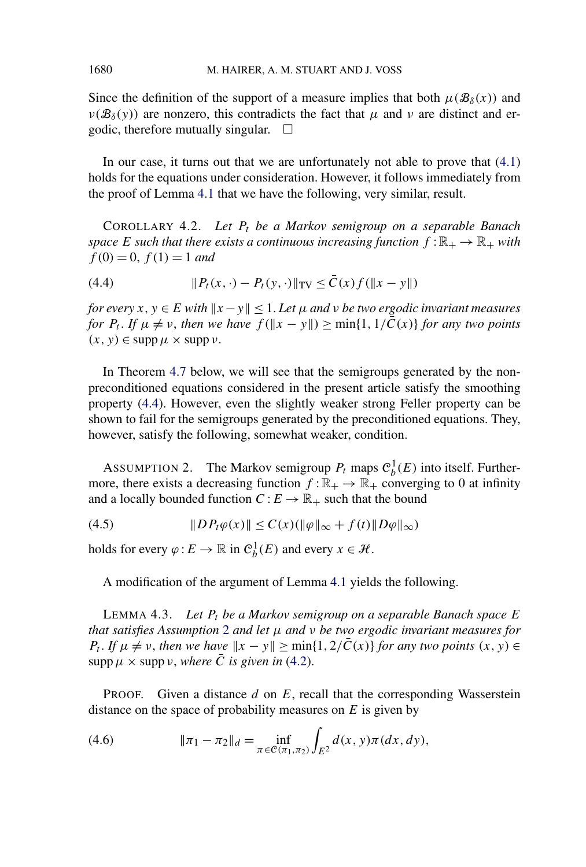Since the definition of the support of a measure implies that both  $\mu(B_\delta(x))$  and  $\nu(\mathcal{B}_\delta(y))$  are nonzero, this contradicts the fact that  $\mu$  and  $\nu$  are distinct and ergodic, therefore mutually singular.  $\Box$ 

In our case, it turns out that we are unfortunately not able to prove that [\(4.1\)](#page-22-0) holds for the equations under consideration. However, it follows immediately from the proof of Lemma [4.1](#page-22-0) that we have the following, very similar, result.

COROLLARY 4.2. *Let Pt be a Markov semigroup on a separable Banach space E such that there exists a continuous increasing function*  $f : \mathbb{R}_+ \to \mathbb{R}_+$  *with*  $f(0) = 0$ ,  $f(1) = 1$  *and* 

(4.4) 
$$
||P_t(x, \cdot) - P_t(y, \cdot)||_{TV} \leq \bar{C}(x) f(||x - y||)
$$

*for every*  $x, y \in E$  *with*  $||x - y|| \leq 1$ . Let  $\mu$  and  $\nu$  be two ergodic invariant measures *for*  $P_t$ . If  $\mu \neq \nu$ , then we have  $f(\Vert x - y \Vert) \ge \min\{1, 1/\overline{C}(x)\}\)$  for any two points  $(x, y) \in \text{supp }\mu \times \text{supp }\nu.$ 

In Theorem [4.7](#page-27-0) below, we will see that the semigroups generated by the nonpreconditioned equations considered in the present article satisfy the smoothing property (4.4). However, even the slightly weaker strong Feller property can be shown to fail for the semigroups generated by the preconditioned equations. They, however, satisfy the following, somewhat weaker, condition.

ASSUMPTION 2. The Markov semigroup  $P_t$  maps  $\mathcal{C}_b^1(E)$  into itself. Furthermore, there exists a decreasing function  $f : \mathbb{R}_+ \to \mathbb{R}_+$  converging to 0 at infinity and a locally bounded function  $C : E \to \mathbb{R}_+$  such that the bound

$$
(4.5) \t\t\t\t \|DP_t\varphi(x)\| \le C(x) (\|\varphi\|_{\infty} + f(t) \|D\varphi\|_{\infty})
$$

holds for every  $\varphi: E \to \mathbb{R}$  in  $\mathcal{C}_b^1(E)$  and every  $x \in \mathcal{H}$ .

A modification of the argument of Lemma [4.1](#page-22-0) yields the following.

LEMMA 4.3. *Let Pt be a Markov semigroup on a separable Banach space E that satisfies Assumption* 2 *and let µ and ν be two ergodic invariant measures for P<sub>t</sub>*. *If*  $\mu \neq \nu$ , *then we have*  $\|x - y\| \ge \min\{1, 2/\overline{C}(x)\}$  *for any two points*  $(x, y) \in$ supp  $\mu \times$  supp *v*, *where*  $\overline{C}$  *is given in* [\(4.2\)](#page-22-0).

PROOF. Given a distance *d* on *E*, recall that the corresponding Wasserstein distance on the space of probability measures on *E* is given by

(4.6) 
$$
\|\pi_1 - \pi_2\|_d = \inf_{\pi \in \mathcal{C}(\pi_1, \pi_2)} \int_{E^2} d(x, y) \pi(dx, dy),
$$

<span id="page-23-0"></span>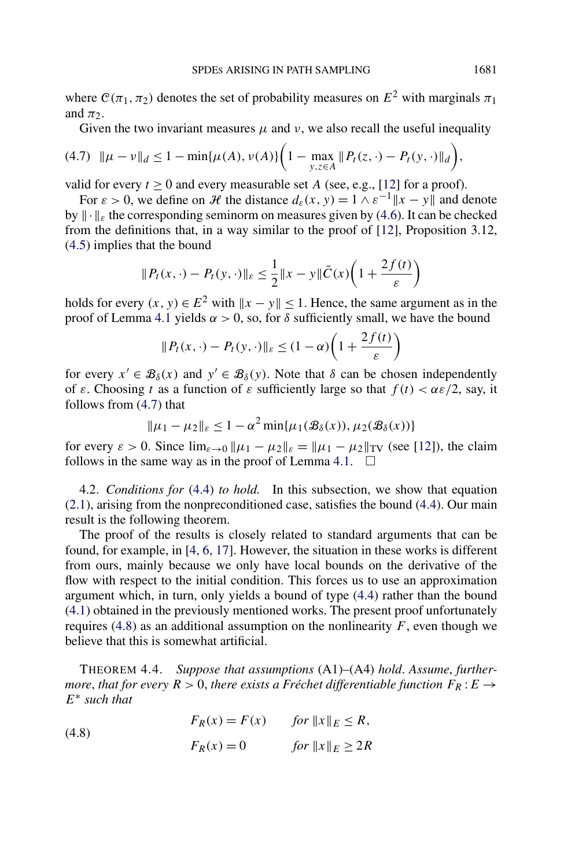<span id="page-24-0"></span>where  $C(\pi_1, \pi_2)$  denotes the set of probability measures on  $E^2$  with marginals  $\pi_1$ and  $\pi_2$ .

Given the two invariant measures  $\mu$  and  $\nu$ , we also recall the useful inequality

$$
(4.7) \|\mu - \nu\|_d \le 1 - \min\{\mu(A), \nu(A)\} \bigg(1 - \max_{y, z \in A} \|P_t(z, \cdot) - P_t(y, \cdot)\|_d\bigg),
$$

valid for every  $t \ge 0$  and every measurable set *A* (see, e.g., [\[12\]](#page-48-0) for a proof).

For  $\varepsilon > 0$ , we define on H the distance  $d_{\varepsilon}(x, y) = 1 \wedge \varepsilon^{-1} ||x - y||$  and denote by  $\|\cdot\|_{\infty}$  the corresponding seminorm on measures given by [\(4.6\)](#page-23-0). It can be checked from the definitions that, in a way similar to the proof of [\[12\]](#page-48-0), Proposition 3.12, [\(4.5\)](#page-23-0) implies that the bound

$$
||P_t(x, \cdot) - P_t(y, \cdot)||_{\varepsilon} \le \frac{1}{2}||x - y||\overline{C}(x)\left(1 + \frac{2f(t)}{\varepsilon}\right)
$$

holds for every  $(x, y) \in E^2$  with  $||x - y|| < 1$ . Hence, the same argument as in the proof of Lemma [4.1](#page-22-0) yields  $α > 0$ , so, for  $δ$  sufficiently small, we have the bound

$$
||P_t(x,\cdot)-P_t(y,\cdot)||_{\varepsilon} \leq (1-\alpha)\left(1+\frac{2f(t)}{\varepsilon}\right)
$$

for every  $x' \in \mathcal{B}_{\delta}(x)$  and  $y' \in \mathcal{B}_{\delta}(y)$ . Note that  $\delta$  can be chosen independently of  $\varepsilon$ . Choosing *t* as a function of  $\varepsilon$  sufficiently large so that  $f(t) < \alpha \varepsilon/2$ , say, it follows from (4.7) that

$$
\|\mu_1 - \mu_2\|_{\varepsilon} \le 1 - \alpha^2 \min{\{\mu_1(\mathcal{B}_{\delta}(x)), \mu_2(\mathcal{B}_{\delta}(x))\}}
$$

for every  $\varepsilon > 0$ . Since  $\lim_{\varepsilon \to 0} ||\mu_1 - \mu_2||_{\varepsilon} = ||\mu_1 - \mu_2||_{TV}$  (see [\[12\]](#page-48-0)), the claim follows in the same way as in the proof of Lemma [4.1.](#page-22-0)  $\Box$ 

4.2. *Conditions for* [\(4.4\)](#page-23-0) *to hold.* In this subsection, we show that equation [\(2.1\)](#page-4-0), arising from the nonpreconditioned case, satisfies the bound [\(4.4\)](#page-23-0). Our main result is the following theorem.

The proof of the results is closely related to standard arguments that can be found, for example, in [\[4, 6, 17\]](#page-48-0). However, the situation in these works is different from ours, mainly because we only have local bounds on the derivative of the flow with respect to the initial condition. This forces us to use an approximation argument which, in turn, only yields a bound of type [\(4.4\)](#page-23-0) rather than the bound [\(4.1\)](#page-22-0) obtained in the previously mentioned works. The present proof unfortunately requires (4.8) as an additional assumption on the nonlinearity  $F$ , even though we believe that this is somewhat artificial.

THEOREM 4.4. *Suppose that assumptions* (A1)–(A4) *hold*. *Assume*, *furthermore, that for every*  $R > 0$ , *there exists a Fréchet differentiable function*  $F_R : E \rightarrow$ *E*<sup>∗</sup> *such that*

(4.8) 
$$
F_R(x) = F(x) \quad \text{for } ||x||_E \le R,
$$

$$
F_R(x) = 0 \quad \text{for } ||x||_E \ge 2R
$$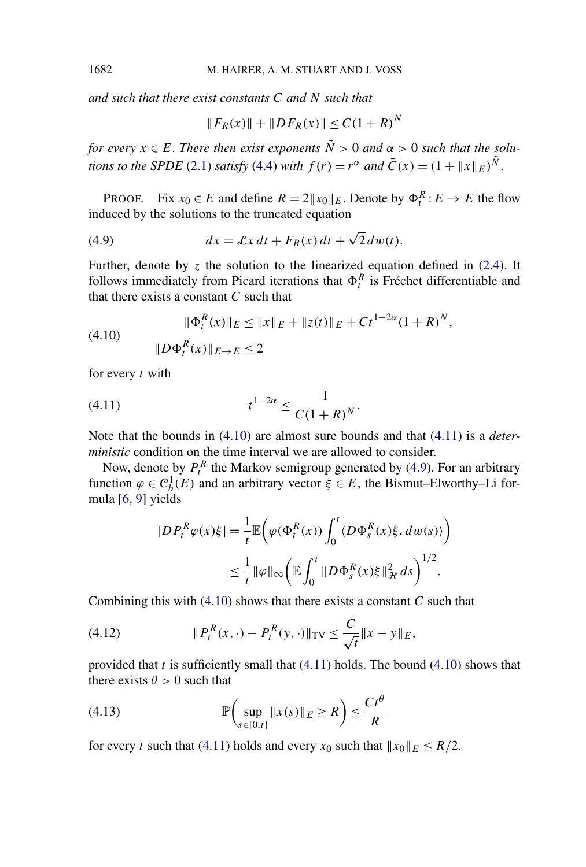<span id="page-25-0"></span>*and such that there exist constants C and N such that*

$$
||F_R(x)|| + ||DF_R(x)|| \le C(1+R)^N
$$

*for every*  $x \in E$ . *There then exist exponents*  $\tilde{N} > 0$  *and*  $\alpha > 0$  *such that the solutions to the SPDE* [\(2.1\)](#page-4-0) *satisfy* [\(4.4\)](#page-23-0) *with*  $f(r) = r^{\alpha}$  *and*  $\bar{C}(x) = (1 + ||x||_E)^{\tilde{N}}$ .

PROOF. Fix  $x_0 \in E$  and define  $R = 2||x_0||_E$ . Denote by  $\Phi_t^R : E \to E$  the flow induced by the solutions to the truncated equation

(4.9) 
$$
dx = \mathcal{L}x dt + F_R(x) dt + \sqrt{2} dw(t).
$$

Further, denote by  $\zeta$  the solution to the linearized equation defined in  $(2.4)$ . It follows immediately from Picard iterations that  $\Phi_t^R$  is Fréchet differentiable and that there exists a constant *C* such that

(4.10) 
$$
\|\Phi_t^R(x)\|_E \le \|x\|_E + \|z(t)\|_E + Ct^{1-2\alpha}(1+R)^N,
$$

$$
\|D\Phi_t^R(x)\|_{E\to E} \le 2
$$

for every *t* with

(4.11) 
$$
t^{1-2\alpha} \leq \frac{1}{C(1+R)^N}.
$$

Note that the bounds in (4.10) are almost sure bounds and that (4.11) is a *deterministic* condition on the time interval we are allowed to consider.

Now, denote by  $P_t^R$  the Markov semigroup generated by (4.9). For an arbitrary function  $\varphi \in \mathcal{C}_b^1(E)$  and an arbitrary vector  $\xi \in E$ , the Bismut–Elworthy–Li formula [\[6, 9\]](#page-48-0) yields

$$
|DP_t^R \varphi(x)\xi| = \frac{1}{t} \mathbb{E}\bigg(\varphi(\Phi_t^R(x)) \int_0^t \langle D\Phi_s^R(x)\xi, dw(s) \rangle\bigg)
$$
  

$$
\leq \frac{1}{t} ||\varphi||_{\infty} \bigg(\mathbb{E} \int_0^t ||D\Phi_s^R(x)\xi||_{\mathcal{H}}^2 ds\bigg)^{1/2}.
$$

Combining this with (4.10) shows that there exists a constant *C* such that

(4.12) 
$$
\|P_t^R(x,\cdot) - P_t^R(y,\cdot)\|_{TV} \leq \frac{C}{\sqrt{t}} \|x - y\|_E,
$$

provided that *t* is sufficiently small that (4.11) holds. The bound (4.10) shows that there exists  $\theta > 0$  such that

(4.13) 
$$
\mathbb{P}\left(\sup_{s\in[0,t]}\|x(s)\|_{E}\geq R\right)\leq\frac{Ct^{\theta}}{R}
$$

for every *t* such that (4.11) holds and every  $x_0$  such that  $||x_0||_E \le R/2$ .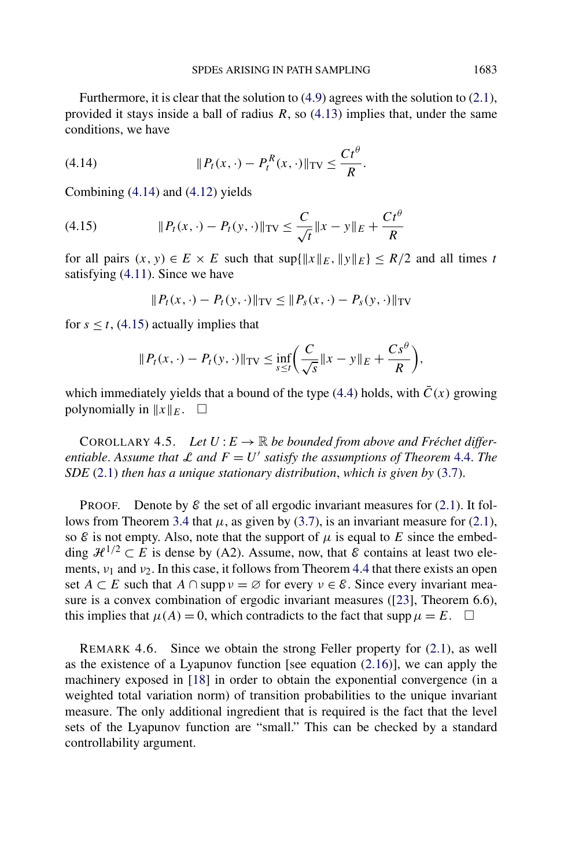<span id="page-26-0"></span>Furthermore, it is clear that the solution to [\(4.9\)](#page-25-0) agrees with the solution to [\(2.1\)](#page-4-0), provided it stays inside a ball of radius *R*, so [\(4.13\)](#page-25-0) implies that, under the same conditions, we have

(4.14) 
$$
\|P_t(x,\cdot)-P_t^R(x,\cdot)\|_{TV}\leq \frac{Ct^{\theta}}{R}.
$$

Combining (4.14) and [\(4.12\)](#page-25-0) yields

(4.15) 
$$
||P_t(x, \cdot) - P_t(y, \cdot)||_{TV} \le \frac{C}{\sqrt{t}} ||x - y||_E + \frac{Ct^{\theta}}{R}
$$

for all pairs  $(x, y) \in E \times E$  such that  $\sup\{\|x\|_E, \|y\|_E\} \le R/2$  and all times *t* satisfying [\(4.11\)](#page-25-0). Since we have

$$
|| P_t(x, \cdot) - P_t(y, \cdot)||_{TV} \le || P_s(x, \cdot) - P_s(y, \cdot)||_{TV}
$$

for  $s \le t$ , (4.15) actually implies that

$$
||P_t(x,\cdot)-P_t(y,\cdot)||_{\text{TV}} \leq \inf_{s\leq t} \left(\frac{C}{\sqrt{s}}||x-y||_E + \frac{Cs^{\theta}}{R}\right),
$$

which immediately yields that a bound of the type [\(4.4\)](#page-23-0) holds, with  $\bar{C}(x)$  growing polynomially in  $||x||_E$ .  $\square$ 

COROLLARY 4.5. Let  $U: E \to \mathbb{R}$  be bounded from above and Fréchet differ*entiable.* Assume that  $\mathcal{L}$  and  $F = U'$  satisfy the assumptions of Theorem [4.4.](#page-24-0) The *SDE* [\(2.1\)](#page-4-0) *then has a unique stationary distribution*, *which is given by* [\(3.7\)](#page-18-0).

**PROOF.** Denote by  $\mathcal{E}$  the set of all ergodic invariant measures for [\(2.1\)](#page-4-0). It fol-lows from Theorem [3.4](#page-18-0) that  $\mu$ , as given by [\(3.7\)](#page-18-0), is an invariant measure for [\(2.1\)](#page-4-0), so  $\mathcal E$  is not empty. Also, note that the support of  $\mu$  is equal to  $E$  since the embedding  $\mathcal{H}^{1/2} \subset E$  is dense by (A2). Assume, now, that  $\mathcal{E}$  contains at least two elements, *ν*<sup>1</sup> and *ν*2. In this case, it follows from Theorem [4.4](#page-24-0) that there exists an open set  $A \subset E$  such that  $A \cap \text{supp } v = \emptyset$  for every  $v \in \mathcal{E}$ . Since every invariant measure is a convex combination of ergodic invariant measures ([\[23\]](#page-49-0), Theorem 6.6), this implies that  $\mu(A) = 0$ , which contradicts to the fact that  $\text{supp}\,\mu = E$ .  $\square$ 

REMARK 4.6. Since we obtain the strong Feller property for [\(2.1\)](#page-4-0), as well as the existence of a Lyapunov function [see equation [\(2.16\)](#page-12-0)], we can apply the machinery exposed in [\[18\]](#page-49-0) in order to obtain the exponential convergence (in a weighted total variation norm) of transition probabilities to the unique invariant measure. The only additional ingredient that is required is the fact that the level sets of the Lyapunov function are "small." This can be checked by a standard controllability argument.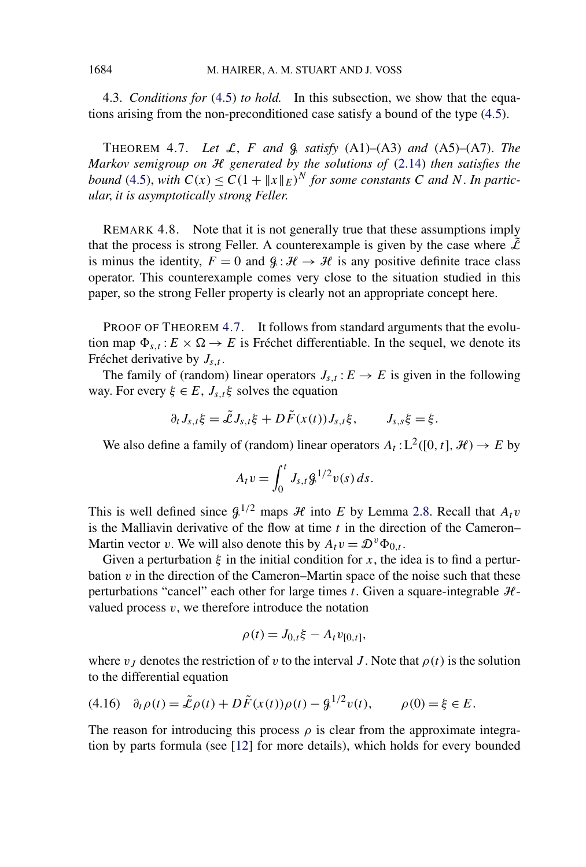4.3. *Conditions for* [\(4.5\)](#page-23-0) *to hold.* In this subsection, we show that the equations arising from the non-preconditioned case satisfy a bound of the type [\(4.5\)](#page-23-0).

THEOREM 4.7. *Let*  $\mathcal{L}$ ,  $F$  *and*  $\mathcal{G}$  *satisfy* (A1)–(A3) *and* (A5)–(A7). *The Markov semigroup on* H *generated by the solutions of* [\(2.14\)](#page-11-0) *then satisfies the bound* [\(4.5\)](#page-23-0), *with*  $C(x) \le C(1 + ||x||_F)^N$  *for some constants C and N*. *In particular*, *it is asymptotically strong Feller*.

REMARK 4.8. Note that it is not generally true that these assumptions imply that the process is strong Feller. A counterexample is given by the case where  $\tilde{\mathcal{L}}$ is minus the identity,  $F = 0$  and  $\mathcal{G}: \mathcal{H} \to \mathcal{H}$  is any positive definite trace class operator. This counterexample comes very close to the situation studied in this paper, so the strong Feller property is clearly not an appropriate concept here.

PROOF OF THEOREM 4.7. It follows from standard arguments that the evolution map  $\Phi_{s,t}$ :  $E \times \Omega \rightarrow E$  is Fréchet differentiable. In the sequel, we denote its Fréchet derivative by  $J_{s,t}$ .

The family of (random) linear operators  $J_{s,t}: E \to E$  is given in the following way. For every  $\xi \in E$ ,  $J_{s,t}\xi$  solves the equation

$$
\partial_t J_{s,t} \xi = \tilde{\mathcal{L}} J_{s,t} \xi + D \tilde{F}(x(t)) J_{s,t} \xi, \qquad J_{s,s} \xi = \xi.
$$

We also define a family of (random) linear operators  $A_t: L^2([0, t], \mathcal{H}) \to E$  by

$$
A_t v = \int_0^t J_{s,t} g^{1/2} v(s) \, ds.
$$

This is well defined since  $\mathcal{G}^{1/2}$  maps  $\mathcal H$  into *E* by Lemma [2.8.](#page-12-0) Recall that  $A_t v$ is the Malliavin derivative of the flow at time *t* in the direction of the Cameron– Martin vector *v*. We will also denote this by  $A_t v = \mathcal{D}^v \Phi_{0,t}$ .

Given a perturbation  $\xi$  in the initial condition for x, the idea is to find a perturbation *v* in the direction of the Cameron–Martin space of the noise such that these perturbations "cancel" each other for large times  $t$ . Given a square-integrable  $H$ valued process  $v$ , we therefore introduce the notation

$$
\rho(t) = J_{0,t} \xi - A_t v_{[0,t]},
$$

where  $v_J$  denotes the restriction of  $v$  to the interval *J*. Note that  $\rho(t)$  is the solution to the differential equation

$$
(4.16) \quad \partial_t \rho(t) = \tilde{\mathcal{L}} \rho(t) + D\tilde{F}(x(t))\rho(t) - \mathcal{L}^{1/2} v(t), \qquad \rho(0) = \xi \in E.
$$

The reason for introducing this process  $\rho$  is clear from the approximate integration by parts formula (see [\[12\]](#page-48-0) for more details), which holds for every bounded

<span id="page-27-0"></span>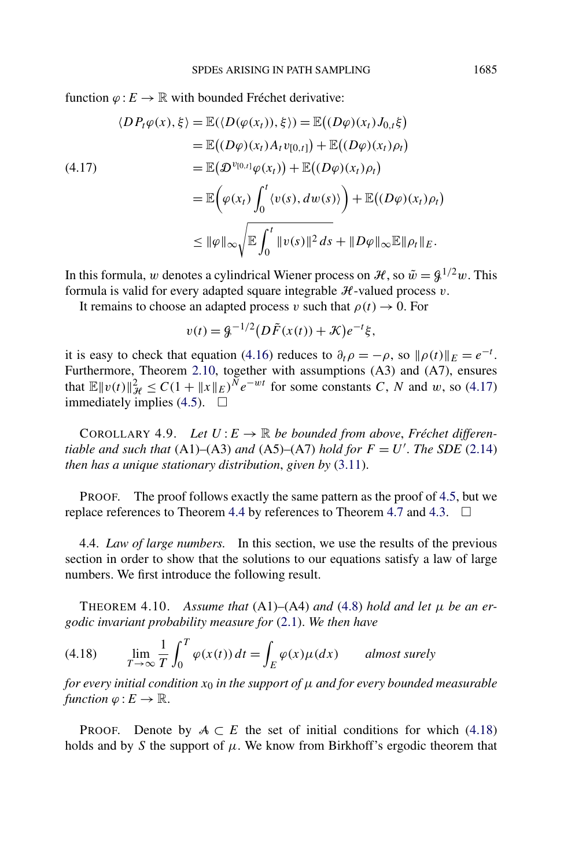<span id="page-28-0"></span>function  $\varphi : E \to \mathbb{R}$  with bounded Fréchet derivative:

$$
\langle DP_t \varphi(x), \xi \rangle = \mathbb{E}(\langle D(\varphi(x_t)), \xi \rangle) = \mathbb{E}((D\varphi)(x_t) J_{0,t} \xi)
$$
  
\n
$$
= \mathbb{E}((D\varphi)(x_t) A_t v_{[0,t]}) + \mathbb{E}((D\varphi)(x_t) \rho_t)
$$
  
\n
$$
= \mathbb{E}(\mathcal{D}^{v_{[0,t]}} \varphi(x_t)) + \mathbb{E}((D\varphi)(x_t) \rho_t)
$$
  
\n
$$
= \mathbb{E}(\varphi(x_t) \int_0^t \langle v(s), dw(s) \rangle \Big) + \mathbb{E}((D\varphi)(x_t) \rho_t)
$$
  
\n
$$
\leq \|\varphi\|_{\infty} \sqrt{\mathbb{E} \int_0^t \|v(s)\|^2 ds} + \|D\varphi\|_{\infty} \mathbb{E} \|\rho_t\|_E.
$$

In this formula, *w* denotes a cylindrical Wiener process on *H*, so  $\tilde{w} = \frac{g^{1/2}w}{w}$ . This formula is valid for every adapted square integrable  $H$ -valued process  $v$ .

It remains to choose an adapted process *v* such that  $\rho(t) \rightarrow 0$ . For

$$
v(t) = 2\mathcal{G}^{-1/2} (D\tilde{F}(x(t)) + \mathcal{K})e^{-t}\xi,
$$

it is easy to check that equation [\(4.16\)](#page-27-0) reduces to  $\partial_t \rho = -\rho$ , so  $\|\rho(t)\|_E = e^{-t}$ . Furthermore, Theorem [2.10,](#page-12-0) together with assumptions (A3) and (A7), ensures that  $\mathbb{E} \|v(t)\|_{\mathcal{H}}^2 \leq C(1 + \|x\|_E)^{\bar{N}} e^{-wt}$  for some constants *C*, *N* and *w*, so (4.17) immediately implies [\(4.5\)](#page-23-0).  $\Box$ 

COROLLARY 4.9. Let  $U: E \to \mathbb{R}$  be bounded from above, Fréchet differen*tiable and such that*  $(A1)$ – $(A3)$  *and*  $(A5)$ – $(A7)$  *hold for*  $F = U'$ . *The SDE*  $(2.14)$ *then has a unique stationary distribution*, *given by* [\(3.11\)](#page-20-0).

PROOF. The proof follows exactly the same pattern as the proof of [4.5,](#page-26-0) but we replace references to Theorem [4.4](#page-24-0) by references to Theorem [4.7](#page-27-0) and [4.3.](#page-23-0)  $\Box$ 

4.4. *Law of large numbers.* In this section, we use the results of the previous section in order to show that the solutions to our equations satisfy a law of large numbers. We first introduce the following result.

THEOREM 4.10. Assume that  $(A1)$ – $(A4)$  and  $(4.8)$  hold and let  $\mu$  be an er*godic invariant probability measure for* [\(2.1\)](#page-4-0). *We then have*

(4.18) 
$$
\lim_{T \to \infty} \frac{1}{T} \int_0^T \varphi(x(t)) dt = \int_E \varphi(x) \mu(dx) \quad \text{almost surely}
$$

*for every initial condition*  $x_0$  *in the support of*  $\mu$  *and for every bounded measurable function*  $\varphi: E \to \mathbb{R}$ .

**PROOF.** Denote by  $A \subset E$  the set of initial conditions for which (4.18) holds and by *S* the support of  $\mu$ . We know from Birkhoff's ergodic theorem that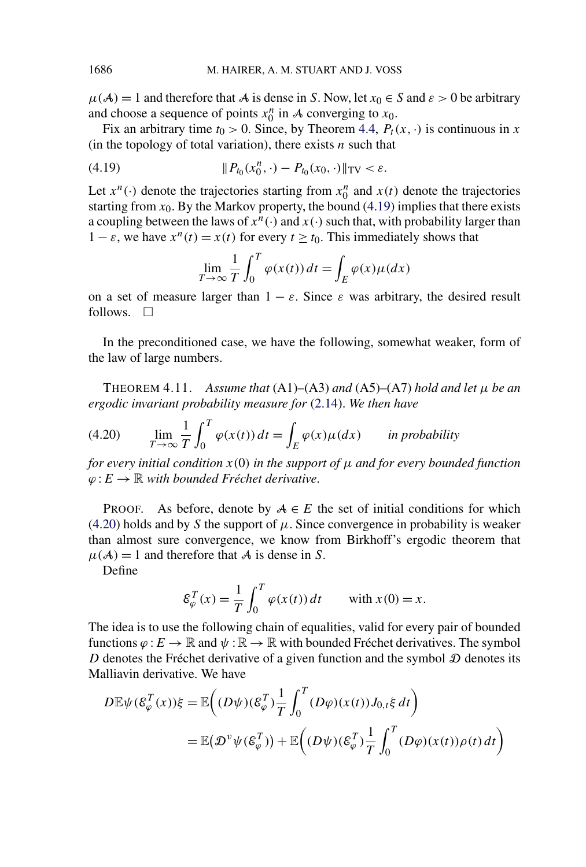$\mu(A) = 1$  and therefore that A is dense in *S*. Now, let  $x_0 \in S$  and  $\varepsilon > 0$  be arbitrary and choose a sequence of points  $x_0^n$  in A converging to  $x_0$ .

Fix an arbitrary time  $t_0 > 0$ . Since, by Theorem [4.4,](#page-24-0)  $P_t(x, \cdot)$  is continuous in *x* (in the topology of total variation), there exists *n* such that

(4.19) 
$$
\|P_{t_0}(x_0^n,\cdot)-P_{t_0}(x_0,\cdot)\|_{TV}<\varepsilon.
$$

Let  $x^n(\cdot)$  denote the trajectories starting from  $x_0^n$  and  $x(t)$  denote the trajectories starting from  $x_0$ . By the Markov property, the bound (4.19) implies that there exists a coupling between the laws of  $x^n(\cdot)$  and  $x(\cdot)$  such that, with probability larger than  $1 - \varepsilon$ , we have  $x^n(t) = x(t)$  for every  $t \ge t_0$ . This immediately shows that

$$
\lim_{T \to \infty} \frac{1}{T} \int_0^T \varphi(x(t)) dt = \int_E \varphi(x) \mu(dx)
$$

on a set of measure larger than  $1 - \varepsilon$ . Since  $\varepsilon$  was arbitrary, the desired result follows.  $\Box$ 

In the preconditioned case, we have the following, somewhat weaker, form of the law of large numbers.

THEOREM 4.11. *Assume that*  $(A1)–(A3)$  *and*  $(A5)–(A7)$  *hold and let*  $\mu$  *be an ergodic invariant probability measure for* [\(2.14\)](#page-11-0). *We then have*

(4.20) 
$$
\lim_{T \to \infty} \frac{1}{T} \int_0^T \varphi(x(t)) dt = \int_E \varphi(x) \mu(dx) \quad \text{in probability}
$$

*for every initial condition*  $x(0)$  *in the support of*  $\mu$  *and for every bounded function*  $\varphi$  : *E* → ℝ *with bounded Fréchet derivative*.

PROOF. As before, denote by  $A \in E$  the set of initial conditions for which (4.20) holds and by *S* the support of  $\mu$ . Since convergence in probability is weaker than almost sure convergence, we know from Birkhoff's ergodic theorem that  $\mu(A) = 1$  and therefore that A is dense in *S*.

Define

$$
\mathcal{E}_{\varphi}^{T}(x) = \frac{1}{T} \int_{0}^{T} \varphi(x(t)) dt \quad \text{with } x(0) = x.
$$

The idea is to use the following chain of equalities, valid for every pair of bounded functions  $\varphi: E \to \mathbb{R}$  and  $\psi: \mathbb{R} \to \mathbb{R}$  with bounded Fréchet derivatives. The symbol *D* denotes the Fréchet derivative of a given function and the symbol  $D$  denotes its Malliavin derivative. We have

$$
D \mathbb{E} \psi(\mathcal{E}_{\varphi}^{T}(x))\xi = \mathbb{E}\left((D\psi)(\mathcal{E}_{\varphi}^{T})\frac{1}{T} \int_{0}^{T} (D\varphi)(x(t)) J_{0,t} \xi dt\right)
$$
  
=  $\mathbb{E}(\mathcal{D}^{v} \psi(\mathcal{E}_{\varphi}^{T})) + \mathbb{E}\left((D\psi)(\mathcal{E}_{\varphi}^{T})\frac{1}{T} \int_{0}^{T} (D\varphi)(x(t)) \rho(t) dt\right)$ 

<span id="page-29-0"></span>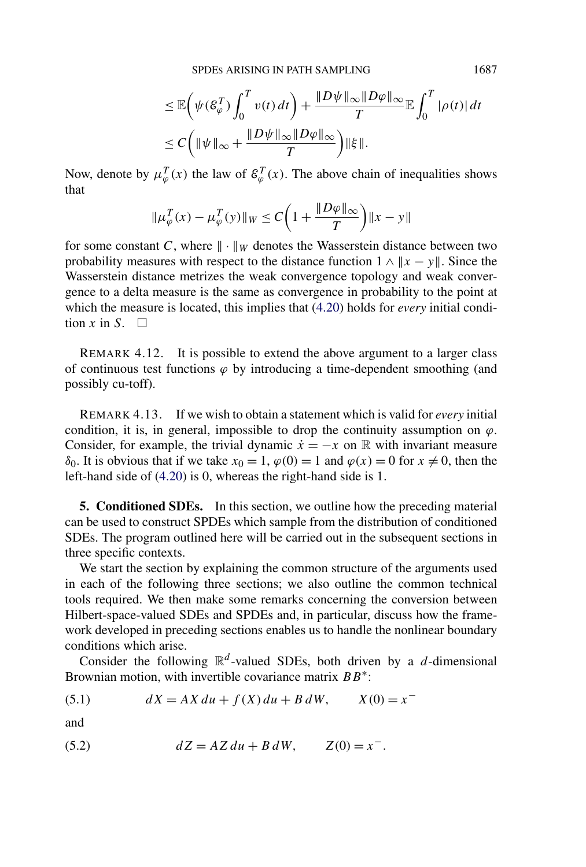SPDES ARISING IN PATH SAMPLING 1687

$$
\leq \mathbb{E}\left(\psi(\mathcal{E}_{\varphi}^{T})\int_{0}^{T}v(t) dt\right) + \frac{\|D\psi\|_{\infty}\|D\varphi\|_{\infty}}{T}\mathbb{E}\int_{0}^{T}|\rho(t)| dt
$$
  

$$
\leq C\left(\|\psi\|_{\infty} + \frac{\|D\psi\|_{\infty}\|D\varphi\|_{\infty}}{T}\right)\|\xi\|.
$$

<span id="page-30-0"></span>Now, denote by  $\mu_{\varphi}^{T}(x)$  the law of  $\mathcal{E}_{\varphi}^{T}(x)$ . The above chain of inequalities shows that

$$
\|\mu_{\varphi}^T(x) - \mu_{\varphi}^T(y)\|_{W} \le C\left(1 + \frac{\|D\varphi\|_{\infty}}{T}\right) \|x - y\|
$$

for some constant *C*, where  $\|\cdot\|_W$  denotes the Wasserstein distance between two probability measures with respect to the distance function  $1 \wedge ||x - y||$ . Since the Wasserstein distance metrizes the weak convergence topology and weak convergence to a delta measure is the same as convergence in probability to the point at which the measure is located, this implies that [\(4.20\)](#page-29-0) holds for *every* initial condition *x* in *S*.  $\Box$ 

REMARK 4.12. It is possible to extend the above argument to a larger class of continuous test functions  $\varphi$  by introducing a time-dependent smoothing (and possibly cu-toff).

REMARK 4.13. If we wish to obtain a statement which is valid for *every* initial condition, it is, in general, impossible to drop the continuity assumption on  $\varphi$ . Consider, for example, the trivial dynamic  $\dot{x} = -x$  on R with invariant measure *δ*<sub>0</sub>. It is obvious that if we take *x*<sub>0</sub> = 1, *ϕ*(0) = 1 and *ϕ*(*x*) = 0 for *x* ≠ 0, then the left-hand side of [\(4.20\)](#page-29-0) is 0, whereas the right-hand side is 1.

**5. Conditioned SDEs.** In this section, we outline how the preceding material can be used to construct SPDEs which sample from the distribution of conditioned SDEs. The program outlined here will be carried out in the subsequent sections in three specific contexts.

We start the section by explaining the common structure of the arguments used in each of the following three sections; we also outline the common technical tools required. We then make some remarks concerning the conversion between Hilbert-space-valued SDEs and SPDEs and, in particular, discuss how the framework developed in preceding sections enables us to handle the nonlinear boundary conditions which arise.

Consider the following  $\mathbb{R}^d$ -valued SDEs, both driven by a *d*-dimensional Brownian motion, with invertible covariance matrix *BB*∗:

(5.1) 
$$
dX = AX \, du + f(X) \, du + B \, dW, \qquad X(0) = x^{-1}
$$

and

(5.2) 
$$
dZ = AZ \, du + B \, dW, \qquad Z(0) = x^{-}.
$$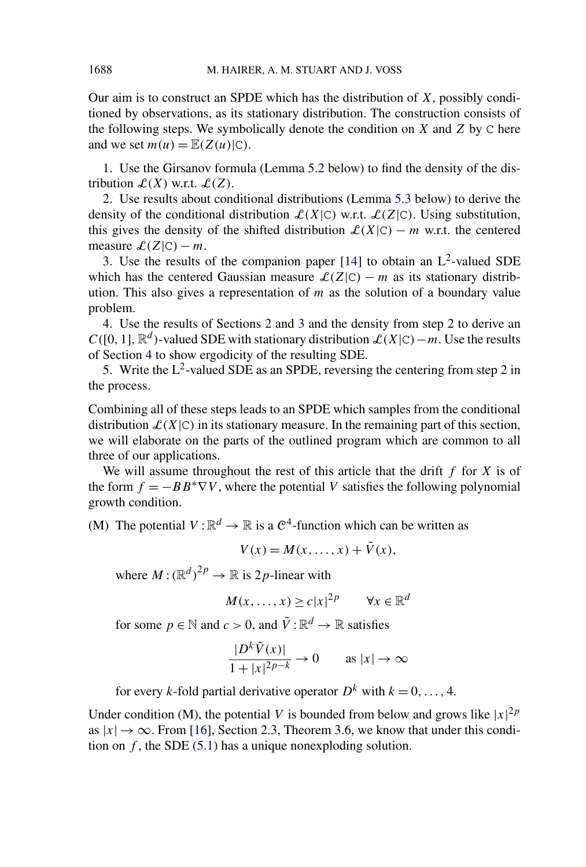Our aim is to construct an SPDE which has the distribution of *X*, possibly conditioned by observations, as its stationary distribution. The construction consists of the following steps. We symbolically denote the condition on *X* and *Z* by C here and we set  $m(u) = \mathbb{E}(Z(u)|C)$ .

1. Use the Girsanov formula (Lemma [5.2](#page-32-0) below) to find the density of the distribution  $\mathcal{L}(X)$  w.r.t.  $\mathcal{L}(Z)$ .

2. Use results about conditional distributions (Lemma [5.3](#page-33-0) below) to derive the density of the conditional distribution  $\mathcal{L}(X|\mathcal{C})$  w.r.t.  $\mathcal{L}(Z|\mathcal{C})$ . Using substitution, this gives the density of the shifted distribution  $\mathcal{L}(X|\mathcal{C}) - m$  w.r.t. the centered measure  $\mathcal{L}(Z|C) - m$ .

3. Use the results of the companion paper [\[14\]](#page-48-0) to obtain an  $L^2$ -valued SDE which has the centered Gaussian measure  $\mathcal{L}(Z|C) - m$  as its stationary distribution. This also gives a representation of *m* as the solution of a boundary value problem.

4. Use the results of Sections [2](#page-3-0) and [3](#page-13-0) and the density from step 2 to derive an  $C([0, 1], \mathbb{R}^d)$ -valued SDE with stationary distribution  $\mathcal{L}(X|\mathbb{C}) - m$ . Use the results of Section [4](#page-21-0) to show ergodicity of the resulting SDE.

5. Write the  $L^2$ -valued SDE as an SPDE, reversing the centering from step 2 in the process.

Combining all of these steps leads to an SPDE which samples from the conditional distribution  $\mathcal{L}(X|\mathcal{C})$  in its stationary measure. In the remaining part of this section, we will elaborate on the parts of the outlined program which are common to all three of our applications.

We will assume throughout the rest of this article that the drift *f* for *X* is of the form  $f = -BB^* \nabla V$ , where the potential *V* satisfies the following polynomial growth condition.

(M) The potential  $V : \mathbb{R}^d \to \mathbb{R}$  is a  $\mathbb{C}^4$ -function which can be written as

$$
V(x) = M(x, \ldots, x) + \tilde{V}(x),
$$

where  $M: (\mathbb{R}^d)^{2p} \to \mathbb{R}$  is 2p-linear with

$$
M(x,\ldots,x)\geq c|x|^{2p} \qquad \forall x\in\mathbb{R}^d
$$

for some  $p \in \mathbb{N}$  and  $c > 0$ , and  $\tilde{V} : \mathbb{R}^d \to \mathbb{R}$  satisfies

$$
\frac{|D^k \tilde{V}(x)|}{1+|x|^{2p-k}} \to 0 \quad \text{as } |x| \to \infty
$$

for every *k*-fold partial derivative operator  $D^k$  with  $k = 0, \ldots, 4$ .

Under condition (M), the potential *V* is bounded from below and grows like  $|x|^{2p}$ as  $|x| \to \infty$ . From [\[16\]](#page-48-0), Section 2.3, Theorem 3.6, we know that under this condition on  $f$ , the SDE [\(5.1\)](#page-30-0) has a unique nonexploding solution.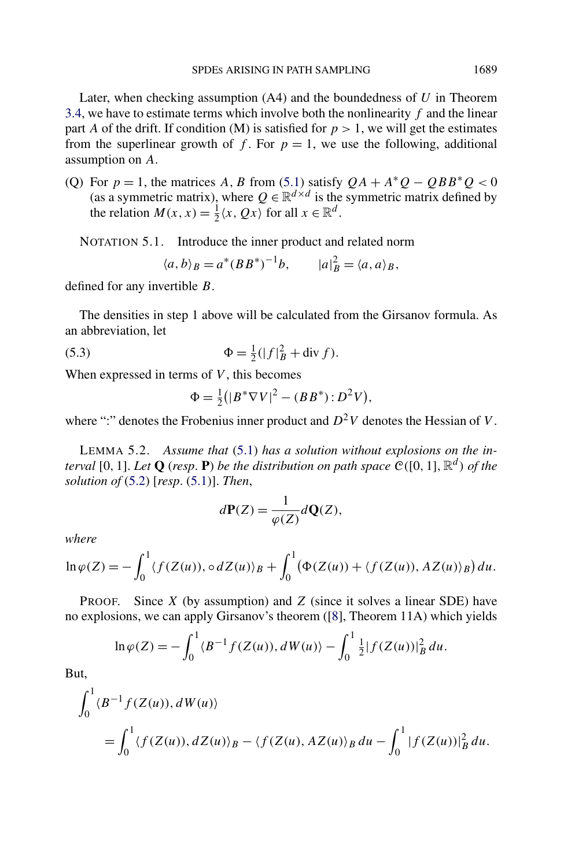<span id="page-32-0"></span>Later, when checking assumption (A4) and the boundedness of *U* in Theorem [3.4,](#page-18-0) we have to estimate terms which involve both the nonlinearity *f* and the linear part *A* of the drift. If condition (M) is satisfied for  $p > 1$ , we will get the estimates from the superlinear growth of f. For  $p = 1$ , we use the following, additional assumption on *A*.

(Q) For  $p = 1$ , the matrices *A*, *B* from [\(5.1\)](#page-30-0) satisfy  $QA + A^*Q - QBB^*Q < 0$ (as a symmetric matrix), where  $Q \in \mathbb{R}^{d \times d}$  is the symmetric matrix defined by the relation  $M(x, x) = \frac{1}{2}\langle x, Qx \rangle$  for all  $x \in \mathbb{R}^d$ .

NOTATION 5.1. Introduce the inner product and related norm

$$
\langle a, b \rangle_B = a^* (BB^*)^{-1}b, \qquad |a|_B^2 = \langle a, a \rangle_B,
$$

defined for any invertible *B*.

The densities in step 1 above will be calculated from the Girsanov formula. As an abbreviation, let

(5.3) 
$$
\Phi = \frac{1}{2}(|f|_B^2 + \text{div } f).
$$

When expressed in terms of *V* , this becomes

$$
\Phi = \frac{1}{2} (|B^* \nabla V|^2 - (BB^*) : D^2 V),
$$

where ":" denotes the Frobenius inner product and  $D^2V$  denotes the Hessian of *V*.

LEMMA 5.2. *Assume that* [\(5.1\)](#page-30-0) *has a solution without explosions on the interval* [0, 1]. *Let*  $Q$  (*resp.* **P**) *be the distribution on path space*  $C([0, 1], \mathbb{R}^d)$  *of the solution of* [\(5.2\)](#page-30-0) [*resp*. [\(5.1\)](#page-30-0)]. *Then*,

$$
d\mathbf{P}(Z) = \frac{1}{\varphi(Z)} d\mathbf{Q}(Z),
$$

*where*

$$
\ln \varphi(Z) = -\int_0^1 \langle f(Z(u)), \circ dZ(u) \rangle_B + \int_0^1 (\Phi(Z(u)) + \langle f(Z(u)), AZ(u) \rangle_B) du.
$$

PROOF. Since *X* (by assumption) and *Z* (since it solves a linear SDE) have no explosions, we can apply Girsanov's theorem ([\[8\]](#page-48-0), Theorem 11A) which yields

$$
\ln \varphi(Z) = -\int_0^1 \langle B^{-1} f(Z(u)), dW(u) \rangle - \int_0^1 \frac{1}{2} |f(Z(u))|_B^2 du.
$$

But,

$$
\int_0^1 \langle B^{-1}f(Z(u)), dW(u) \rangle
$$
  
= 
$$
\int_0^1 \langle f(Z(u)), dZ(u) \rangle_B - \langle f(Z(u), AZ(u)) \rangle_B du - \int_0^1 |f(Z(u))|_B^2 du.
$$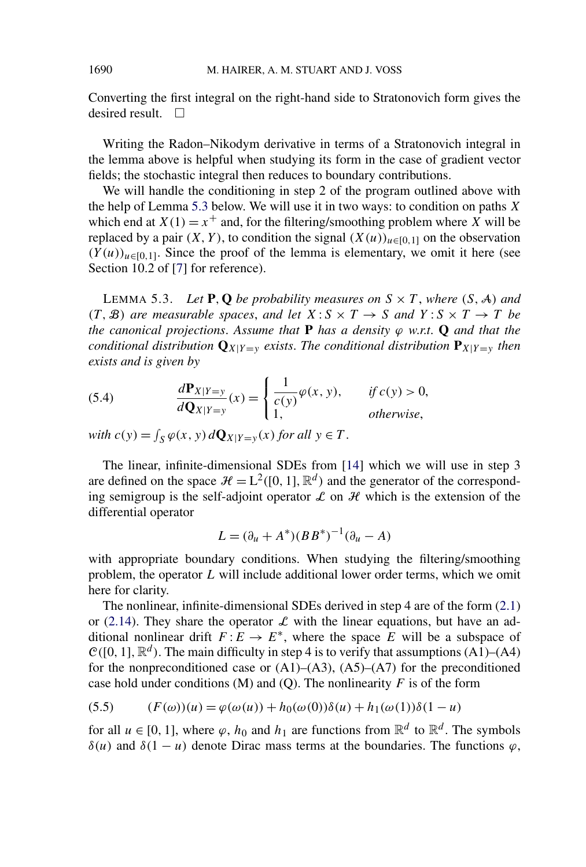Converting the first integral on the right-hand side to Stratonovich form gives the desired result.  $\square$ 

Writing the Radon–Nikodym derivative in terms of a Stratonovich integral in the lemma above is helpful when studying its form in the case of gradient vector fields; the stochastic integral then reduces to boundary contributions.

We will handle the conditioning in step 2 of the program outlined above with the help of Lemma 5.3 below. We will use it in two ways: to condition on paths *X* which end at  $X(1) = x^+$  and, for the filtering/smoothing problem where *X* will be replaced by a pair  $(X, Y)$ , to condition the signal  $(X(u))_{u \in [0,1]}$  on the observation  $(Y(u))_{u \in [0,1]}$ . Since the proof of the lemma is elementary, we omit it here (see Section 10.2 of [\[7\]](#page-48-0) for reference).

LEMMA 5.3. Let **P**, **Q** be probability measures on  $S \times T$ , where  $(S, A)$  and *(T, B) are measurable spaces, and let*  $X: S \times T \rightarrow S$  *and*  $Y: S \times T \rightarrow T$  *be the canonical projections*. *Assume that* **P** *has a density ϕ w*.*r*.*t*. **Q** *and that the conditional distribution*  $\mathbf{Q}_{X|Y=y}$  *exists. The conditional distribution*  $\mathbf{P}_{X|Y=y}$  *then exists and is given by*

(5.4) 
$$
\frac{d\mathbf{P}_{X|Y=y}}{d\mathbf{Q}_{X|Y=y}}(x) = \begin{cases} \frac{1}{c(y)}\varphi(x, y), & \text{if } c(y) > 0, \\ 1, & \text{otherwise,} \end{cases}
$$

*with*  $c(y) = \int_S \varphi(x, y) dQ_{X|Y=y}(x)$  *for all*  $y \in T$ .

The linear, infinite-dimensional SDEs from [\[14\]](#page-48-0) which we will use in step 3 are defined on the space  $\mathcal{H} = L^2([0, 1], \mathbb{R}^d)$  and the generator of the corresponding semigroup is the self-adjoint operator  $\mathcal L$  on  $\mathcal H$  which is the extension of the differential operator

$$
L = (\partial_u + A^*)(BB^*)^{-1}(\partial_u - A)
$$

with appropriate boundary conditions. When studying the filtering/smoothing problem, the operator *L* will include additional lower order terms, which we omit here for clarity.

The nonlinear, infinite-dimensional SDEs derived in step 4 are of the form [\(2.1\)](#page-4-0) or [\(2.14\)](#page-11-0). They share the operator  $\mathcal L$  with the linear equations, but have an additional nonlinear drift  $F: E \to E^*$ , where the space *E* will be a subspace of  $\mathcal{C}([0, 1], \mathbb{R}^d)$ . The main difficulty in step 4 is to verify that assumptions (A1)–(A4) for the nonpreconditioned case or  $(A1)$ – $(A3)$ ,  $(A5)$ – $(A7)$  for the preconditioned case hold under conditions  $(M)$  and  $(Q)$ . The nonlinearity *F* is of the form

(5.5) 
$$
(F(\omega))(u) = \varphi(\omega(u)) + h_0(\omega(0))\delta(u) + h_1(\omega(1))\delta(1-u)
$$

for all  $u \in [0, 1]$ , where  $\varphi$ ,  $h_0$  and  $h_1$  are functions from  $\mathbb{R}^d$  to  $\mathbb{R}^d$ . The symbols *δ(u)* and *δ*(1 − *u)* denote Dirac mass terms at the boundaries. The functions  $\varphi$ ,

<span id="page-33-0"></span>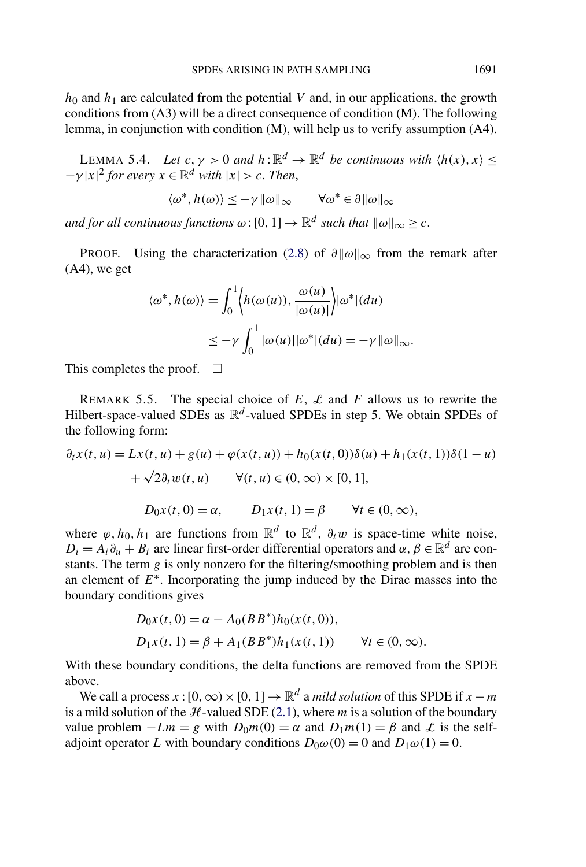<span id="page-34-0"></span> $h_0$  and  $h_1$  are calculated from the potential *V* and, in our applications, the growth conditions from (A3) will be a direct consequence of condition (M). The following lemma, in conjunction with condition (M), will help us to verify assumption (A4).

LEMMA 5.4. *Let*  $c, \gamma > 0$  *and*  $h : \mathbb{R}^d \to \mathbb{R}^d$  *be continuous with*  $\langle h(x), x \rangle \le$  $-\gamma |x|^2$  *for every*  $x \in \mathbb{R}^d$  *with*  $|x| > c$ *. Then,* 

$$
\langle \omega^*, h(\omega) \rangle \le -\gamma \|\omega\|_{\infty} \qquad \forall \omega^* \in \partial \|\omega\|_{\infty}
$$

*and for all continuous functions*  $\omega$ : [0, 1]  $\rightarrow \mathbb{R}^d$  *such that*  $\|\omega\|_{\infty} > c$ .

PROOF. Using the characterization [\(2.8\)](#page-7-0) of  $\partial ||\omega||_{\infty}$  from the remark after (A4), we get

$$
\langle \omega^*, h(\omega) \rangle = \int_0^1 \langle h(\omega(u)), \frac{\omega(u)}{|\omega(u)|} \rangle |\omega^*|(du)
$$
  

$$
\leq -\gamma \int_0^1 |\omega(u)||\omega^*|(du) = -\gamma ||\omega||_{\infty}.
$$

This completes the proof.  $\square$ 

REMARK 5.5. The special choice of  $E$ ,  $\mathcal{L}$  and  $F$  allows us to rewrite the Hilbert-space-valued SDEs as  $\mathbb{R}^d$ -valued SPDEs in step 5. We obtain SPDEs of the following form:

$$
\partial_t x(t, u) = Lx(t, u) + g(u) + \varphi(x(t, u)) + h_0(x(t, 0))\delta(u) + h_1(x(t, 1))\delta(1 - u) \n+ \sqrt{2}\partial_t w(t, u) \quad \forall (t, u) \in (0, \infty) \times [0, 1],
$$
\n
$$
D_0 x(t, 0) = \alpha, \qquad D_1 x(t, 1) = \beta \qquad \forall t \in (0, \infty),
$$

where  $\varphi, h_0, h_1$  are functions from  $\mathbb{R}^d$  to  $\mathbb{R}^d$ ,  $\partial_t w$  is space-time white noise,  $D_i = A_i \partial_u + B_i$  are linear first-order differential operators and  $\alpha, \beta \in \mathbb{R}^d$  are constants. The term *g* is only nonzero for the filtering/smoothing problem and is then an element of *E*∗. Incorporating the jump induced by the Dirac masses into the boundary conditions gives

$$
D_0x(t, 0) = \alpha - A_0(BB^*)h_0(x(t, 0)),
$$
  
\n
$$
D_1x(t, 1) = \beta + A_1(BB^*)h_1(x(t, 1)) \qquad \forall t \in (0, \infty).
$$

With these boundary conditions, the delta functions are removed from the SPDE above.

We call a process  $x : [0, \infty) \times [0, 1] \rightarrow \mathbb{R}^d$  a *mild solution* of this SPDE if  $x - m$ is a mild solution of the  $H$ -valued SDE [\(2.1\)](#page-4-0), where  $m$  is a solution of the boundary value problem  $-Lm = g$  with  $D_0m(0) = \alpha$  and  $D_1m(1) = \beta$  and  $\mathcal L$  is the selfadjoint operator *L* with boundary conditions  $D_0\omega(0) = 0$  and  $D_1\omega(1) = 0$ .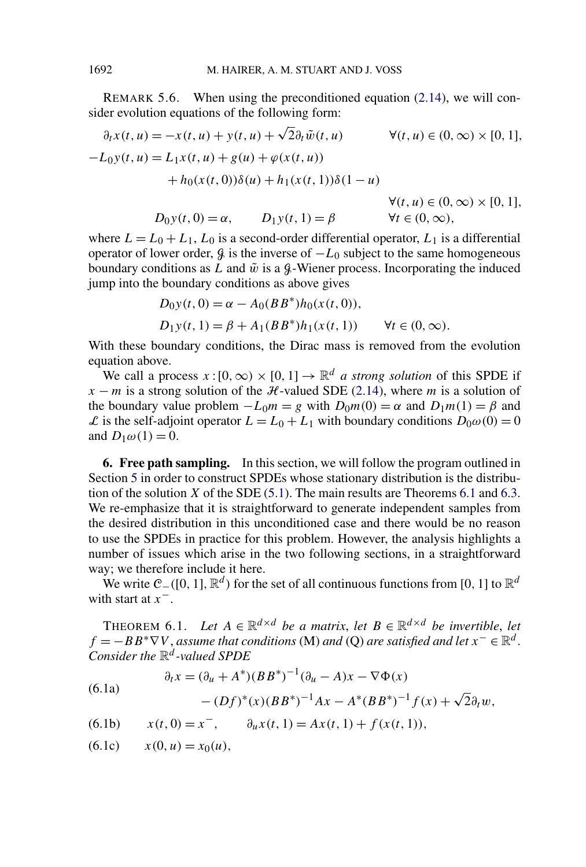REMARK 5.6. When using the preconditioned equation [\(2.14\)](#page-11-0), we will consider evolution equations of the following form:

$$
\partial_t x(t, u) = -x(t, u) + y(t, u) + \sqrt{2} \partial_t \tilde{w}(t, u) \qquad \forall (t, u) \in (0, \infty) \times [0, 1],
$$
  
\n
$$
-L_0 y(t, u) = L_1 x(t, u) + g(u) + \varphi(x(t, u))
$$
  
\n
$$
+ h_0(x(t, 0)) \delta(u) + h_1(x(t, 1)) \delta(1 - u)
$$
  
\n
$$
\forall (t, u) \in (0, \infty) \times [0, 1],
$$
  
\n
$$
D_0 y(t, 0) = \alpha, \qquad D_1 y(t, 1) = \beta \qquad \forall t \in (0, \infty),
$$

where  $L = L_0 + L_1$ ,  $L_0$  is a second-order differential operator,  $L_1$  is a differential operator of lower order,  $\beta$  is the inverse of  $-L_0$  subject to the same homogeneous boundary conditions as *L* and  $\tilde{w}$  is a  $\mathcal{G}$ -Wiener process. Incorporating the induced jump into the boundary conditions as above gives

$$
D_0 y(t, 0) = \alpha - A_0 (BB^*) h_0(x(t, 0)),
$$
  
\n
$$
D_1 y(t, 1) = \beta + A_1 (BB^*) h_1(x(t, 1)) \qquad \forall t \in (0, \infty).
$$

With these boundary conditions, the Dirac mass is removed from the evolution equation above.

We call a process  $x:[0,\infty)\times[0,1]\to\mathbb{R}^d$  *a strong solution* of this SPDE if  $x - m$  is a strong solution of the H-valued SDE [\(2.14\)](#page-11-0), where *m* is a solution of the boundary value problem  $-L_0m = g$  with  $D_0m(0) = \alpha$  and  $D_1m(1) = \beta$  and L is the self-adjoint operator  $L = L_0 + L_1$  with boundary conditions  $D_0\omega(0) = 0$ and  $D_1\omega(1) = 0$ .

**6. Free path sampling.** In this section, we will follow the program outlined in Section [5](#page-30-0) in order to construct SPDEs whose stationary distribution is the distribution of the solution *X* of the SDE [\(5.1\)](#page-30-0). The main results are Theorems 6.1 and [6.3.](#page-39-0) We re-emphasize that it is straightforward to generate independent samples from the desired distribution in this unconditioned case and there would be no reason to use the SPDEs in practice for this problem. However, the analysis highlights a number of issues which arise in the two following sections, in a straightforward way; we therefore include it here.

We write C−*(*[0*,* 1]*,*R*<sup>d</sup> )* for the set of all continuous functions from [0*,* 1] to R*<sup>d</sup>* with start at *x*−.

THEOREM 6.1. *Let*  $A \in \mathbb{R}^{d \times d}$  *be a matrix, let*  $B \in \mathbb{R}^{d \times d}$  *be invertible, let*  $f = -BB^* \nabla V$ , *assume that conditions* (M) *and* (Q) *are satisfied and let*  $x^- \in \mathbb{R}^d$ . *Consider the* R*<sup>d</sup> -valued SPDE*

$$
\partial_t x = (\partial_u + A^*)(BB^*)^{-1}(\partial_u - A)x - \nabla \Phi(x)
$$

(6.1a) 
$$
-(Df)^{*}(x)(BB^{*})^{-1}Ax - A^{*}(BB^{*})^{-1}f(x) + \sqrt{2}\partial_{t}w,
$$

(6.1b) 
$$
x(t, 0) = x^{-}, \qquad \partial_{u}x(t, 1) = Ax(t, 1) + f(x(t, 1)),
$$

 $(x(6.1c)$   $x(0, u) = x_0(u)$ ,

<span id="page-35-0"></span>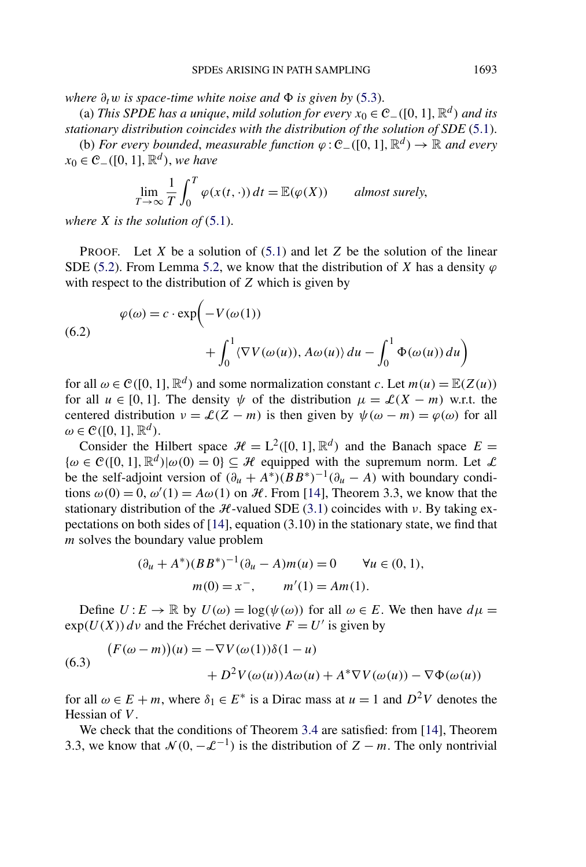<span id="page-36-0"></span> $where \ \partial_t w$  *is space-time white noise and*  $\Phi$  *is given by* [\(5.3\)](#page-32-0).

(a) *This SPDE has a unique, mild solution for every*  $x_0 \in C_-(0, 1]$ ,  $\mathbb{R}^d$ *) and its stationary distribution coincides with the distribution of the solution of SDE* [\(5.1\)](#page-30-0). (b) *For every bounded, measurable function*  $\varphi$  :  $\mathcal{C}_-(0, 1], \mathbb{R}^d$  →  $\mathbb{R}$  *and every* 

*x*<sup>0</sup> ∈  $\mathcal{C}_-(0, 1]$ *,*  $\mathbb{R}^d$ *), we have* 

$$
\lim_{T \to \infty} \frac{1}{T} \int_0^T \varphi(x(t, \cdot)) dt = \mathbb{E}(\varphi(X)) \quad \text{almost surely,}
$$

*where X is the solution of* [\(5.1\)](#page-30-0).

PROOF. Let *X* be a solution of [\(5.1\)](#page-30-0) and let *Z* be the solution of the linear SDE [\(5.2\)](#page-30-0). From Lemma [5.2,](#page-32-0) we know that the distribution of *X* has a density  $\varphi$ with respect to the distribution of *Z* which is given by

(6.2)  
\n
$$
\varphi(\omega) = c \cdot \exp\left(-V(\omega(1))\right) + \int_0^1 \langle \nabla V(\omega(u)), A\omega(u) \rangle du - \int_0^1 \Phi(\omega(u)) du\right)
$$

for all  $\omega \in \mathcal{C}([0, 1], \mathbb{R}^d)$  and some normalization constant *c*. Let  $m(u) = \mathbb{E}(Z(u))$ for all  $u \in [0, 1]$ . The density  $\psi$  of the distribution  $\mu = \mathcal{L}(X - m)$  w.r.t. the centered distribution  $v = \mathcal{L}(Z - m)$  is then given by  $\psi(\omega - m) = \varphi(\omega)$  for all  $\omega \in \mathcal{C}([0, 1], \mathbb{R}^d)$ .

Consider the Hilbert space  $\mathcal{H} = L^2([0, 1], \mathbb{R}^d)$  and the Banach space  $E =$  $\{\omega \in \mathcal{C}([0,1], \mathbb{R}^d) | \omega(0) = 0\} \subseteq \mathcal{H}$  equipped with the supremum norm. Let  $\mathcal{L}$ be the self-adjoint version of  $(\partial_u + A^*)(BB^*)^{-1}(\partial_u - A)$  with boundary conditions  $\omega(0) = 0$ ,  $\omega'(1) = A\omega(1)$  on H. From [\[14\]](#page-48-0), Theorem 3.3, we know that the stationary distribution of the H-valued SDE [\(3.1\)](#page-13-0) coincides with *ν*. By taking expectations on both sides of  $[14]$ , equation  $(3.10)$  in the stationary state, we find that *m* solves the boundary value problem

$$
(\partial_u + A^*)(BB^*)^{-1}(\partial_u - A)m(u) = 0 \quad \forall u \in (0, 1),
$$
  

$$
m(0) = x^-, \qquad m'(1) = Am(1).
$$

Define  $U: E \to \mathbb{R}$  by  $U(\omega) = \log(\psi(\omega))$  for all  $\omega \in E$ . We then have  $d\mu =$  $\exp(U(X))$  *dv* and the Fréchet derivative  $F = U'$  is given by

(6.3) 
$$
(F(\omega - m))(u) = -\nabla V(\omega(1))\delta(1 - u) + D^2 V(\omega(u))A\omega(u) + A^* \nabla V(\omega(u)) - \nabla \Phi(\omega(u))
$$

for all  $\omega \in E + m$ , where  $\delta_1 \in E^*$  is a Dirac mass at  $u = 1$  and  $D^2V$  denotes the Hessian of *V* .

We check that the conditions of Theorem [3.4](#page-18-0) are satisfied: from [\[14\]](#page-48-0), Theorem 3.3, we know that  $\mathcal{N}(0, -\mathcal{L}^{-1})$  is the distribution of  $Z - m$ . The only nontrivial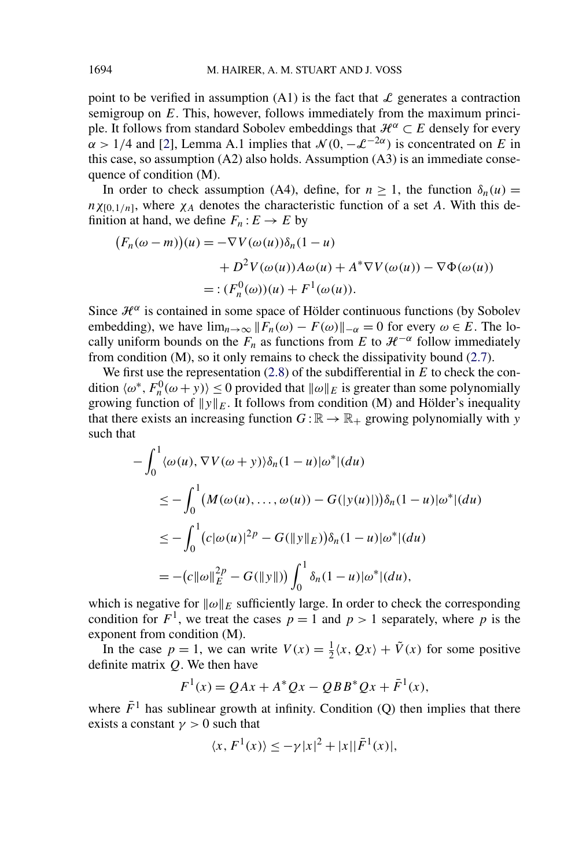point to be verified in assumption (A1) is the fact that  $\mathcal L$  generates a contraction semigroup on *E*. This, however, follows immediately from the maximum principle. It follows from standard Sobolev embeddings that  $\mathcal{H}^{\alpha} \subset E$  densely for every  $\alpha$  > 1/4 and [\[2\]](#page-48-0), Lemma A.1 implies that  $\mathcal{N}(0, -\mathcal{L}^{-2\alpha})$  is concentrated on *E* in this case, so assumption (A2) also holds. Assumption (A3) is an immediate consequence of condition (M).

In order to check assumption (A4), define, for  $n \ge 1$ , the function  $\delta_n(u)$  =  $n\chi_{[0,1/n]}$ , where  $\chi_A$  denotes the characteristic function of a set *A*. With this definition at hand, we define  $F_n: E \to E$  by

$$
(F_n(\omega - m))(u) = -\nabla V(\omega(u))\delta_n(1 - u)
$$
  
+  $D^2 V(\omega(u))A\omega(u) + A^* \nabla V(\omega(u)) - \nabla \Phi(\omega(u))$   
= :  $(F_n^0(\omega))(u) + F^1(\omega(u)).$ 

Since  $\mathcal{H}^{\alpha}$  is contained in some space of Hölder continuous functions (by Sobolev embedding), we have  $\lim_{n\to\infty}$   $||F_n(\omega) - F(\omega)||_{-\alpha} = 0$  for every  $\omega \in E$ . The locally uniform bounds on the  $F_n$  as functions from *E* to  $\mathcal{H}^{-\alpha}$  follow immediately from condition (M), so it only remains to check the dissipativity bound [\(2.7\)](#page-7-0).

We first use the representation [\(2.8\)](#page-7-0) of the subdifferential in *E* to check the condition  $\langle \omega^*, F_n^0(\omega + y) \rangle \le 0$  provided that  $\|\omega\|_E$  is greater than some polynomially growing function of  $||y||_E$ . It follows from condition (M) and Hölder's inequality that there exists an increasing function  $G : \mathbb{R} \to \mathbb{R}_+$  growing polynomially with *y* such that

$$
-\int_0^1 \langle \omega(u), \nabla V(\omega + y) \rangle \delta_n(1-u) | \omega^* | (du)
$$
  
\n
$$
\leq -\int_0^1 (M(\omega(u), ..., \omega(u)) - G(|y(u)|)) \delta_n(1-u) | \omega^* | (du)
$$
  
\n
$$
\leq -\int_0^1 (c|\omega(u)|^{2p} - G(||y||_E)) \delta_n(1-u) | \omega^* | (du)
$$
  
\n
$$
= -(c||\omega||_E^{2p} - G(||y||)) \int_0^1 \delta_n(1-u) | \omega^* | (du),
$$

which is negative for  $\|\omega\|_E$  sufficiently large. In order to check the corresponding condition for  $F^1$ , we treat the cases  $p = 1$  and  $p > 1$  separately, where p is the exponent from condition (M).

In the case  $p = 1$ , we can write  $V(x) = \frac{1}{2}\langle x, Qx \rangle + \tilde{V}(x)$  for some positive definite matrix *Q*. We then have

$$
F^{1}(x) = QAx + A^{*}Qx - QBB^{*}Qx + \bar{F}^{1}(x),
$$

where  $\bar{F}^1$  has sublinear growth at infinity. Condition (Q) then implies that there exists a constant  $\gamma > 0$  such that

$$
\langle x, F^1(x) \rangle \le -\gamma |x|^2 + |x||\overline{F}^1(x)|,
$$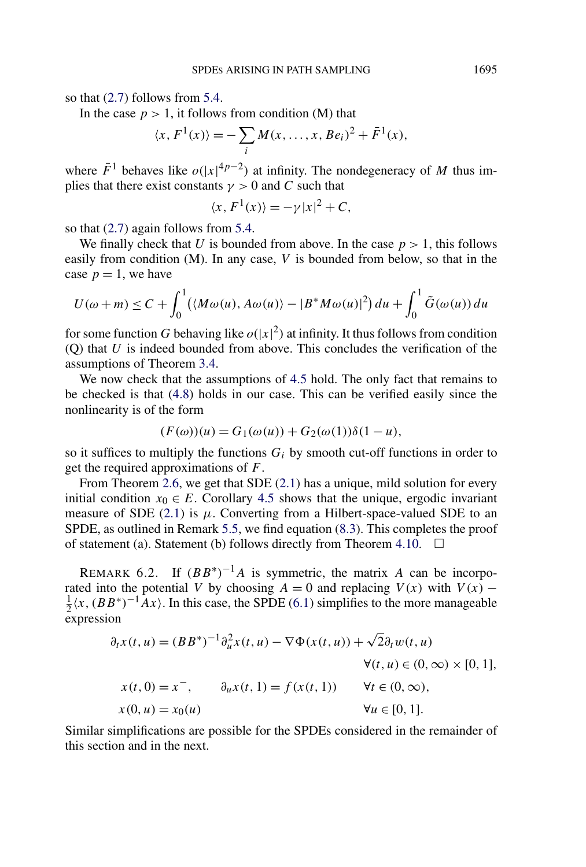so that [\(2.7\)](#page-7-0) follows from [5.4.](#page-34-0)

In the case  $p > 1$ , it follows from condition (M) that

$$
\langle x, F^{1}(x) \rangle = -\sum_{i} M(x, \dots, x, Be_{i})^{2} + \bar{F}^{1}(x),
$$

where  $\bar{F}^1$  behaves like  $o(|x|^{4p-2})$  at infinity. The nondegeneracy of *M* thus implies that there exist constants  $\gamma > 0$  and *C* such that

$$
\langle x, F^1(x) \rangle = -\gamma |x|^2 + C,
$$

so that [\(2.7\)](#page-7-0) again follows from [5.4.](#page-34-0)

We finally check that *U* is bounded from above. In the case  $p > 1$ , this follows easily from condition (M). In any case, *V* is bounded from below, so that in the case  $p = 1$ , we have

$$
U(\omega+m) \leq C + \int_0^1 (\langle M\omega(u), A\omega(u) \rangle - |B^*M\omega(u)|^2) du + \int_0^1 \tilde{G}(\omega(u)) du
$$

for some function *G* behaving like  $o(|x|^2)$  at infinity. It thus follows from condition (Q) that *U* is indeed bounded from above. This concludes the verification of the assumptions of Theorem [3.4.](#page-18-0)

We now check that the assumptions of [4.5](#page-26-0) hold. The only fact that remains to be checked is that [\(4.8\)](#page-24-0) holds in our case. This can be verified easily since the nonlinearity is of the form

$$
(F(\omega))(u) = G_1(\omega(u)) + G_2(\omega(1))\delta(1-u),
$$

so it suffices to multiply the functions  $G_i$  by smooth cut-off functions in order to get the required approximations of *F*.

From Theorem [2.6,](#page-8-0) we get that SDE [\(2.1\)](#page-4-0) has a unique, mild solution for every initial condition  $x_0 \in E$ . Corollary [4.5](#page-26-0) shows that the unique, ergodic invariant measure of SDE  $(2.1)$  is  $\mu$ . Converting from a Hilbert-space-valued SDE to an SPDE, as outlined in Remark [5.5,](#page-34-0) we find equation [\(8.3\)](#page-43-0). This completes the proof of statement (a). Statement (b) follows directly from Theorem [4.10.](#page-28-0)  $\Box$ 

REMARK 6.2. If  $(BB^*)^{-1}A$  is symmetric, the matrix *A* can be incorporated into the potential *V* by choosing  $A = 0$  and replacing  $V(x)$  with  $V(x)$  −  $\frac{1}{2}\langle x, (BB^*)^{-1}Ax \rangle$ . In this case, the SPDE [\(6.1\)](#page-35-0) simplifies to the more manageable expression

$$
\partial_t x(t, u) = (BB^*)^{-1} \partial_u^2 x(t, u) - \nabla \Phi(x(t, u)) + \sqrt{2} \partial_t w(t, u)
$$
  

$$
\forall (t, u) \in (0, \infty) \times [0, 1],
$$
  

$$
x(t, 0) = x^-, \qquad \partial_u x(t, 1) = f(x(t, 1)) \qquad \forall t \in (0, \infty),
$$
  

$$
x(0, u) = x_0(u) \qquad \forall u \in [0, 1].
$$

Similar simplifications are possible for the SPDEs considered in the remainder of this section and in the next.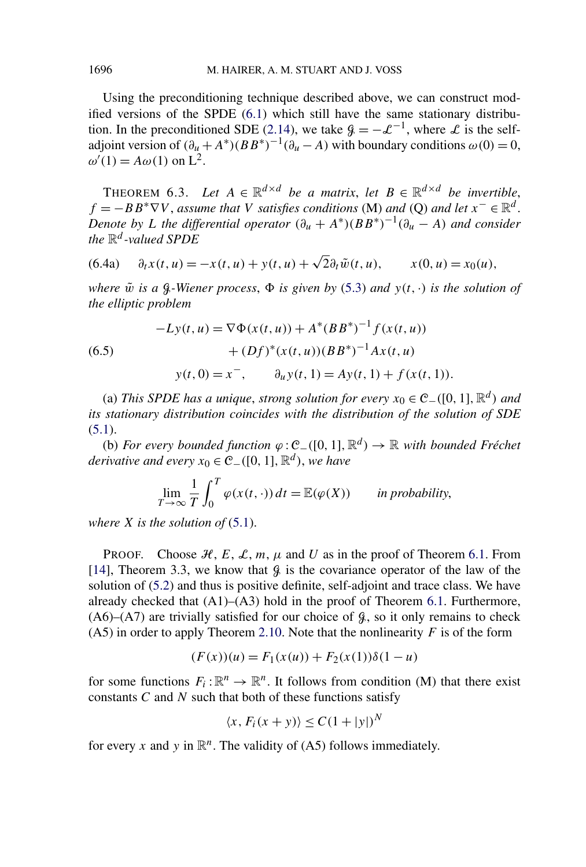Using the preconditioning technique described above, we can construct modified versions of the SPDE [\(6.1\)](#page-35-0) which still have the same stationary distribu-tion. In the preconditioned SDE [\(2.14\)](#page-11-0), we take  $\mathcal{G} = -\mathcal{L}^{-1}$ , where  $\mathcal{L}$  is the selfadjoint version of  $(\partial_u + A^*)(BB^*)^{-1}(\partial_u - A)$  with boundary conditions  $\omega(0) = 0$ ,  $\omega'(1) = A\omega(1)$  on  $L^2$ .

THEOREM 6.3. *Let*  $A \in \mathbb{R}^{d \times d}$  *be a matrix, let*  $B \in \mathbb{R}^{d \times d}$  *be invertible,*  $f = -BB^* \nabla V$ , *assume that V satisfies conditions* (M) *and* (Q) *and let*  $x^- \in \mathbb{R}^d$ . *Denote by L the differential operator*  $(\partial_u + A^*)(BB^*)^{-1}(\partial_u - A)$  *and consider the* R*<sup>d</sup> -valued SPDE*

(6.4a) 
$$
\partial_t x(t, u) = -x(t, u) + y(t, u) + \sqrt{2} \partial_t \tilde{w}(t, u), \qquad x(0, u) = x_0(u),
$$

*where*  $\tilde{w}$  *is a*  $\beta$ *-Wiener process,*  $\Phi$  *is given by* [\(5.3\)](#page-32-0) *and*  $y(t, \cdot)$  *is the solution of the elliptic problem*

(6.5)  
\n
$$
-Ly(t, u) = \nabla \Phi(x(t, u)) + A^*(BB^*)^{-1} f(x(t, u))
$$
\n
$$
+ (Df)^*(x(t, u))(BB^*)^{-1} Ax(t, u)
$$
\n
$$
y(t, 0) = x^-, \qquad \partial_u y(t, 1) = Ay(t, 1) + f(x(t, 1)).
$$

(a) *This SPDE has a unique, strong solution for every*  $x_0 \text{ ∈ } C_-(10, 1], \mathbb{R}^d$ *)* and *its stationary distribution coincides with the distribution of the solution of SDE*  $(5.1).$  $(5.1).$ 

(b) *For every bounded function ϕ* :C−*(*[0*,* 1]*,*R*<sup>d</sup> )* → R *with bounded Fréchet derivative and every*  $x_0 \in \mathcal{C}_-(0, 1], \mathbb{R}^d)$ , *we have* 

$$
\lim_{T \to \infty} \frac{1}{T} \int_0^T \varphi(x(t, \cdot)) dt = \mathbb{E}(\varphi(X)) \quad \text{in probability,}
$$

*where X is the solution of* [\(5.1\)](#page-30-0).

PROOF. Choose  $H, E, L, m, \mu$  and U as in the proof of Theorem [6.1.](#page-35-0) From [\[14\]](#page-48-0), Theorem 3.3, we know that  $\beta$  is the covariance operator of the law of the solution of [\(5.2\)](#page-30-0) and thus is positive definite, self-adjoint and trace class. We have already checked that  $(A1)$ – $(A3)$  hold in the proof of Theorem [6.1.](#page-35-0) Furthermore,  $(A6)$ – $(A7)$  are trivially satisfied for our choice of  $\mathcal{G}$ , so it only remains to check (A5) in order to apply Theorem [2.10.](#page-12-0) Note that the nonlinearity  $F$  is of the form

$$
(F(x))(u) = F_1(x(u)) + F_2(x(1))\delta(1 - u)
$$

for some functions  $F_i: \mathbb{R}^n \to \mathbb{R}^n$ . It follows from condition (M) that there exist constants *C* and *N* such that both of these functions satisfy

$$
\langle x, F_i(x+y) \rangle \le C(1+|y|)^N
$$

for every *x* and *y* in  $\mathbb{R}^n$ . The validity of (A5) follows immediately.

<span id="page-39-0"></span>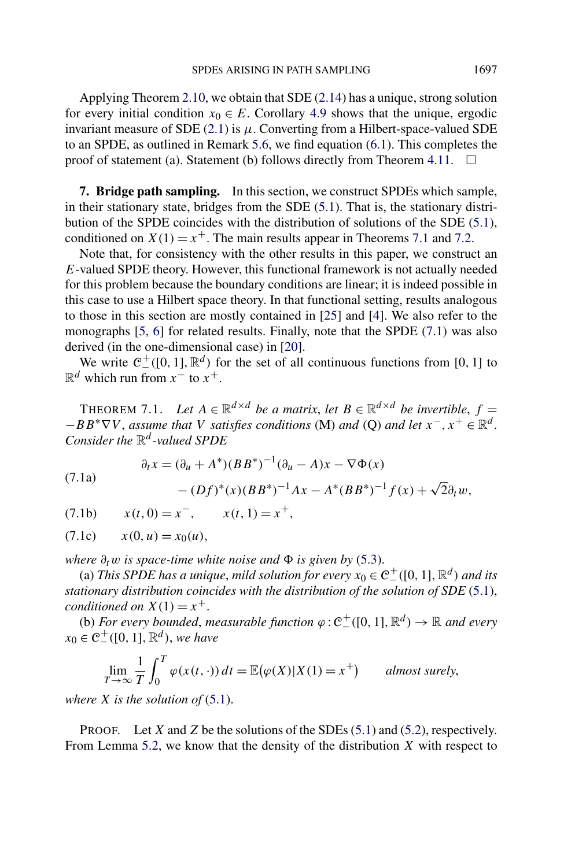<span id="page-40-0"></span>Applying Theorem [2.10,](#page-12-0) we obtain that SDE [\(2.14\)](#page-11-0) has a unique, strong solution for every initial condition  $x_0 \in E$ . Corollary [4.9](#page-28-0) shows that the unique, ergodic invariant measure of SDE  $(2.1)$  is  $\mu$ . Converting from a Hilbert-space-valued SDE to an SPDE, as outlined in Remark [5.6,](#page-35-0) we find equation [\(6.1\)](#page-35-0). This completes the proof of statement (a). Statement (b) follows directly from Theorem [4.11.](#page-29-0)  $\Box$ 

**7. Bridge path sampling.** In this section, we construct SPDEs which sample, in their stationary state, bridges from the SDE [\(5.1\)](#page-30-0). That is, the stationary distribution of the SPDE coincides with the distribution of solutions of the SDE [\(5.1\)](#page-30-0), conditioned on  $X(1) = x^+$ . The main results appear in Theorems 7.1 and [7.2.](#page-41-0)

Note that, for consistency with the other results in this paper, we construct an *E*-valued SPDE theory. However, this functional framework is not actually needed for this problem because the boundary conditions are linear; it is indeed possible in this case to use a Hilbert space theory. In that functional setting, results analogous to those in this section are mostly contained in [\[25\]](#page-49-0) and [\[4\]](#page-48-0). We also refer to the monographs [\[5, 6\]](#page-48-0) for related results. Finally, note that the SPDE (7.1) was also derived (in the one-dimensional case) in [\[20\]](#page-49-0).

We write  $C_{-}^{+}([0, 1], \mathbb{R}^{d})$  for the set of all continuous functions from [0, 1] to  $\mathbb{R}^d$  which run from  $x^-$  to  $x^+$ .

THEOREM 7.1. Let  $A \in \mathbb{R}^{d \times d}$  *be a matrix, let*  $B \in \mathbb{R}^{d \times d}$  *be invertible,*  $f =$  $-BB^* \nabla V$ , *assume that V satisfies conditions* (M) *and* (Q) *and let*  $x^-, x^+ \in \mathbb{R}^d$ . *Consider the* R*<sup>d</sup> -valued SPDE*

(7.1a)  

$$
\partial_t x = (\partial_u + A^*)(BB^*)^{-1}(\partial_u - A)x - \nabla \Phi(x) - (Df)^*(x)(BB^*)^{-1}Ax - A^*(BB^*)^{-1}f(x) + \sqrt{2}\partial_t w,
$$

 $x(t, 0) = x^-, \quad x(t, 1) = x^+,$ 

$$
(7.1c) \t x(0, u) = x_0(u),
$$

*where*  $\partial_t w$  *is space-time white noise and*  $\Phi$  *is given by* [\(5.3\)](#page-32-0).

(a) *This SPDE has a unique, mild solution for every*  $x_0 \in C^+_-([0, 1], \mathbb{R}^d)$  *and its stationary distribution coincides with the distribution of the solution of SDE* [\(5.1\)](#page-30-0), *conditioned on*  $X(1) = x^+$ .

(b) *For every bounded, measurable function*  $\varphi$ :  $C_{-}^{+}([0, 1], \mathbb{R}^{d}) \rightarrow \mathbb{R}$  *and every*  $x_0 \in C^+_-([0, 1], \mathbb{R}^d)$ , *we have* 

$$
\lim_{T \to \infty} \frac{1}{T} \int_0^T \varphi(x(t, \cdot)) dt = \mathbb{E}(\varphi(X)|X(1) = x^+) \quad \text{almost surely,}
$$

*where X is the solution of* [\(5.1\)](#page-30-0).

PROOF. Let *X* and *Z* be the solutions of the SDEs [\(5.1\)](#page-30-0) and [\(5.2\)](#page-30-0), respectively. From Lemma [5.2,](#page-32-0) we know that the density of the distribution *X* with respect to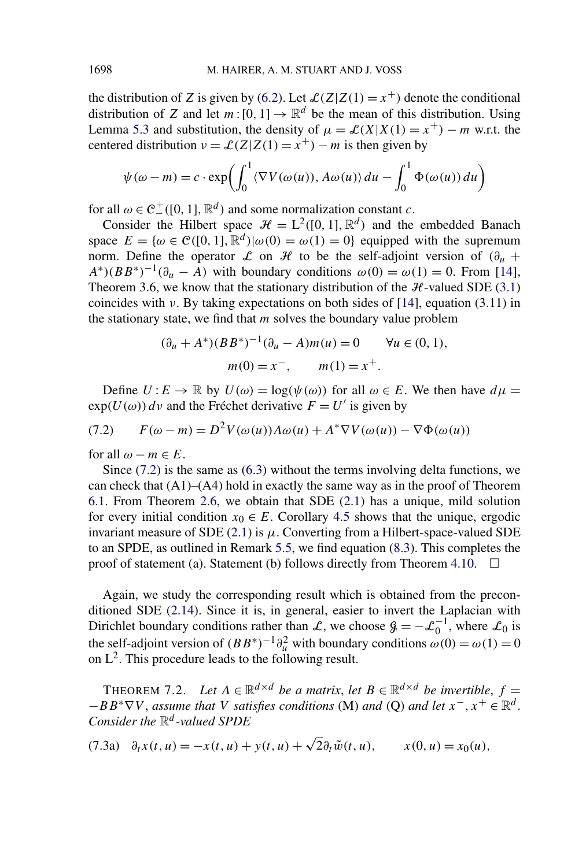<span id="page-41-0"></span>the distribution of *Z* is given by [\(6.2\)](#page-36-0). Let  $\mathcal{L}(Z|Z(1) = x^+)$  denote the conditional distribution of *Z* and let  $m: [0, 1] \rightarrow \mathbb{R}^d$  be the mean of this distribution. Using Lemma [5.3](#page-33-0) and substitution, the density of  $\mu = \mathcal{L}(X|X(1) = x^+) - m$  w.r.t. the centered distribution  $v = \mathcal{L}(Z|Z(1)) = x^{+} - m$  is then given by

$$
\psi(\omega - m) = c \cdot \exp\left(\int_0^1 \langle \nabla V(\omega(u)), A\omega(u) \rangle du - \int_0^1 \Phi(\omega(u)) du\right)
$$

for all  $\omega \in C^+$  ([0, 1],  $\mathbb{R}^d$ ) and some normalization constant *c*.

Consider the Hilbert space  $\mathcal{H} = L^2([0, 1], \mathbb{R}^d)$  and the embedded Banach space  $E = {\omega \in \mathcal{C}([0, 1], \mathbb{R}^d) | \omega(0) = \omega(1) = 0}$  equipped with the supremum norm. Define the operator  $\mathcal L$  on  $\mathcal H$  to be the self-adjoint version of  $(\partial_u +$  $A^*(B B^*)^{-1}(\partial_u - A)$  with boundary conditions  $\omega(0) = \omega(1) = 0$ . From [\[14\]](#page-48-0), Theorem 3.6, we know that the stationary distribution of the  $H$ -valued SDE [\(3.1\)](#page-13-0) coincides with  $\nu$ . By taking expectations on both sides of [\[14\]](#page-48-0), equation (3.11) in the stationary state, we find that *m* solves the boundary value problem

$$
(\partial_u + A^*)(BB^*)^{-1}(\partial_u - A)m(u) = 0 \quad \forall u \in (0, 1),
$$
  
 
$$
m(0) = x^-, \quad m(1) = x^+.
$$

Define  $U: E \to \mathbb{R}$  by  $U(\omega) = \log(\psi(\omega))$  for all  $\omega \in E$ . We then have  $d\mu =$  $\exp(U(\omega))$  dv and the Fréchet derivative  $F = U'$  is given by

$$
(7.2) \qquad F(\omega - m) = D^2 V(\omega(u)) A \omega(u) + A^* \nabla V(\omega(u)) - \nabla \Phi(\omega(u))
$$

for all  $\omega - m \in E$ .

Since  $(7.2)$  is the same as  $(6.3)$  without the terms involving delta functions, we can check that  $(A1)$ – $(A4)$  hold in exactly the same way as in the proof of Theorem [6.1.](#page-35-0) From Theorem [2.6,](#page-8-0) we obtain that SDE [\(2.1\)](#page-4-0) has a unique, mild solution for every initial condition  $x_0 \in E$ . Corollary [4.5](#page-26-0) shows that the unique, ergodic invariant measure of SDE  $(2.1)$  is  $\mu$ . Converting from a Hilbert-space-valued SDE to an SPDE, as outlined in Remark [5.5,](#page-34-0) we find equation [\(8.3\)](#page-43-0). This completes the proof of statement (a). Statement (b) follows directly from Theorem [4.10.](#page-28-0)  $\Box$ 

Again, we study the corresponding result which is obtained from the preconditioned SDE [\(2.14\)](#page-11-0). Since it is, in general, easier to invert the Laplacian with Dirichlet boundary conditions rather than L, we choose  $\mathcal{G} = -\mathcal{L}_0^{-1}$ , where  $\mathcal{L}_0$  is the self-adjoint version of  $(BB^*)^{-1}\partial_u^2$  with boundary conditions  $\omega(0) = \omega(1) = 0$ on  $L^2$ . This procedure leads to the following result.

THEOREM 7.2. *Let*  $A \in \mathbb{R}^{d \times d}$  *be a matrix, let*  $B \in \mathbb{R}^{d \times d}$  *be invertible,*  $f =$  $-BB^* \nabla V$ , *assume that V satisfies conditions* (M) *and* (Q) *and let*  $x^-, x^+ \in \mathbb{R}^d$ . *Consider the* R*<sup>d</sup> -valued SPDE*

(7.3a) 
$$
\partial_t x(t, u) = -x(t, u) + y(t, u) + \sqrt{2} \partial_t \tilde{w}(t, u), \qquad x(0, u) = x_0(u),
$$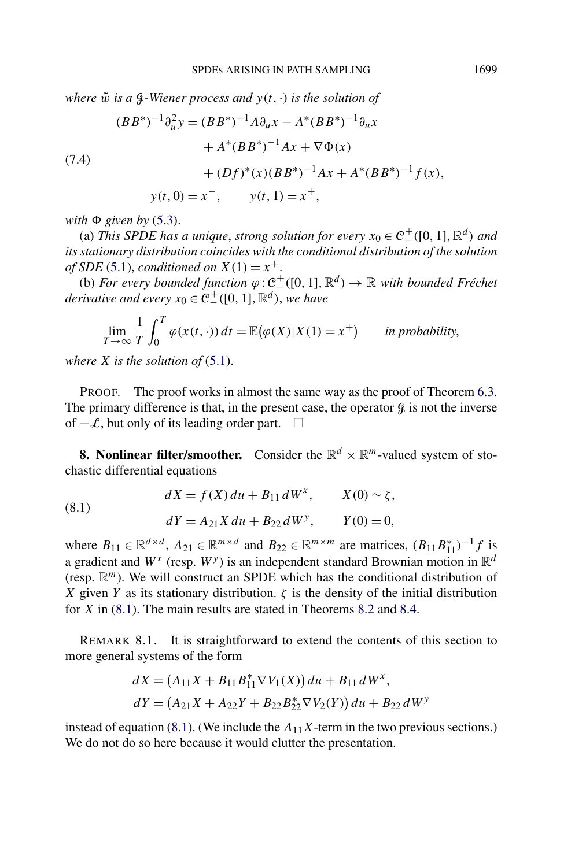<span id="page-42-0"></span>*where*  $\tilde{w}$  *is a*  $\mathcal{G}$ -Wiener process and  $y(t, \cdot)$  *is the solution of* 

(7.4)  
\n
$$
(BB^*)^{-1}\partial_u^2 y = (BB^*)^{-1}A\partial_u x - A^*(BB^*)^{-1}\partial_u x
$$
\n
$$
+ A^*(BB^*)^{-1}Ax + \nabla\Phi(x)
$$
\n
$$
+ (Df)^*(x)(BB^*)^{-1}Ax + A^*(BB^*)^{-1}f(x),
$$
\n
$$
y(t, 0) = x^-, \qquad y(t, 1) = x^+,
$$

 $with \Phi$  *given by* [\(5.3\)](#page-32-0).

(a) *This SPDE has a unique, strong solution for every*  $x_0 \in C^+ \setminus ([0, 1], \mathbb{R}^d)$  *and its stationary distribution coincides with the conditional distribution of the solution of SDE* [\(5.1\)](#page-30-0), *conditioned on*  $X(1) = x^+$ .

 $($ **b**) *For every bounded function*  $ϕ: C<sup>+</sup>$ <sub>⊥</sub> $([0, 1], \mathbb{R}$ <sup>*d*</sup> $)$  →  $\mathbb{R}$  *with bounded Fréchet derivative and every*  $x_0 \in C^+$  ([0, 1],  $\mathbb{R}^d$ ), we have

$$
\lim_{T \to \infty} \frac{1}{T} \int_0^T \varphi(x(t, \cdot)) dt = \mathbb{E}(\varphi(X)|X(1) = x^+) \quad \text{in probability,}
$$

*where X is the solution of* [\(5.1\)](#page-30-0).

PROOF. The proof works in almost the same way as the proof of Theorem [6.3.](#page-39-0) The primary difference is that, in the present case, the operator  $\beta$  is not the inverse of  $-\mathcal{L}$ , but only of its leading order part.  $□$ 

**8. Nonlinear filter/smoother.** Consider the  $\mathbb{R}^d \times \mathbb{R}^m$ -valued system of stochastic differential equations

(8.1) 
$$
dX = f(X) du + B_{11} dW^{x}, \qquad X(0) \sim \zeta,
$$

$$
dY = A_{21} X du + B_{22} dW^{y}, \qquad Y(0) = 0,
$$

where  $B_{11} \in \mathbb{R}^{d \times d}$ ,  $A_{21} \in \mathbb{R}^{m \times d}$  and  $B_{22} \in \mathbb{R}^{m \times m}$  are matrices,  $(B_{11}B_{11}^*)^{-1}f$  is a gradient and  $W^{\chi}$  (resp.  $W^{\gamma}$ ) is an independent standard Brownian motion in  $\mathbb{R}^d$ (resp. R*m*). We will construct an SPDE which has the conditional distribution of *X* given *Y* as its stationary distribution.  $\zeta$  is the density of the initial distribution for *X* in (8.1). The main results are stated in Theorems [8.2](#page-43-0) and [8.4.](#page-45-0)

REMARK 8.1. It is straightforward to extend the contents of this section to more general systems of the form

$$
dX = (A_{11}X + B_{11}B_{11}^* \nabla V_1(X)) du + B_{11} dW^x,
$$
  
\n
$$
dY = (A_{21}X + A_{22}Y + B_{22}B_{22}^* \nabla V_2(Y)) du + B_{22} dW^y
$$

instead of equation (8.1). (We include the  $A_{11}X$ -term in the two previous sections.) We do not do so here because it would clutter the presentation.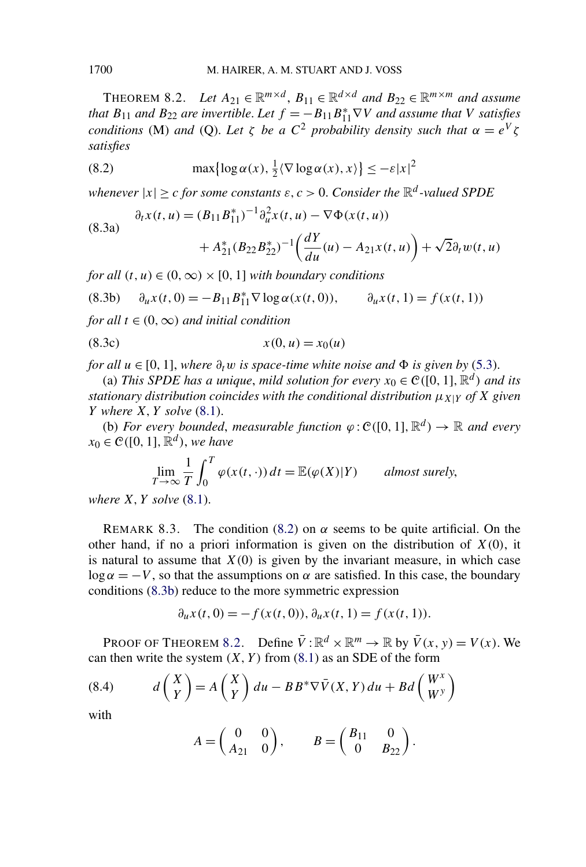<span id="page-43-0"></span>THEOREM 8.2. *Let*  $A_{21} \in \mathbb{R}^{m \times d}$ ,  $B_{11} \in \mathbb{R}^{d \times d}$  and  $B_{22} \in \mathbb{R}^{m \times m}$  and assume *that*  $B_{11}$  *and*  $B_{22}$  *are invertible. Let*  $f = -B_{11}B_{11}^* \nabla V$  *and assume that V satisfies conditions* (M) *and* (Q). Let  $\zeta$  *be a*  $C^2$  *probability density such that*  $\alpha = e^V \zeta$ *satisfies*

(8.2) 
$$
\max\{\log \alpha(x), \frac{1}{2}\langle \nabla \log \alpha(x), x \rangle\} \leq -\varepsilon |x|^2
$$

*whenever*  $|x| \ge c$  *for some constants*  $\varepsilon$ ,  $c > 0$ . *Consider the*  $\mathbb{R}^d$ -valued SPDE

(8.3a)  

$$
\partial_t x(t, u) = (B_{11} B_{11}^*)^{-1} \partial_u^2 x(t, u) - \nabla \Phi(x(t, u))
$$

$$
+ A_{21}^* (B_{22} B_{22}^*)^{-1} \left( \frac{dY}{du}(u) - A_{21} x(t, u) \right) + \sqrt{2} \partial_t w(t,
$$

 $\mu$ )

*for all*  $(t, u) \in (0, \infty) \times [0, 1]$  *with boundary conditions* 

$$
(8.3b) \quad \partial_u x(t,0) = -B_{11} B_{11}^* \nabla \log \alpha(x(t,0)), \qquad \partial_u x(t,1) = f(x(t,1))
$$

*for all*  $t \in (0, \infty)$  *and initial condition* 

$$
(8.3c) \t\t x(0, u) = x_0(u)
$$

*for all*  $u \in [0, 1]$ , *where*  $\partial_t w$  *is space-time white noise and*  $\Phi$  *is given by* [\(5.3\)](#page-32-0).

(a) *This SPDE has a unique, mild solution for every*  $x_0 \in \mathcal{C}([0, 1], \mathbb{R}^d)$  *and its stationary distribution coincides with the conditional distribution*  $\mu_{X|Y}$  *of X* given *Y where X, Y solve* [\(8.1\)](#page-42-0).

(b) *For every bounded, measurable function*  $\varphi$  :  $\mathcal{C}([0, 1], \mathbb{R}^d) \to \mathbb{R}$  *and every*  $x_0 \in \mathcal{C}([0, 1], \mathbb{R}^d)$ , *we have* 

$$
\lim_{T \to \infty} \frac{1}{T} \int_0^T \varphi(x(t, \cdot)) dt = \mathbb{E}(\varphi(X)|Y) \quad \text{almost surely,}
$$

*where X, Y solve* [\(8.1\)](#page-42-0).

REMARK 8.3. The condition (8.2) on  $\alpha$  seems to be quite artificial. On the other hand, if no a priori information is given on the distribution of *X(*0*)*, it is natural to assume that  $X(0)$  is given by the invariant measure, in which case  $\log \alpha = -V$ , so that the assumptions on  $\alpha$  are satisfied. In this case, the boundary conditions (8.3b) reduce to the more symmetric expression

$$
\partial_u x(t,0) = -f(x(t,0)), \partial_u x(t,1) = f(x(t,1)).
$$

PROOF OF THEOREM 8.2. Define  $\overline{V}$ :  $\mathbb{R}^d \times \mathbb{R}^m \to \mathbb{R}$  by  $\overline{V}(x, y) = V(x)$ . We can then write the system  $(X, Y)$  from  $(8.1)$  as an SDE of the form

(8.4) 
$$
d\begin{pmatrix} X \\ Y \end{pmatrix} = A \begin{pmatrix} X \\ Y \end{pmatrix} du - BB^* \nabla \bar{V}(X, Y) du + Bd \begin{pmatrix} W^x \\ W^y \end{pmatrix}
$$

with

$$
A = \begin{pmatrix} 0 & 0 \\ A_{21} & 0 \end{pmatrix}, \qquad B = \begin{pmatrix} B_{11} & 0 \\ 0 & B_{22} \end{pmatrix}.
$$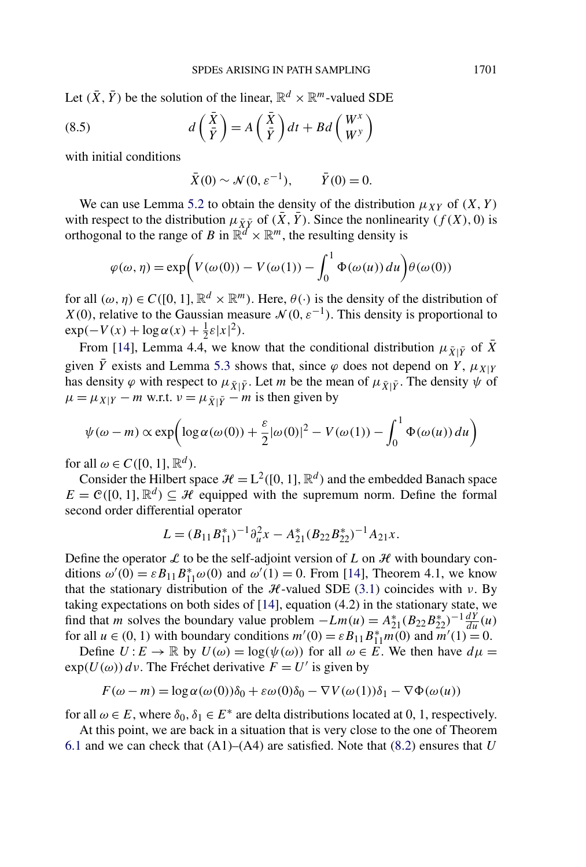Let  $(\bar{X}, \bar{Y})$  be the solution of the linear,  $\mathbb{R}^d \times \mathbb{R}^m$ -valued SDE

(8.5) 
$$
d\left(\frac{\bar{X}}{\bar{Y}}\right) = A\left(\frac{\bar{X}}{\bar{Y}}\right)dt + Bd\left(\frac{W^x}{W^y}\right)
$$

with initial conditions

$$
\bar{X}(0) \sim \mathcal{N}(0, \varepsilon^{-1}), \qquad \bar{Y}(0) = 0.
$$

We can use Lemma [5.2](#page-32-0) to obtain the density of the distribution  $\mu_{XY}$  of  $(X, Y)$ with respect to the distribution  $\mu_{\bar{X}\bar{Y}}$  of  $(\bar{X}, \bar{Y})$ . Since the nonlinearity  $(f(X), 0)$  is orthogonal to the range of *B* in  $\mathbb{R}^d \times \mathbb{R}^m$ , the resulting density is

$$
\varphi(\omega, \eta) = \exp\left(V(\omega(0)) - V(\omega(1)) - \int_0^1 \Phi(\omega(u)) du\right) \theta(\omega(0))
$$

for all  $(\omega, \eta) \in C([0, 1], \mathbb{R}^d \times \mathbb{R}^m)$ . Here,  $\theta(\cdot)$  is the density of the distribution of *X*(0), relative to the Gaussian measure  $\mathcal{N}(0, \varepsilon^{-1})$ . This density is proportional to  $\exp(-V(x) + \log \alpha(x) + \frac{1}{2}\varepsilon|x|^2).$ 

From [\[14\]](#page-48-0), Lemma 4.4, we know that the conditional distribution  $\mu_{\bar{X}|\bar{Y}}$  of  $\bar{X}$ given  $\bar{Y}$  exists and Lemma [5.3](#page-33-0) shows that, since  $\varphi$  does not depend on *Y*,  $\mu_{X|Y}$ has density  $\varphi$  with respect to  $\mu_{\bar{X}|\bar{Y}}$ . Let *m* be the mean of  $\mu_{\bar{X}|\bar{Y}}$ . The density  $\psi$  of  $\mu = \mu_{X|Y} - m$  w.r.t.  $\nu = \mu_{\bar{X}|\bar{Y}} - m$  is then given by

$$
\psi(\omega - m) \propto \exp\left( \log \alpha(\omega(0)) + \frac{\varepsilon}{2} |\omega(0)|^2 - V(\omega(1)) - \int_0^1 \Phi(\omega(u)) du \right)
$$

for all  $\omega \in C([0, 1], \mathbb{R}^d)$ .

Consider the Hilbert space  $\mathcal{H} = L^2([0, 1], \mathbb{R}^d)$  and the embedded Banach space  $E = \mathcal{C}([0, 1], \mathbb{R}^d) \subseteq \mathcal{H}$  equipped with the supremum norm. Define the formal second order differential operator

$$
L = (B_{11}B_{11}^*)^{-1}\partial_u^2 x - A_{21}^*(B_{22}B_{22}^*)^{-1}A_{21}x.
$$

Define the operator  $\mathcal L$  to be the self-adjoint version of  $L$  on  $\mathcal H$  with boundary conditions  $\omega'(0) = \varepsilon B_{11} B_{11}^* \omega(0)$  and  $\omega'(1) = 0$ . From [\[14\]](#page-48-0), Theorem 4.1, we know that the stationary distribution of the  $H$ -valued SDE [\(3.1\)](#page-13-0) coincides with  $\nu$ . By taking expectations on both sides of [\[14\]](#page-48-0), equation (4.2) in the stationary state, we find that *m* solves the boundary value problem  $-Lm(u) = A_{21}^*(B_{22}B_{22}^*)^{-1}\frac{dY}{du}(u)$ for all  $u \in (0, 1)$  with boundary conditions  $m'(0) = \varepsilon B_{11} B_{11}^* m(0)$  and  $m'(1) = 0$ .

Define  $U: E \to \mathbb{R}$  by  $U(\omega) = \log(\psi(\omega))$  for all  $\omega \in E$ . We then have  $d\mu =$  $\exp(U(\omega))$  dv. The Fréchet derivative  $F = U'$  is given by

$$
F(\omega - m) = \log \alpha(\omega(0))\delta_0 + \varepsilon \omega(0)\delta_0 - \nabla V(\omega(1))\delta_1 - \nabla \Phi(\omega(u))
$$

for all  $\omega \in E$ , where  $\delta_0, \delta_1 \in E^*$  are delta distributions located at 0, 1, respectively.

At this point, we are back in a situation that is very close to the one of Theorem [6.1](#page-35-0) and we can check that (A1)–(A4) are satisfied. Note that [\(8.2\)](#page-43-0) ensures that *U*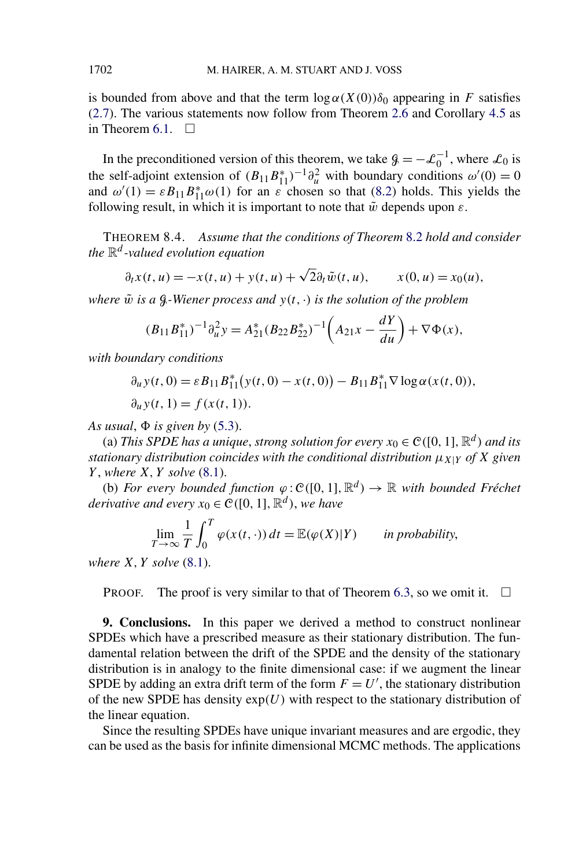<span id="page-45-0"></span>is bounded from above and that the term  $\log \alpha(X(0))\delta_0$  appearing in *F* satisfies [\(2.7\)](#page-7-0). The various statements now follow from Theorem [2.6](#page-8-0) and Corollary [4.5](#page-26-0) as in Theorem [6.1.](#page-35-0)  $\Box$ 

In the preconditioned version of this theorem, we take  $\mathcal{G} = -\mathcal{L}_0^{-1}$ , where  $\mathcal{L}_0$  is the self-adjoint extension of  $(B_{11}B_{11}^*)^{-1}\partial_u^2$  with boundary conditions  $\omega'(0) = 0$ and  $\omega'(1) = \varepsilon B_{11} B_{11}^* \omega(1)$  for an  $\varepsilon$  chosen so that [\(8.2\)](#page-43-0) holds. This yields the following result, in which it is important to note that  $\tilde{w}$  depends upon  $\varepsilon$ .

THEOREM 8.4. *Assume that the conditions of Theorem* [8.2](#page-43-0) *hold and consider the* R*<sup>d</sup> -valued evolution equation*

$$
\partial_t x(t, u) = -x(t, u) + y(t, u) + \sqrt{2} \partial_t \tilde{w}(t, u), \qquad x(0, u) = x_0(u),
$$

*where*  $\tilde{w}$  *is a*  $\mathcal{G}$ -Wiener process and  $y(t, \cdot)$  *is the solution of the problem* 

$$
(B_{11}B_{11}^*)^{-1}\partial_u^2 y = A_{21}^*(B_{22}B_{22}^*)^{-1}\left(A_{21}x - \frac{dY}{du}\right) + \nabla\Phi(x),
$$

*with boundary conditions*

$$
\partial_u y(t,0) = \varepsilon B_{11} B_{11}^*(y(t,0) - x(t,0)) - B_{11} B_{11}^* \nabla \log \alpha(x(t,0)),
$$
  

$$
\partial_u y(t,1) = f(x(t,1)).
$$

As usual,  $\Phi$  is given by  $(5.3)$ .

(a) *This SPDE has a unique, strong solution for every*  $x_0 \in \mathcal{C}([0, 1], \mathbb{R}^d)$  *and its stationary distribution coincides with the conditional distribution*  $\mu_{X|Y}$  *of X* given *Y* , *where X, Y solve* [\(8.1\)](#page-42-0).

(b) *For every bounded function*  $\varphi$ :  $\mathcal{C}([0,1], \mathbb{R}^d) \to \mathbb{R}$  *with bounded Fréchet derivative and every*  $x_0 \in \mathcal{C}([0, 1], \mathbb{R}^d)$ , *we have* 

$$
\lim_{T \to \infty} \frac{1}{T} \int_0^T \varphi(x(t, \cdot)) dt = \mathbb{E}(\varphi(X)|Y) \quad \text{in probability,}
$$

*where X, Y solve* [\(8.1\)](#page-42-0).

**PROOF.** The proof is very similar to that of Theorem [6.3,](#page-39-0) so we omit it.  $\Box$ 

**9. Conclusions.** In this paper we derived a method to construct nonlinear SPDEs which have a prescribed measure as their stationary distribution. The fundamental relation between the drift of the SPDE and the density of the stationary distribution is in analogy to the finite dimensional case: if we augment the linear SPDE by adding an extra drift term of the form  $F = U'$ , the stationary distribution of the new SPDE has density  $exp(U)$  with respect to the stationary distribution of the linear equation.

Since the resulting SPDEs have unique invariant measures and are ergodic, they can be used as the basis for infinite dimensional MCMC methods. The applications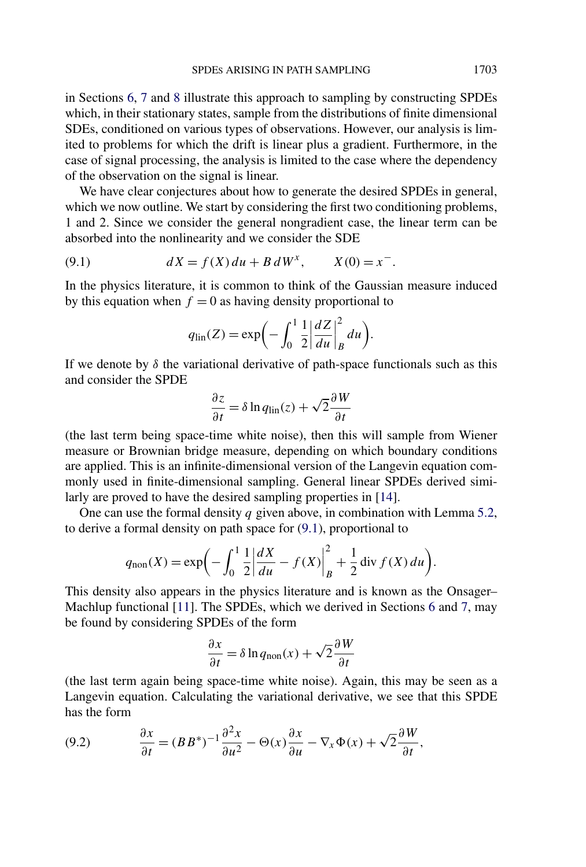in Sections [6,](#page-35-0) [7](#page-40-0) and [8](#page-42-0) illustrate this approach to sampling by constructing SPDEs which, in their stationary states, sample from the distributions of finite dimensional SDEs, conditioned on various types of observations. However, our analysis is limited to problems for which the drift is linear plus a gradient. Furthermore, in the case of signal processing, the analysis is limited to the case where the dependency of the observation on the signal is linear.

We have clear conjectures about how to generate the desired SPDEs in general, which we now outline. We start by considering the first two conditioning problems, 1 and 2. Since we consider the general nongradient case, the linear term can be absorbed into the nonlinearity and we consider the SDE

(9.1) 
$$
dX = f(X) du + B dW^{x}, \qquad X(0) = x^{-}.
$$

In the physics literature, it is common to think of the Gaussian measure induced by this equation when  $f = 0$  as having density proportional to

$$
q_{\rm lin}(Z) = \exp\biggl(-\int_0^1 \frac{1}{2} \bigg| \frac{dZ}{du} \bigg|_B^2 du\biggr).
$$

If we denote by  $\delta$  the variational derivative of path-space functionals such as this and consider the SPDE

$$
\frac{\partial z}{\partial t} = \delta \ln q_{\text{lin}}(z) + \sqrt{2} \frac{\partial W}{\partial t}
$$

(the last term being space-time white noise), then this will sample from Wiener measure or Brownian bridge measure, depending on which boundary conditions are applied. This is an infinite-dimensional version of the Langevin equation commonly used in finite-dimensional sampling. General linear SPDEs derived similarly are proved to have the desired sampling properties in [\[14\]](#page-48-0).

One can use the formal density *q* given above, in combination with Lemma [5.2,](#page-32-0) to derive a formal density on path space for (9.1), proportional to

$$
q_{\text{non}}(X) = \exp\biggl(-\int_0^1 \frac{1}{2} \bigg| \frac{dX}{du} - f(X) \bigg|_B^2 + \frac{1}{2} \operatorname{div} f(X) \, du \biggr).
$$

This density also appears in the physics literature and is known as the Onsager– Machlup functional [\[11\]](#page-48-0). The SPDEs, which we derived in Sections [6](#page-35-0) and [7,](#page-40-0) may be found by considering SPDEs of the form

$$
\frac{\partial x}{\partial t} = \delta \ln q_{\text{non}}(x) + \sqrt{2} \frac{\partial W}{\partial t}
$$

(the last term again being space-time white noise). Again, this may be seen as a Langevin equation. Calculating the variational derivative, we see that this SPDE has the form

(9.2) 
$$
\frac{\partial x}{\partial t} = (BB^*)^{-1} \frac{\partial^2 x}{\partial u^2} - \Theta(x) \frac{\partial x}{\partial u} - \nabla_x \Phi(x) + \sqrt{2} \frac{\partial W}{\partial t},
$$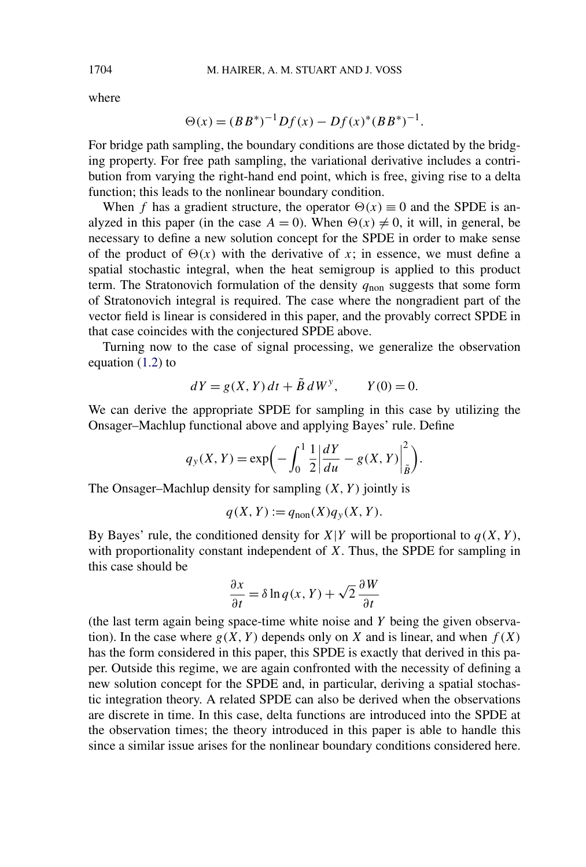where

$$
\Theta(x) = (BB^*)^{-1}Df(x) - Df(x)^*(BB^*)^{-1}.
$$

For bridge path sampling, the boundary conditions are those dictated by the bridging property. For free path sampling, the variational derivative includes a contribution from varying the right-hand end point, which is free, giving rise to a delta function; this leads to the nonlinear boundary condition.

When *f* has a gradient structure, the operator  $\Theta(x) \equiv 0$  and the SPDE is analyzed in this paper (in the case  $A = 0$ ). When  $\Theta(x) \neq 0$ , it will, in general, be necessary to define a new solution concept for the SPDE in order to make sense of the product of  $\Theta(x)$  with the derivative of *x*; in essence, we must define a spatial stochastic integral, when the heat semigroup is applied to this product term. The Stratonovich formulation of the density  $q_{\text{non}}$  suggests that some form of Stratonovich integral is required. The case where the nongradient part of the vector field is linear is considered in this paper, and the provably correct SPDE in that case coincides with the conjectured SPDE above.

Turning now to the case of signal processing, we generalize the observation equation [\(1.2\)](#page-1-0) to

$$
dY = g(X, Y) dt + \tilde{B} dW^{y}, \qquad Y(0) = 0.
$$

We can derive the appropriate SPDE for sampling in this case by utilizing the Onsager–Machlup functional above and applying Bayes' rule. Define

$$
q_y(X, Y) = \exp\left(-\int_0^1 \frac{1}{2} \left| \frac{dY}{du} - g(X, Y) \right|_{\tilde{B}}^2\right).
$$

The Onsager–Machlup density for sampling *(X, Y )* jointly is

$$
q(X, Y) := q_{\text{non}}(X)q_{\mathcal{Y}}(X, Y).
$$

By Bayes' rule, the conditioned density for  $X|Y$  will be proportional to  $q(X, Y)$ , with proportionality constant independent of *X*. Thus, the SPDE for sampling in this case should be

$$
\frac{\partial x}{\partial t} = \delta \ln q(x, Y) + \sqrt{2} \frac{\partial W}{\partial t}
$$

(the last term again being space-time white noise and *Y* being the given observation). In the case where  $g(X, Y)$  depends only on *X* and is linear, and when  $f(X)$ has the form considered in this paper, this SPDE is exactly that derived in this paper. Outside this regime, we are again confronted with the necessity of defining a new solution concept for the SPDE and, in particular, deriving a spatial stochastic integration theory. A related SPDE can also be derived when the observations are discrete in time. In this case, delta functions are introduced into the SPDE at the observation times; the theory introduced in this paper is able to handle this since a similar issue arises for the nonlinear boundary conditions considered here.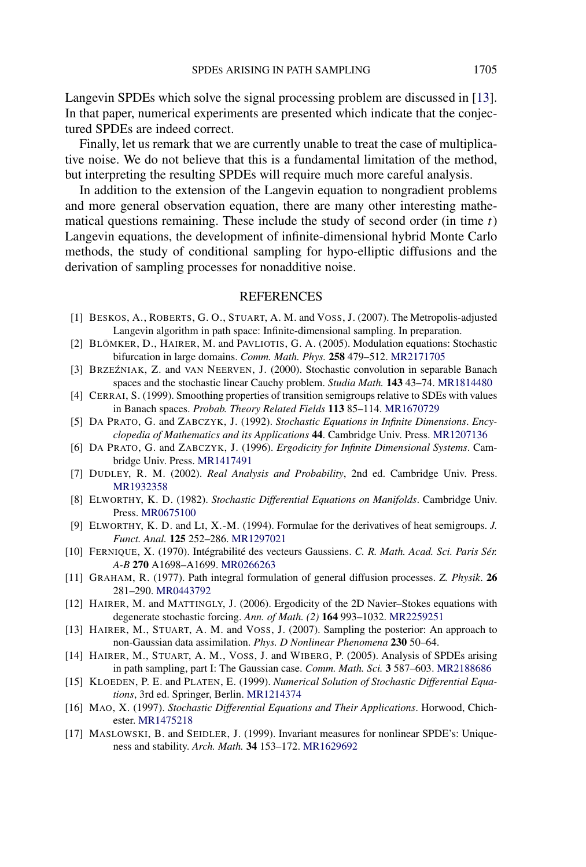<span id="page-48-0"></span>Langevin SPDEs which solve the signal processing problem are discussed in [13]. In that paper, numerical experiments are presented which indicate that the conjectured SPDEs are indeed correct.

Finally, let us remark that we are currently unable to treat the case of multiplicative noise. We do not believe that this is a fundamental limitation of the method, but interpreting the resulting SPDEs will require much more careful analysis.

In addition to the extension of the Langevin equation to nongradient problems and more general observation equation, there are many other interesting mathematical questions remaining. These include the study of second order (in time *t*) Langevin equations, the development of infinite-dimensional hybrid Monte Carlo methods, the study of conditional sampling for hypo-elliptic diffusions and the derivation of sampling processes for nonadditive noise.

## REFERENCES

- [1] BESKOS, A., ROBERTS, G. O., STUART, A. M. and VOSS, J. (2007). The Metropolis-adjusted Langevin algorithm in path space: Infinite-dimensional sampling. In preparation.
- [2] BLÖMKER, D., HAIRER, M. and PAVLIOTIS, G. A. (2005). Modulation equations: Stochastic bifurcation in large domains. *Comm. Math. Phys.* **258** 479–512. [MR2171705](http://www.ams.org/mathscinet-getitem?mr=2171705)
- [3] BRZEŹNIAK, Z. and VAN NEERVEN, J. (2000). Stochastic convolution in separable Banach spaces and the stochastic linear Cauchy problem. *Studia Math.* **143** 43–74. [MR1814480](http://www.ams.org/mathscinet-getitem?mr=1814480)
- [4] CERRAI, S. (1999). Smoothing properties of transition semigroups relative to SDEs with values in Banach spaces. *Probab. Theory Related Fields* **113** 85–114. [MR1670729](http://www.ams.org/mathscinet-getitem?mr=1670729)
- [5] DA PRATO, G. and ZABCZYK, J. (1992). *Stochastic Equations in Infinite Dimensions*. *Encyclopedia of Mathematics and its Applications* **44**. Cambridge Univ. Press. [MR1207136](http://www.ams.org/mathscinet-getitem?mr=1207136)
- [6] DA PRATO, G. and ZABCZYK, J. (1996). *Ergodicity for Infinite Dimensional Systems*. Cambridge Univ. Press. [MR1417491](http://www.ams.org/mathscinet-getitem?mr=1417491)
- [7] DUDLEY, R. M. (2002). *Real Analysis and Probability*, 2nd ed. Cambridge Univ. Press. [MR1932358](http://www.ams.org/mathscinet-getitem?mr=1932358)
- [8] ELWORTHY, K. D. (1982). *Stochastic Differential Equations on Manifolds*. Cambridge Univ. Press. [MR0675100](http://www.ams.org/mathscinet-getitem?mr=0675100)
- [9] ELWORTHY, K. D. and LI, X.-M. (1994). Formulae for the derivatives of heat semigroups. *J. Funct. Anal.* **125** 252–286. [MR1297021](http://www.ams.org/mathscinet-getitem?mr=1297021)
- [10] FERNIQUE, X. (1970). Intégrabilité des vecteurs Gaussiens. *C. R. Math. Acad. Sci. Paris Sér. A-B* **270** A1698–A1699. [MR0266263](http://www.ams.org/mathscinet-getitem?mr=0266263)
- [11] GRAHAM, R. (1977). Path integral formulation of general diffusion processes. *Z. Physik*. **26** 281–290. [MR0443792](http://www.ams.org/mathscinet-getitem?mr=0443792)
- [12] HAIRER, M. and MATTINGLY, J. (2006). Ergodicity of the 2D Navier–Stokes equations with degenerate stochastic forcing. *Ann. of Math. (2)* **164** 993–1032. [MR2259251](http://www.ams.org/mathscinet-getitem?mr=2259251)
- [13] HAIRER, M., STUART, A. M. and VOSS, J. (2007). Sampling the posterior: An approach to non-Gaussian data assimilation. *Phys. D Nonlinear Phenomena* **230** 50–64.
- [14] HAIRER, M., STUART, A. M., VOSS, J. and WIBERG, P. (2005). Analysis of SPDEs arising in path sampling, part I: The Gaussian case. *Comm. Math. Sci.* **3** 587–603. [MR2188686](http://www.ams.org/mathscinet-getitem?mr=2188686)
- [15] KLOEDEN, P. E. and PLATEN, E. (1999). *Numerical Solution of Stochastic Differential Equations*, 3rd ed. Springer, Berlin. [MR1214374](http://www.ams.org/mathscinet-getitem?mr=1214374)
- [16] MAO, X. (1997). *Stochastic Differential Equations and Their Applications*. Horwood, Chichester. [MR1475218](http://www.ams.org/mathscinet-getitem?mr=1475218)
- [17] MASLOWSKI, B. and SEIDLER, J. (1999). Invariant measures for nonlinear SPDE's: Uniqueness and stability. *Arch. Math.* **34** 153–172. [MR1629692](http://www.ams.org/mathscinet-getitem?mr=1629692)